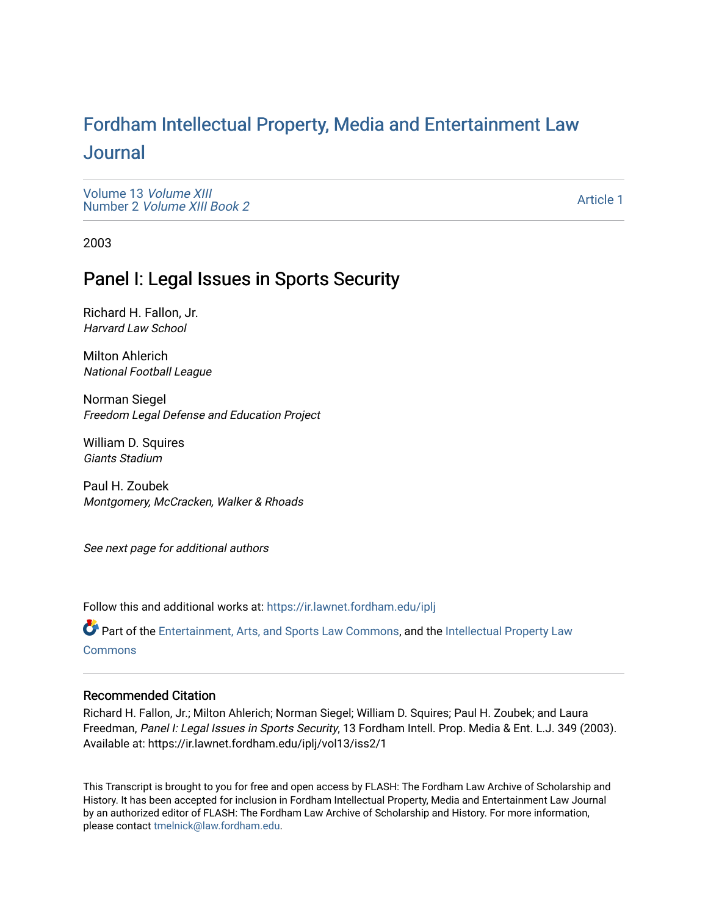# For[dham Intellectual Property, Media and Enter](https://ir.lawnet.fordham.edu/iplj)tainment Law [Journal](https://ir.lawnet.fordham.edu/iplj)

[Volume 13](https://ir.lawnet.fordham.edu/iplj/vol13) Volume XIII Number 2 [Volume XIII Book 2](https://ir.lawnet.fordham.edu/iplj/vol13/iss2)

[Article 1](https://ir.lawnet.fordham.edu/iplj/vol13/iss2/1) 

2003

# Panel I: Legal Issues in Sports Security

Richard H. Fallon, Jr. Harvard Law School

Milton Ahlerich National Football League

Norman Siegel Freedom Legal Defense and Education Project

William D. Squires Giants Stadium

Paul H. Zoubek Montgomery, McCracken, Walker & Rhoads

See next page for additional authors

Follow this and additional works at: [https://ir.lawnet.fordham.edu/iplj](https://ir.lawnet.fordham.edu/iplj?utm_source=ir.lawnet.fordham.edu%2Fiplj%2Fvol13%2Fiss2%2F1&utm_medium=PDF&utm_campaign=PDFCoverPages) 

Part of the [Entertainment, Arts, and Sports Law Commons](http://network.bepress.com/hgg/discipline/893?utm_source=ir.lawnet.fordham.edu%2Fiplj%2Fvol13%2Fiss2%2F1&utm_medium=PDF&utm_campaign=PDFCoverPages), and the [Intellectual Property Law](http://network.bepress.com/hgg/discipline/896?utm_source=ir.lawnet.fordham.edu%2Fiplj%2Fvol13%2Fiss2%2F1&utm_medium=PDF&utm_campaign=PDFCoverPages) **[Commons](http://network.bepress.com/hgg/discipline/896?utm_source=ir.lawnet.fordham.edu%2Fiplj%2Fvol13%2Fiss2%2F1&utm_medium=PDF&utm_campaign=PDFCoverPages)** 

### Recommended Citation

Richard H. Fallon, Jr.; Milton Ahlerich; Norman Siegel; William D. Squires; Paul H. Zoubek; and Laura Freedman, Panel I: Legal Issues in Sports Security, 13 Fordham Intell. Prop. Media & Ent. L.J. 349 (2003). Available at: https://ir.lawnet.fordham.edu/iplj/vol13/iss2/1

This Transcript is brought to you for free and open access by FLASH: The Fordham Law Archive of Scholarship and History. It has been accepted for inclusion in Fordham Intellectual Property, Media and Entertainment Law Journal by an authorized editor of FLASH: The Fordham Law Archive of Scholarship and History. For more information, please contact [tmelnick@law.fordham.edu](mailto:tmelnick@law.fordham.edu).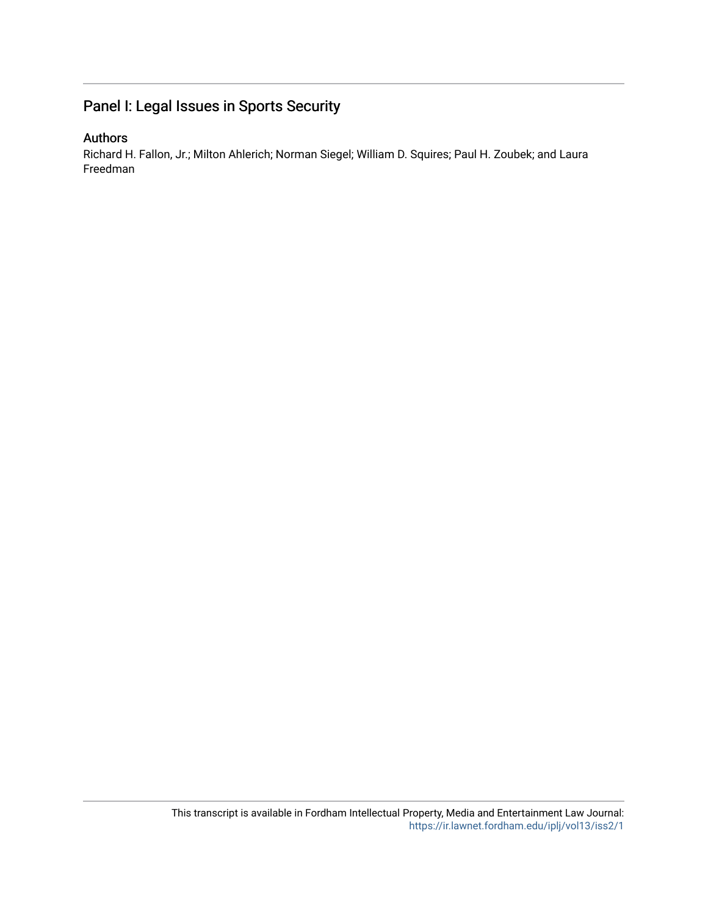## Panel I: Legal Issues in Sports Security

### Authors

Richard H. Fallon, Jr.; Milton Ahlerich; Norman Siegel; William D. Squires; Paul H. Zoubek; and Laura Freedman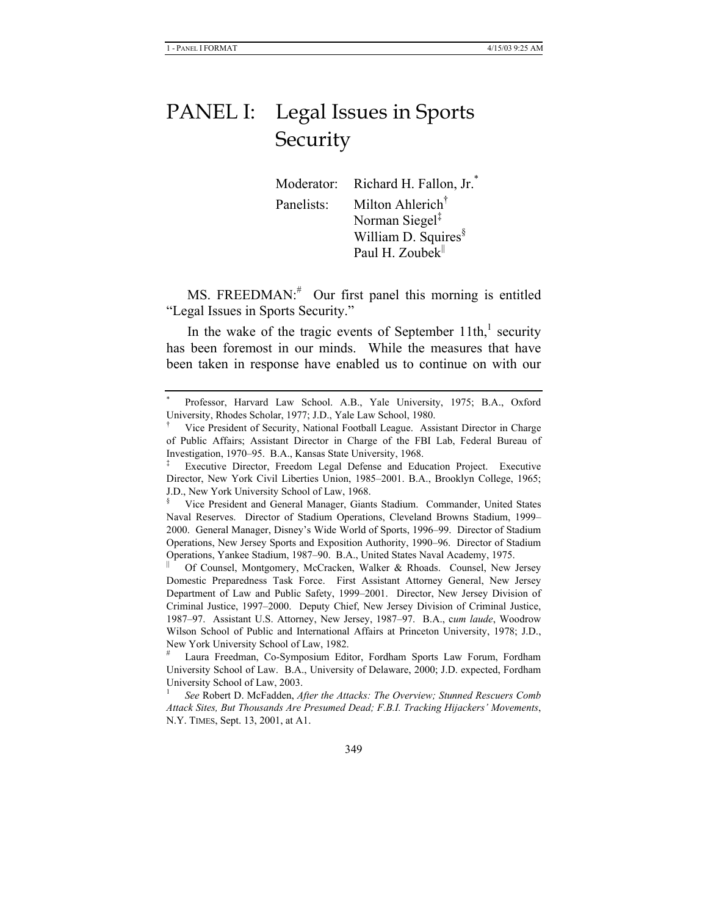# PANEL I: Legal Issues in Sports Security

Moderator: Richard H. Fallon, Jr.<sup>\*</sup> Panelists: Milton Ahlerich† Norman Siegel‡ William D. Squires<sup>§</sup> Paul H. Zoubek $\parallel$ 

MS. FREEDMAN: $*$  Our first panel this morning is entitled "Legal Issues in Sports Security."

In the wake of the tragic events of September  $11th$ ,<sup>1</sup> security has been foremost in our minds. While the measures that have been taken in response have enabled us to continue on with our

<sup>\*</sup> Professor, Harvard Law School. A.B., Yale University, 1975; B.A., Oxford University, Rhodes Scholar, 1977; J.D., Yale Law School, 1980.

<sup>†</sup> Vice President of Security, National Football League. Assistant Director in Charge of Public Affairs; Assistant Director in Charge of the FBI Lab, Federal Bureau of Investigation, 1970–95. B.A., Kansas State University, 1968.

<sup>‡</sup> Executive Director, Freedom Legal Defense and Education Project. Executive Director, New York Civil Liberties Union, 1985–2001. B.A., Brooklyn College, 1965; J.D., New York University School of Law, 1968.

<sup>§</sup> Vice President and General Manager, Giants Stadium. Commander, United States Naval Reserves. Director of Stadium Operations, Cleveland Browns Stadium, 1999– 2000. General Manager, Disney's Wide World of Sports, 1996–99. Director of Stadium Operations, New Jersey Sports and Exposition Authority, 1990–96. Director of Stadium Operations, Yankee Stadium, 1987–90. B.A., United States Naval Academy, 1975.

<sup>||</sup> Of Counsel, Montgomery, McCracken, Walker & Rhoads. Counsel, New Jersey Domestic Preparedness Task Force. First Assistant Attorney General, New Jersey Department of Law and Public Safety, 1999–2001. Director, New Jersey Division of Criminal Justice, 1997–2000. Deputy Chief, New Jersey Division of Criminal Justice, 1987–97. Assistant U.S. Attorney, New Jersey, 1987–97. B.A., c*um laude*, Woodrow Wilson School of Public and International Affairs at Princeton University, 1978; J.D., New York University School of Law, 1982.

<sup>#</sup> Laura Freedman, Co-Symposium Editor, Fordham Sports Law Forum, Fordham University School of Law. B.A., University of Delaware, 2000; J.D. expected, Fordham University School of Law, 2003.

<sup>1</sup>  *See* Robert D. McFadden, *After the Attacks: The Overview; Stunned Rescuers Comb Attack Sites, But Thousands Are Presumed Dead; F.B.I. Tracking Hijackers' Movements*, N.Y. TIMES, Sept. 13, 2001, at A1.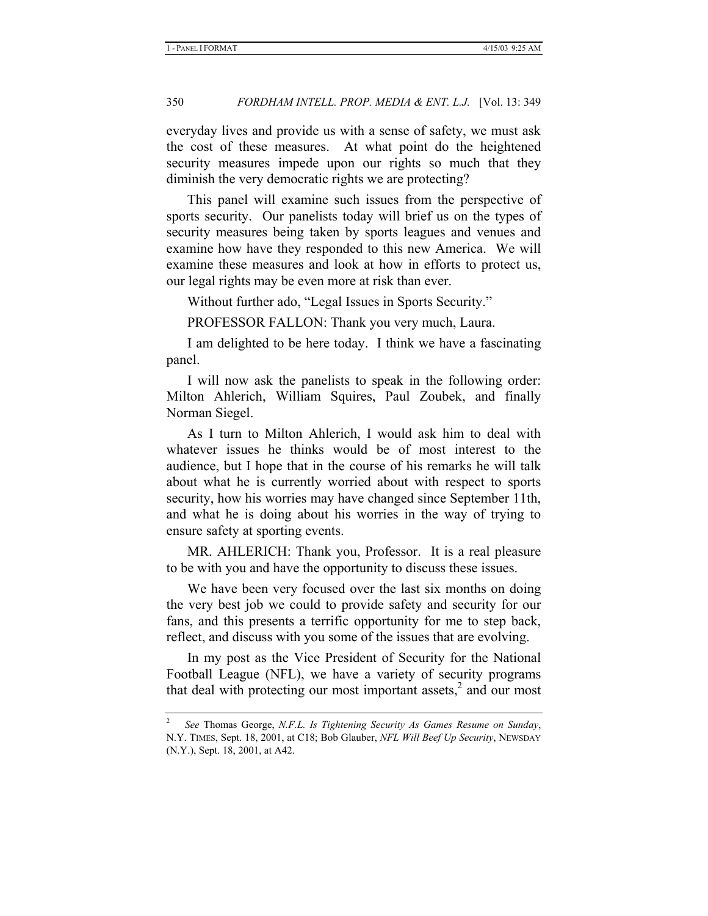everyday lives and provide us with a sense of safety, we must ask the cost of these measures. At what point do the heightened security measures impede upon our rights so much that they diminish the very democratic rights we are protecting?

This panel will examine such issues from the perspective of sports security. Our panelists today will brief us on the types of security measures being taken by sports leagues and venues and examine how have they responded to this new America. We will examine these measures and look at how in efforts to protect us, our legal rights may be even more at risk than ever.

Without further ado, "Legal Issues in Sports Security."

PROFESSOR FALLON: Thank you very much, Laura.

I am delighted to be here today. I think we have a fascinating panel.

I will now ask the panelists to speak in the following order: Milton Ahlerich, William Squires, Paul Zoubek, and finally Norman Siegel.

As I turn to Milton Ahlerich, I would ask him to deal with whatever issues he thinks would be of most interest to the audience, but I hope that in the course of his remarks he will talk about what he is currently worried about with respect to sports security, how his worries may have changed since September 11th, and what he is doing about his worries in the way of trying to ensure safety at sporting events.

MR. AHLERICH: Thank you, Professor. It is a real pleasure to be with you and have the opportunity to discuss these issues.

We have been very focused over the last six months on doing the very best job we could to provide safety and security for our fans, and this presents a terrific opportunity for me to step back, reflect, and discuss with you some of the issues that are evolving.

In my post as the Vice President of Security for the National Football League (NFL), we have a variety of security programs that deal with protecting our most important assets,<sup>2</sup> and our most

<sup>2</sup>  *See* Thomas George, *N.F.L. Is Tightening Security As Games Resume on Sunday*, N.Y. TIMES, Sept. 18, 2001, at C18; Bob Glauber, *NFL Will Beef Up Security*, NEWSDAY (N.Y.), Sept. 18, 2001, at A42.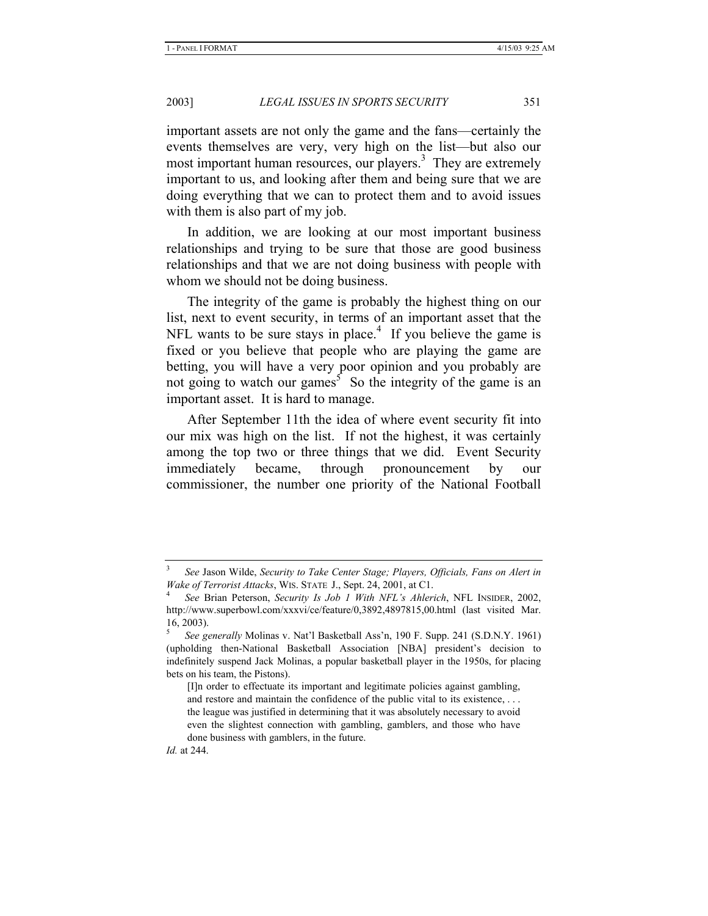important assets are not only the game and the fans—certainly the events themselves are very, very high on the list—but also our most important human resources, our players.<sup>3</sup> They are extremely important to us, and looking after them and being sure that we are doing everything that we can to protect them and to avoid issues with them is also part of my job.

In addition, we are looking at our most important business relationships and trying to be sure that those are good business relationships and that we are not doing business with people with whom we should not be doing business.

The integrity of the game is probably the highest thing on our list, next to event security, in terms of an important asset that the NFL wants to be sure stays in place.<sup>4</sup> If you believe the game is fixed or you believe that people who are playing the game are betting, you will have a very poor opinion and you probably are not going to watch our games<sup>5</sup> So the integrity of the game is an important asset. It is hard to manage.

After September 11th the idea of where event security fit into our mix was high on the list. If not the highest, it was certainly among the top two or three things that we did. Event Security immediately became, through pronouncement by our commissioner, the number one priority of the National Football

<sup>3</sup>  *See* Jason Wilde, *Security to Take Center Stage; Players, Officials, Fans on Alert in Wake of Terrorist Attacks*, WIS. STATE J., Sept. 24, 2001, at C1. 4

*See* Brian Peterson, *Security Is Job 1 With NFL's Ahlerich*, NFL INSIDER, 2002, http://www.superbowl.com/xxxvi/ce/feature/0,3892,4897815,00.html (last visited Mar. 16, 2003).

<sup>5</sup>  *See generally* Molinas v. Nat'l Basketball Ass'n, 190 F. Supp. 241 (S.D.N.Y. 1961) (upholding then-National Basketball Association [NBA] president's decision to indefinitely suspend Jack Molinas, a popular basketball player in the 1950s, for placing bets on his team, the Pistons).

<sup>[</sup>I]n order to effectuate its important and legitimate policies against gambling, and restore and maintain the confidence of the public vital to its existence, . . . the league was justified in determining that it was absolutely necessary to avoid even the slightest connection with gambling, gamblers, and those who have done business with gamblers, in the future.

*Id.* at 244.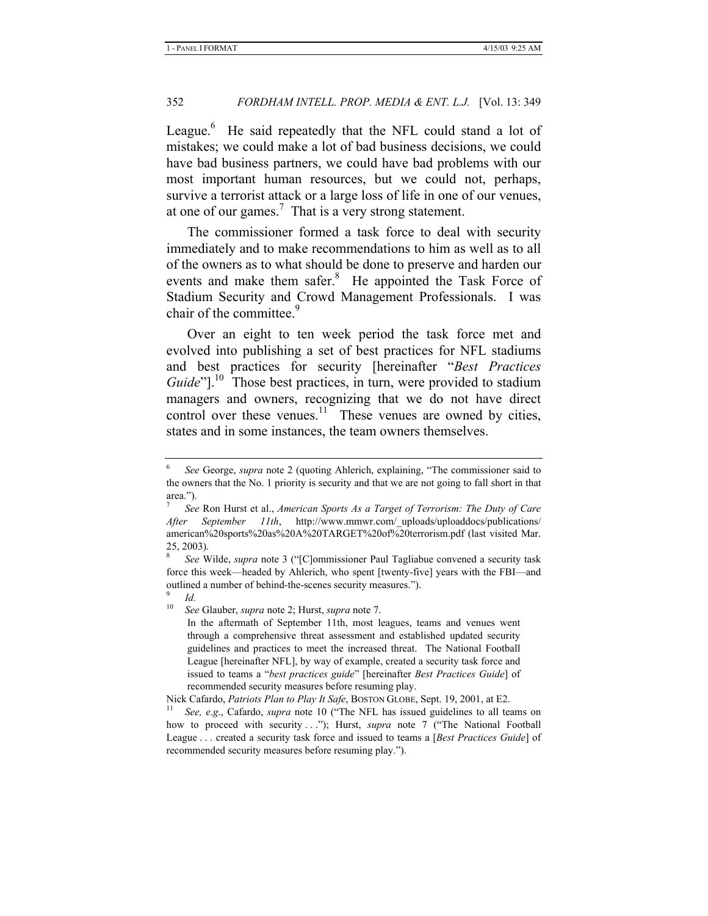League.<sup>6</sup> He said repeatedly that the NFL could stand a lot of mistakes; we could make a lot of bad business decisions, we could have bad business partners, we could have bad problems with our most important human resources, but we could not, perhaps, survive a terrorist attack or a large loss of life in one of our venues, at one of our games.<sup>7</sup> That is a very strong statement.

The commissioner formed a task force to deal with security immediately and to make recommendations to him as well as to all of the owners as to what should be done to preserve and harden our events and make them safer.<sup>8</sup> He appointed the Task Force of Stadium Security and Crowd Management Professionals. I was chair of the committee.<sup>9</sup>

Over an eight to ten week period the task force met and evolved into publishing a set of best practices for NFL stadiums and best practices for security [hereinafter "*Best Practices Guide*"].<sup>10</sup> Those best practices, in turn, were provided to stadium managers and owners, recognizing that we do not have direct control over these venues. $11$  These venues are owned by cities, states and in some instances, the team owners themselves.

<sup>10</sup> *See* Glauber, *supra* note 2; Hurst, *supra* note 7.

<sup>6</sup>  *See* George, *supra* note 2 (quoting Ahlerich, explaining, "The commissioner said to the owners that the No. 1 priority is security and that we are not going to fall short in that area.").

<sup>7</sup>  *See* Ron Hurst et al., *American Sports As a Target of Terrorism: The Duty of Care After September 11th*, http://www.mmwr.com/\_uploads/uploaddocs/publications/ american%20sports%20as%20A%20TARGET%20of%20terrorism.pdf (last visited Mar. 25, 2003).

<sup>8</sup>  *See* Wilde, *supra* note 3 ("[C]ommissioner Paul Tagliabue convened a security task force this week—headed by Ahlerich, who spent [twenty-five] years with the FBI—and outlined a number of behind-the-scenes security measures.").

<sup>9</sup>  $\frac{9}{10}$  *Id.* 

In the aftermath of September 11th, most leagues, teams and venues went through a comprehensive threat assessment and established updated security guidelines and practices to meet the increased threat. The National Football League [hereinafter NFL], by way of example, created a security task force and issued to teams a "*best practices guide*" [hereinafter *Best Practices Guide*] of recommended security measures before resuming play.

Nick Cafardo, *Patriots Plan to Play It Safe*, BOSTON GLOBE, Sept. 19, 2001, at E2.<br><sup>11</sup> *See, e.g.*, Cafardo, *supra* note 10 ("The NFL has issued guidelines to all teams on how to proceed with security . . ."); Hurst, *supra* note 7 ("The National Football League . . . created a security task force and issued to teams a [*Best Practices Guide*] of recommended security measures before resuming play.").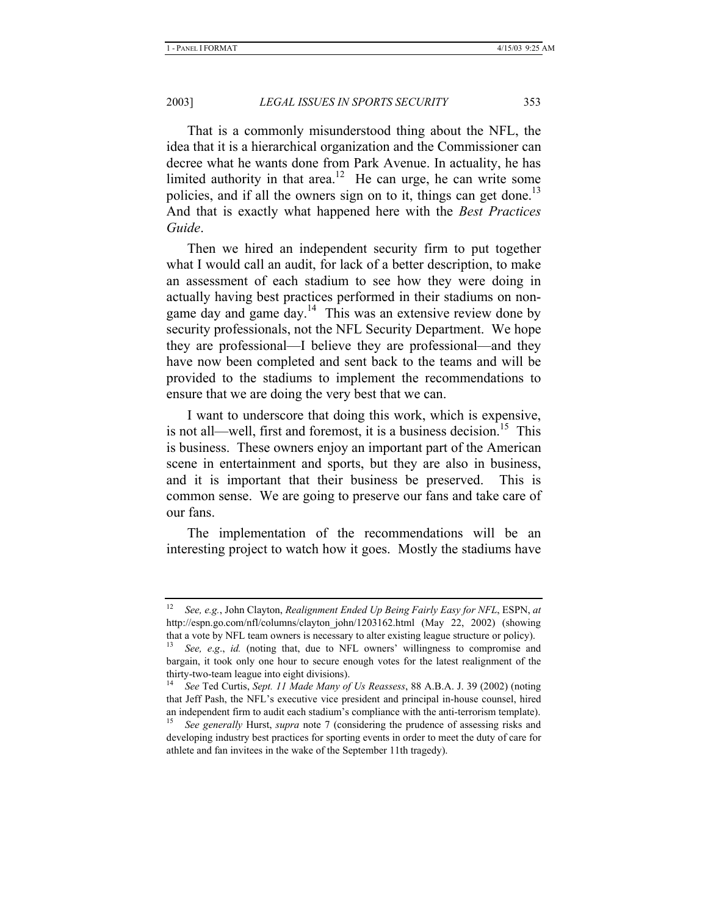That is a commonly misunderstood thing about the NFL, the idea that it is a hierarchical organization and the Commissioner can decree what he wants done from Park Avenue. In actuality, he has limited authority in that area.<sup>12</sup> He can urge, he can write some policies, and if all the owners sign on to it, things can get done.<sup>13</sup> And that is exactly what happened here with the *Best Practices Guide*.

Then we hired an independent security firm to put together what I would call an audit, for lack of a better description, to make an assessment of each stadium to see how they were doing in actually having best practices performed in their stadiums on nongame day and game day.<sup>14</sup> This was an extensive review done by security professionals, not the NFL Security Department. We hope they are professional—I believe they are professional—and they have now been completed and sent back to the teams and will be provided to the stadiums to implement the recommendations to ensure that we are doing the very best that we can.

I want to underscore that doing this work, which is expensive, is not all—well, first and foremost, it is a business decision.<sup>15</sup> This is business. These owners enjoy an important part of the American scene in entertainment and sports, but they are also in business, and it is important that their business be preserved. This is common sense. We are going to preserve our fans and take care of our fans.

The implementation of the recommendations will be an interesting project to watch how it goes. Mostly the stadiums have

<sup>12</sup> *See, e.g.*, John Clayton, *Realignment Ended Up Being Fairly Easy for NFL*, ESPN, *at*  http://espn.go.com/nfl/columns/clayton\_john/1203162.html (May 22, 2002) (showing that a vote by NFL team owners is necessary to alter existing league structure or policy).

<sup>13</sup> *See, e*.*g*., *id.* (noting that, due to NFL owners' willingness to compromise and bargain, it took only one hour to secure enough votes for the latest realignment of the thirty-two-team league into eight divisions).

<sup>14</sup> *See* Ted Curtis, *Sept. 11 Made Many of Us Reassess*, 88 A.B.A. J. 39 (2002) (noting that Jeff Pash, the NFL's executive vice president and principal in-house counsel, hired an independent firm to audit each stadium's compliance with the anti-terrorism template).

<sup>15</sup> *See generally* Hurst, *supra* note 7 (considering the prudence of assessing risks and developing industry best practices for sporting events in order to meet the duty of care for athlete and fan invitees in the wake of the September 11th tragedy).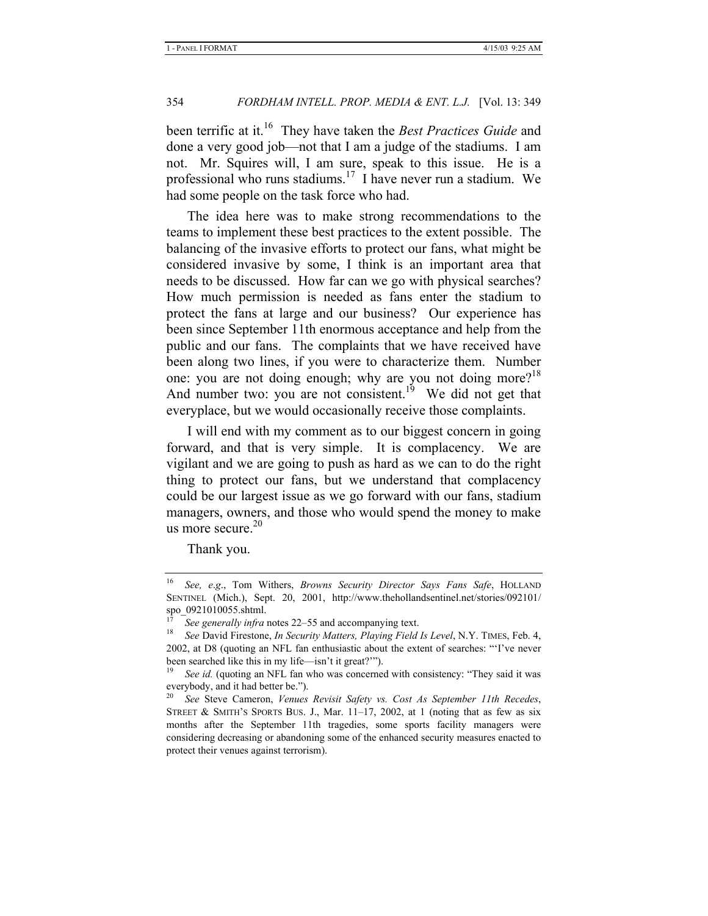been terrific at it.16 They have taken the *Best Practices Guide* and done a very good job—not that I am a judge of the stadiums. I am not. Mr. Squires will, I am sure, speak to this issue. He is a professional who runs stadiums.<sup>17</sup> I have never run a stadium. We had some people on the task force who had.

The idea here was to make strong recommendations to the teams to implement these best practices to the extent possible. The balancing of the invasive efforts to protect our fans, what might be considered invasive by some, I think is an important area that needs to be discussed. How far can we go with physical searches? How much permission is needed as fans enter the stadium to protect the fans at large and our business? Our experience has been since September 11th enormous acceptance and help from the public and our fans. The complaints that we have received have been along two lines, if you were to characterize them. Number one: you are not doing enough; why are you not doing more?<sup>18</sup> And number two: you are not consistent.<sup>19</sup> We did not get that everyplace, but we would occasionally receive those complaints.

I will end with my comment as to our biggest concern in going forward, and that is very simple. It is complacency. We are vigilant and we are going to push as hard as we can to do the right thing to protect our fans, but we understand that complacency could be our largest issue as we go forward with our fans, stadium managers, owners, and those who would spend the money to make us more secure. $20$ 

Thank you.

<sup>16</sup> *See, e*.*g*., Tom Withers, *Browns Security Director Says Fans Safe*, HOLLAND SENTINEL (Mich.), Sept. 20, 2001, http://www.thehollandsentinel.net/stories/092101/ spo\_0921010055.shtml.

<sup>&</sup>lt;sup>17</sup> See generally infra notes 22–55 and accompanying text.<br><sup>18</sup> See David Firestone, *In Security Matters, Playing Field Is Level*, N.Y. TIMES, Feb. 4, 2002, at D8 (quoting an NFL fan enthusiastic about the extent of searches: "'I've never been searched like this in my life—isn't it great?'").

See id. (quoting an NFL fan who was concerned with consistency: "They said it was everybody, and it had better be.").

<sup>20</sup> *See* Steve Cameron, *Venues Revisit Safety vs. Cost As September 11th Recedes*, STREET & SMITH'S SPORTS BUS. J., Mar. 11–17, 2002, at 1 (noting that as few as six months after the September 11th tragedies, some sports facility managers were considering decreasing or abandoning some of the enhanced security measures enacted to protect their venues against terrorism).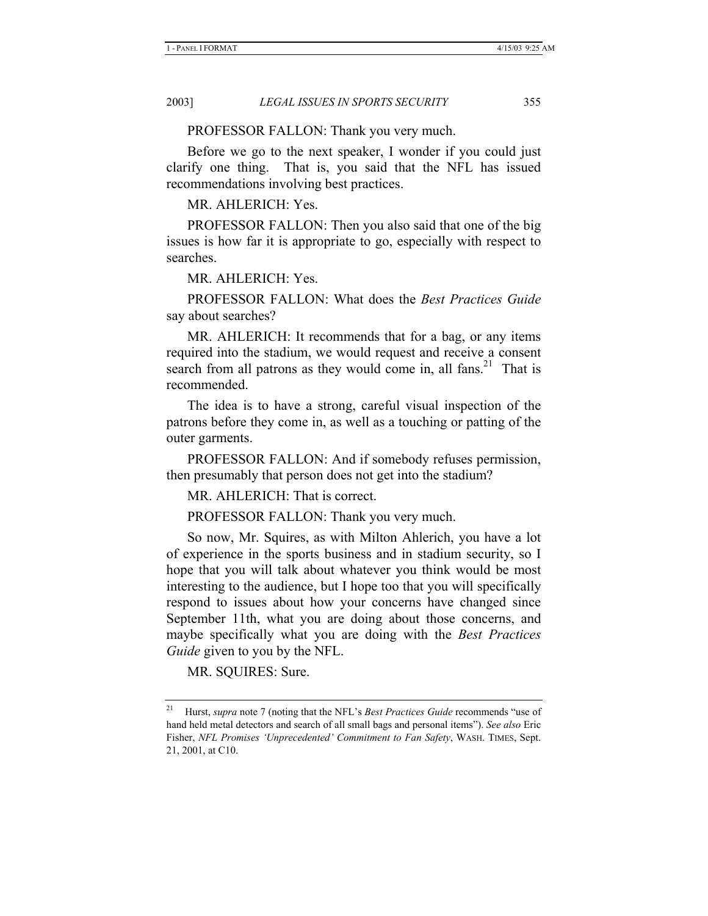PROFESSOR FALLON: Thank you very much.

Before we go to the next speaker, I wonder if you could just clarify one thing. That is, you said that the NFL has issued recommendations involving best practices.

MR. AHLERICH: Yes.

PROFESSOR FALLON: Then you also said that one of the big issues is how far it is appropriate to go, especially with respect to searches.

MR. AHLERICH: Yes.

PROFESSOR FALLON: What does the *Best Practices Guide*  say about searches?

MR. AHLERICH: It recommends that for a bag, or any items required into the stadium, we would request and receive a consent search from all patrons as they would come in, all fans.<sup>21</sup> That is recommended.

The idea is to have a strong, careful visual inspection of the patrons before they come in, as well as a touching or patting of the outer garments.

PROFESSOR FALLON: And if somebody refuses permission, then presumably that person does not get into the stadium?

MR. AHLERICH: That is correct.

PROFESSOR FALLON: Thank you very much.

So now, Mr. Squires, as with Milton Ahlerich, you have a lot of experience in the sports business and in stadium security, so I hope that you will talk about whatever you think would be most interesting to the audience, but I hope too that you will specifically respond to issues about how your concerns have changed since September 11th, what you are doing about those concerns, and maybe specifically what you are doing with the *Best Practices Guide* given to you by the NFL.

MR. SQUIRES: Sure.

<sup>21</sup> Hurst, *supra* note 7 (noting that the NFL's *Best Practices Guide* recommends "use of hand held metal detectors and search of all small bags and personal items"). *See also* Eric Fisher, *NFL Promises 'Unprecedented' Commitment to Fan Safety*, WASH. TIMES, Sept. 21, 2001, at C10.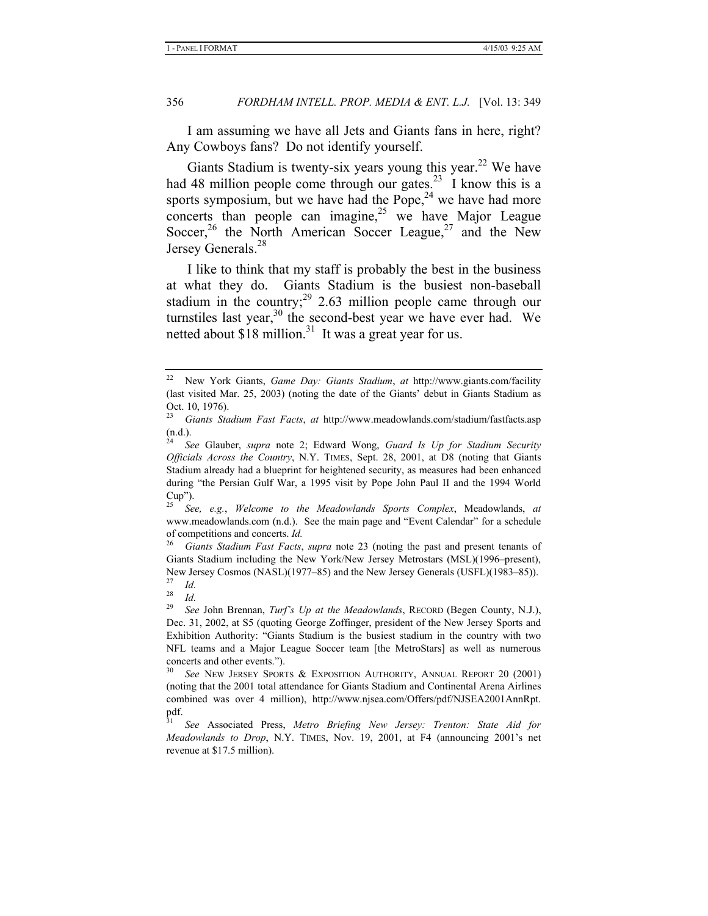I am assuming we have all Jets and Giants fans in here, right? Any Cowboys fans? Do not identify yourself.

Giants Stadium is twenty-six years young this year.<sup>22</sup> We have had 48 million people come through our gates.<sup>23</sup> I know this is a sports symposium, but we have had the Pope, $24$  we have had more concerts than people can imagine, <sup>25</sup> we have Major League Soccer,<sup>26</sup> the North American Soccer League,<sup>27</sup> and the New Jersey Generals.<sup>28</sup>

I like to think that my staff is probably the best in the business at what they do. Giants Stadium is the busiest non-baseball stadium in the country; $^{29}$  2.63 million people came through our turnstiles last year,<sup>30</sup> the second-best year we have ever had. We netted about  $\$18$  million.<sup>31</sup> It was a great year for us.

<sup>25</sup> *See, e.g.*, *Welcome to the Meadowlands Sports Complex*, Meadowlands, *at*  www.meadowlands.com (n.d.). See the main page and "Event Calendar" for a schedule of competitions and concerts. *Id.*<br><sup>26</sup> Ciante Stadium East Eacts

<sup>26</sup> *Giants Stadium Fast Facts*, *supra* note 23 (noting the past and present tenants of Giants Stadium including the New York/New Jersey Metrostars (MSL)(1996–present), New Jersey Cosmos (NASL)(1977–85) and the New Jersey Generals (USFL)(1983–85)).

<sup>22</sup> New York Giants, *Game Day: Giants Stadium*, *at* http://www.giants.com/facility (last visited Mar. 25, 2003) (noting the date of the Giants' debut in Giants Stadium as Oct. 10, 1976).

<sup>23</sup> *Giants Stadium Fast Facts*, *at* http://www.meadowlands.com/stadium/fastfacts.asp (n.d.).

<sup>24</sup> *See* Glauber, *supra* note 2; Edward Wong, *Guard Is Up for Stadium Security Officials Across the Country*, N.Y. TIMES, Sept. 28, 2001, at D8 (noting that Giants Stadium already had a blueprint for heightened security, as measures had been enhanced during "the Persian Gulf War, a 1995 visit by Pope John Paul II and the 1994 World Cup").

 $rac{27}{28}$  *Id.* 

 $rac{28}{29}$  *Id.* <sup>29</sup> *See* John Brennan, *Turf's Up at the Meadowlands*, RECORD (Begen County, N.J.), Dec. 31, 2002, at S5 (quoting George Zoffinger, president of the New Jersey Sports and Exhibition Authority: "Giants Stadium is the busiest stadium in the country with two NFL teams and a Major League Soccer team [the MetroStars] as well as numerous concerts and other events.").

See NEW JERSEY SPORTS & EXPOSITION AUTHORITY, ANNUAL REPORT 20 (2001) (noting that the 2001 total attendance for Giants Stadium and Continental Arena Airlines combined was over 4 million), http://www.njsea.com/Offers/pdf/NJSEA2001AnnRpt. pdf.

<sup>31</sup> *See* Associated Press, *Metro Briefing New Jersey: Trenton: State Aid for Meadowlands to Drop*, N.Y. TIMES, Nov. 19, 2001, at F4 (announcing 2001's net revenue at \$17.5 million).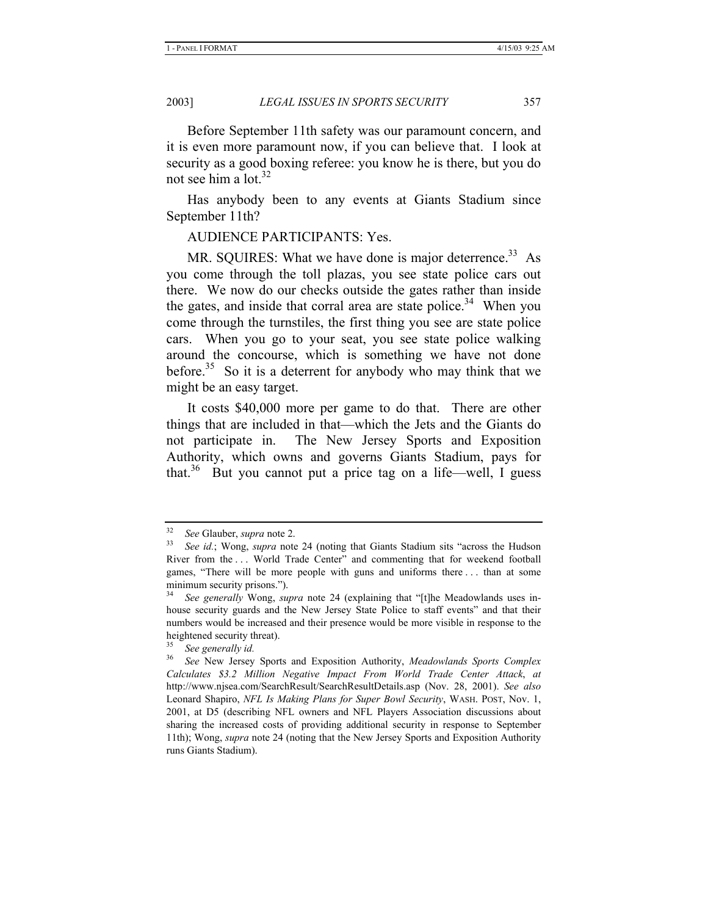Before September 11th safety was our paramount concern, and it is even more paramount now, if you can believe that. I look at security as a good boxing referee: you know he is there, but you do not see him a  $\frac{1}{2}$ 

Has anybody been to any events at Giants Stadium since September 11th?

AUDIENCE PARTICIPANTS: Yes.

MR. SOUIRES: What we have done is major deterrence.<sup>33</sup> As you come through the toll plazas, you see state police cars out there. We now do our checks outside the gates rather than inside the gates, and inside that corral area are state police.<sup>34</sup> When you come through the turnstiles, the first thing you see are state police cars. When you go to your seat, you see state police walking around the concourse, which is something we have not done before.<sup>35</sup> So it is a deterrent for anybody who may think that we might be an easy target.

It costs \$40,000 more per game to do that. There are other things that are included in that—which the Jets and the Giants do not participate in. The New Jersey Sports and Exposition Authority, which owns and governs Giants Stadium, pays for that.<sup>36</sup> But you cannot put a price tag on a life—well, I guess

<sup>32</sup> *See* Glauber, *supra* note 2. 33 *See id.*; Wong, *supra* note 24 (noting that Giants Stadium sits "across the Hudson River from the . . . World Trade Center" and commenting that for weekend football games, "There will be more people with guns and uniforms there . . . than at some minimum security prisons.").

<sup>34</sup> *See generally* Wong, *supra* note 24 (explaining that "[t]he Meadowlands uses inhouse security guards and the New Jersey State Police to staff events" and that their numbers would be increased and their presence would be more visible in response to the heightened security threat).

<sup>35</sup> *See generally id.*

<sup>36</sup> *See* New Jersey Sports and Exposition Authority, *Meadowlands Sports Complex Calculates \$3.2 Million Negative Impact From World Trade Center Attack*, *at* http://www.njsea.com/SearchResult/SearchResultDetails.asp (Nov. 28, 2001). *See also*  Leonard Shapiro, *NFL Is Making Plans for Super Bowl Security*, WASH. POST, Nov. 1, 2001, at D5 (describing NFL owners and NFL Players Association discussions about sharing the increased costs of providing additional security in response to September 11th); Wong, *supra* note 24 (noting that the New Jersey Sports and Exposition Authority runs Giants Stadium).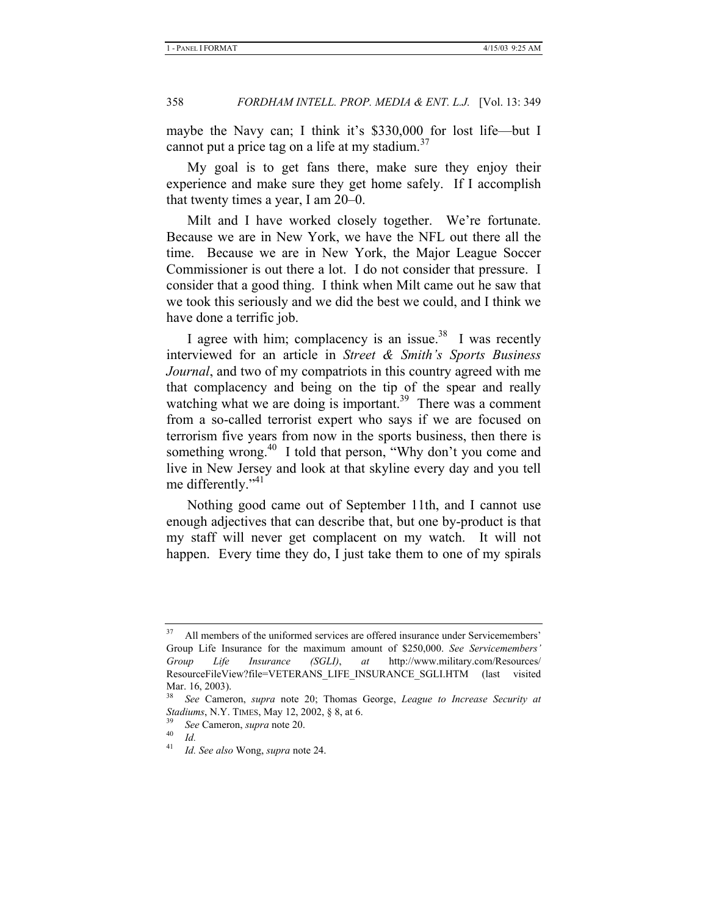maybe the Navy can; I think it's \$330,000 for lost life—but I cannot put a price tag on a life at my stadium.<sup>37</sup>

My goal is to get fans there, make sure they enjoy their experience and make sure they get home safely. If I accomplish that twenty times a year, I am 20–0.

Milt and I have worked closely together. We're fortunate. Because we are in New York, we have the NFL out there all the time. Because we are in New York, the Major League Soccer Commissioner is out there a lot. I do not consider that pressure. I consider that a good thing. I think when Milt came out he saw that we took this seriously and we did the best we could, and I think we have done a terrific job.

I agree with him; complacency is an issue.<sup>38</sup> I was recently interviewed for an article in *Street & Smith's Sports Business Journal*, and two of my compatriots in this country agreed with me that complacency and being on the tip of the spear and really watching what we are doing is important.<sup>39</sup> There was a comment from a so-called terrorist expert who says if we are focused on terrorism five years from now in the sports business, then there is something wrong.<sup>40</sup> I told that person, "Why don't you come and live in New Jersey and look at that skyline every day and you tell me differently."<sup>41</sup>

Nothing good came out of September 11th, and I cannot use enough adjectives that can describe that, but one by-product is that my staff will never get complacent on my watch. It will not happen. Every time they do, I just take them to one of my spirals

All members of the uniformed services are offered insurance under Servicemembers' Group Life Insurance for the maximum amount of \$250,000. *See Servicemembers' Group Life Insurance (SGLI)*, *at* http://www.military.com/Resources/ ResourceFileView?file=VETERANS\_LIFE\_INSURANCE\_SGLI.HTM (last visited Mar. 16, 2003).

<sup>38</sup> *See* Cameron, *supra* note 20; Thomas George, *League to Increase Security at Stadiums*, N.Y. TIMES, May 12, 2002, § 8, at 6.<br><sup>39</sup> *See* Cameron, *supra* note 20.<br>*Id.*<br><sup>41</sup>

<sup>41</sup> *Id. See also* Wong, *supra* note 24.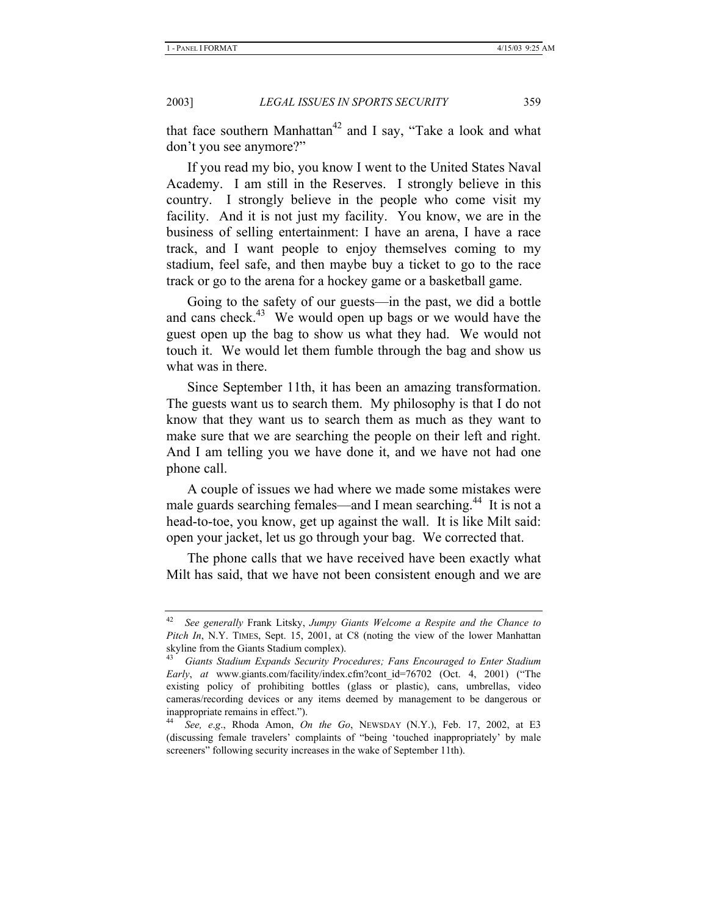that face southern Manhattan<sup>42</sup> and I say, "Take a look and what don't you see anymore?"

If you read my bio, you know I went to the United States Naval Academy. I am still in the Reserves. I strongly believe in this country. I strongly believe in the people who come visit my facility. And it is not just my facility. You know, we are in the business of selling entertainment: I have an arena, I have a race track, and I want people to enjoy themselves coming to my stadium, feel safe, and then maybe buy a ticket to go to the race track or go to the arena for a hockey game or a basketball game.

Going to the safety of our guests—in the past, we did a bottle and cans check.<sup>43</sup> We would open up bags or we would have the guest open up the bag to show us what they had. We would not touch it. We would let them fumble through the bag and show us what was in there.

Since September 11th, it has been an amazing transformation. The guests want us to search them. My philosophy is that I do not know that they want us to search them as much as they want to make sure that we are searching the people on their left and right. And I am telling you we have done it, and we have not had one phone call.

A couple of issues we had where we made some mistakes were male guards searching females—and I mean searching.<sup>44</sup> It is not a head-to-toe, you know, get up against the wall. It is like Milt said: open your jacket, let us go through your bag. We corrected that.

The phone calls that we have received have been exactly what Milt has said, that we have not been consistent enough and we are

<sup>42</sup> *See generally* Frank Litsky, *Jumpy Giants Welcome a Respite and the Chance to Pitch In*, N.Y. TIMES, Sept. 15, 2001, at C8 (noting the view of the lower Manhattan skyline from the Giants Stadium complex).

<sup>43</sup> *Giants Stadium Expands Security Procedures; Fans Encouraged to Enter Stadium Early*, *at* www.giants.com/facility/index.cfm?cont\_id=76702 (Oct. 4, 2001) ("The existing policy of prohibiting bottles (glass or plastic), cans, umbrellas, video cameras/recording devices or any items deemed by management to be dangerous or inappropriate remains in effect.").

<sup>44</sup> *See, e*.*g*., Rhoda Amon, *On the Go*, NEWSDAY (N.Y.), Feb. 17, 2002, at E3 (discussing female travelers' complaints of "being 'touched inappropriately' by male screeners" following security increases in the wake of September 11th).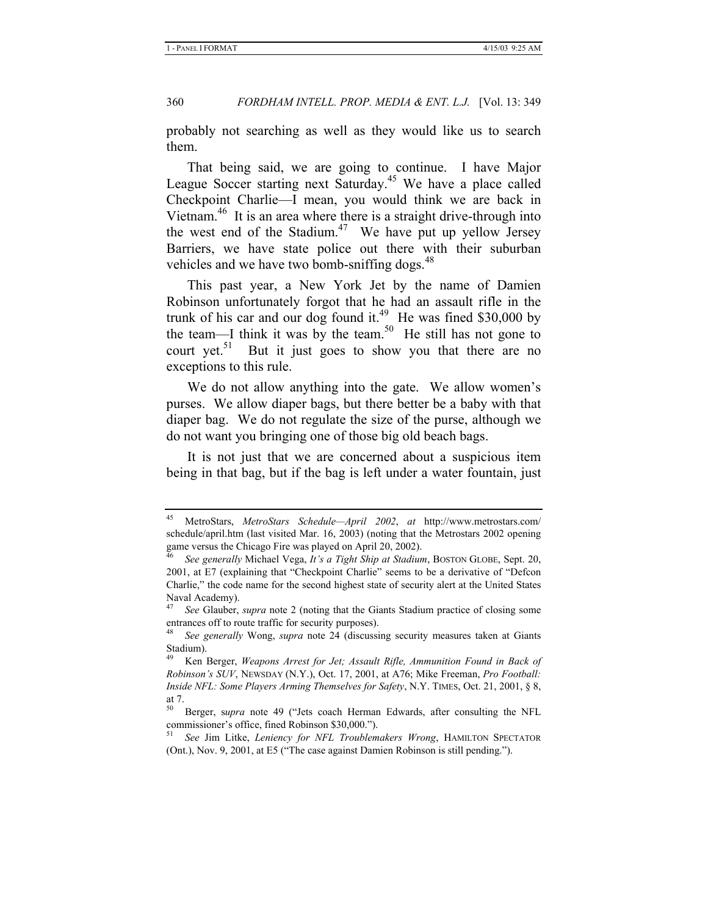probably not searching as well as they would like us to search them.

That being said, we are going to continue. I have Major League Soccer starting next Saturday.<sup>45</sup> We have a place called Checkpoint Charlie—I mean, you would think we are back in Vietnam<sup>46</sup> It is an area where there is a straight drive-through into the west end of the Stadium.<sup>47</sup> We have put up yellow Jersey Barriers, we have state police out there with their suburban vehicles and we have two bomb-sniffing dogs.<sup>48</sup>

This past year, a New York Jet by the name of Damien Robinson unfortunately forgot that he had an assault rifle in the trunk of his car and our dog found it.<sup>49</sup> He was fined \$30,000 by the team—I think it was by the team.<sup>50</sup> He still has not gone to court yet. $51$  But it just goes to show you that there are no exceptions to this rule.

We do not allow anything into the gate. We allow women's purses. We allow diaper bags, but there better be a baby with that diaper bag. We do not regulate the size of the purse, although we do not want you bringing one of those big old beach bags.

It is not just that we are concerned about a suspicious item being in that bag, but if the bag is left under a water fountain, just

<sup>45</sup> MetroStars, *MetroStars Schedule—April 2002*, *at* http://www.metrostars.com/ schedule/april.htm (last visited Mar. 16, 2003) (noting that the Metrostars 2002 opening game versus the Chicago Fire was played on April 20, 2002).

<sup>46</sup> *See generally* Michael Vega, *It's a Tight Ship at Stadium*, BOSTON GLOBE, Sept. 20, 2001, at E7 (explaining that "Checkpoint Charlie" seems to be a derivative of "Defcon Charlie," the code name for the second highest state of security alert at the United States Naval Academy).

<sup>47</sup> *See* Glauber, *supra* note 2 (noting that the Giants Stadium practice of closing some entrances off to route traffic for security purposes).

<sup>48</sup> *See generally* Wong, *supra* note 24 (discussing security measures taken at Giants Stadium).

<sup>49</sup> Ken Berger, *Weapons Arrest for Jet; Assault Rifle, Ammunition Found in Back of Robinson's SUV*, NEWSDAY (N.Y.), Oct. 17, 2001, at A76; Mike Freeman, *Pro Football: Inside NFL: Some Players Arming Themselves for Safety*, N.Y. TIMES, Oct. 21, 2001, § 8, at 7.

<sup>50</sup> Berger, s*upra* note 49 ("Jets coach Herman Edwards, after consulting the NFL commissioner's office, fined Robinson \$30,000.").

<sup>51</sup> *See* Jim Litke, *Leniency for NFL Troublemakers Wrong*, HAMILTON SPECTATOR (Ont.), Nov. 9, 2001, at E5 ("The case against Damien Robinson is still pending.").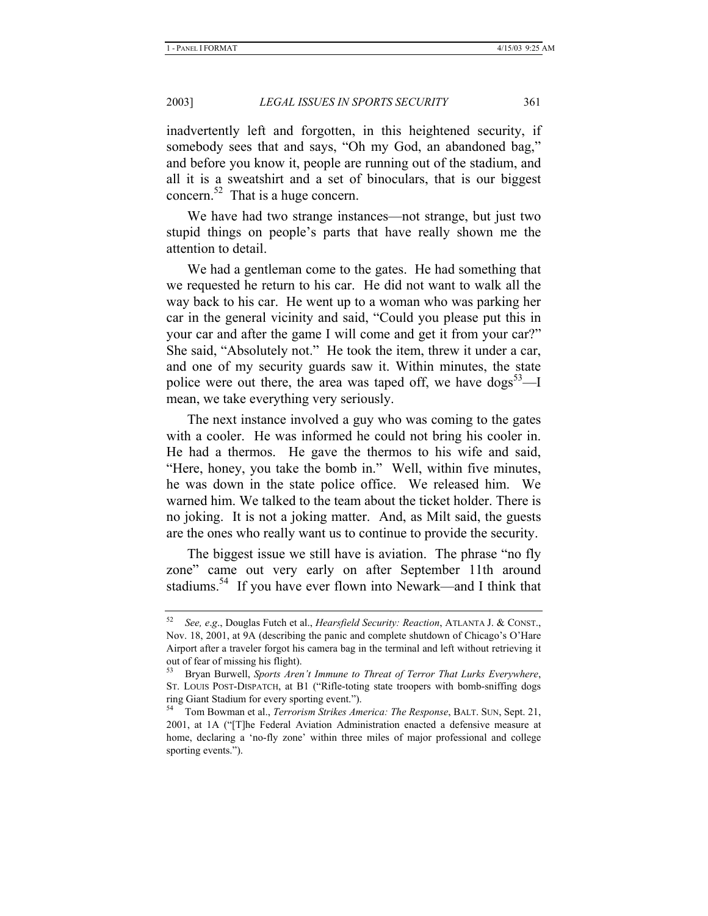inadvertently left and forgotten, in this heightened security, if somebody sees that and says, "Oh my God, an abandoned bag," and before you know it, people are running out of the stadium, and all it is a sweatshirt and a set of binoculars, that is our biggest concern.<sup>52</sup> That is a huge concern.

We have had two strange instances—not strange, but just two stupid things on people's parts that have really shown me the attention to detail.

We had a gentleman come to the gates. He had something that we requested he return to his car. He did not want to walk all the way back to his car. He went up to a woman who was parking her car in the general vicinity and said, "Could you please put this in your car and after the game I will come and get it from your car?" She said, "Absolutely not." He took the item, threw it under a car, and one of my security guards saw it. Within minutes, the state police were out there, the area was taped off, we have  $\cos^{5}$ <sup>3</sup>—I mean, we take everything very seriously.

The next instance involved a guy who was coming to the gates with a cooler. He was informed he could not bring his cooler in. He had a thermos. He gave the thermos to his wife and said, "Here, honey, you take the bomb in." Well, within five minutes, he was down in the state police office. We released him. We warned him. We talked to the team about the ticket holder. There is no joking. It is not a joking matter. And, as Milt said, the guests are the ones who really want us to continue to provide the security.

The biggest issue we still have is aviation. The phrase "no fly zone" came out very early on after September 11th around stadiums.<sup>54</sup> If you have ever flown into Newark—and I think that

<sup>52</sup> *See, e*.*g*., Douglas Futch et al., *Hearsfield Security: Reaction*, ATLANTA J. & CONST., Nov. 18, 2001, at 9A (describing the panic and complete shutdown of Chicago's O'Hare Airport after a traveler forgot his camera bag in the terminal and left without retrieving it out of fear of missing his flight).

<sup>53</sup> Bryan Burwell, *Sports Aren't Immune to Threat of Terror That Lurks Everywhere*, ST. LOUIS POST-DISPATCH, at B1 ("Rifle-toting state troopers with bomb-sniffing dogs ring Giant Stadium for every sporting event.").

<sup>54</sup> Tom Bowman et al., *Terrorism Strikes America: The Response*, BALT. SUN, Sept. 21, 2001, at 1A ("[T]he Federal Aviation Administration enacted a defensive measure at home, declaring a 'no-fly zone' within three miles of major professional and college sporting events.").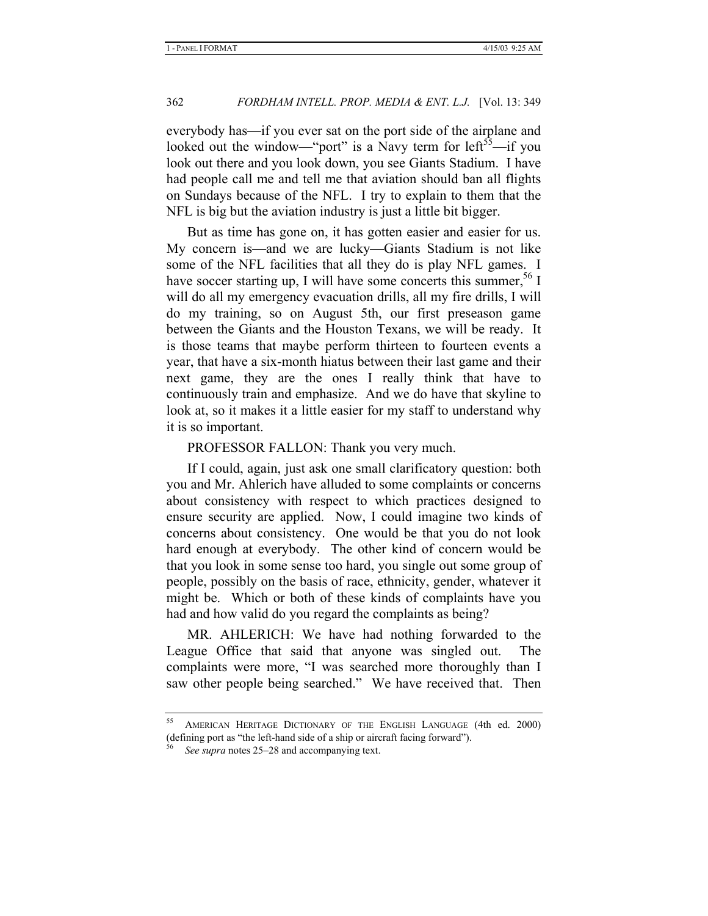everybody has—if you ever sat on the port side of the airplane and looked out the window—"port" is a Navy term for left<sup>55</sup>—if you look out there and you look down, you see Giants Stadium. I have had people call me and tell me that aviation should ban all flights on Sundays because of the NFL. I try to explain to them that the NFL is big but the aviation industry is just a little bit bigger.

But as time has gone on, it has gotten easier and easier for us. My concern is—and we are lucky—Giants Stadium is not like some of the NFL facilities that all they do is play NFL games. I have soccer starting up, I will have some concerts this summer,  $56$  I will do all my emergency evacuation drills, all my fire drills, I will do my training, so on August 5th, our first preseason game between the Giants and the Houston Texans, we will be ready. It is those teams that maybe perform thirteen to fourteen events a year, that have a six-month hiatus between their last game and their next game, they are the ones I really think that have to continuously train and emphasize. And we do have that skyline to look at, so it makes it a little easier for my staff to understand why it is so important.

#### PROFESSOR FALLON: Thank you very much.

If I could, again, just ask one small clarificatory question: both you and Mr. Ahlerich have alluded to some complaints or concerns about consistency with respect to which practices designed to ensure security are applied. Now, I could imagine two kinds of concerns about consistency. One would be that you do not look hard enough at everybody. The other kind of concern would be that you look in some sense too hard, you single out some group of people, possibly on the basis of race, ethnicity, gender, whatever it might be. Which or both of these kinds of complaints have you had and how valid do you regard the complaints as being?

MR. AHLERICH: We have had nothing forwarded to the League Office that said that anyone was singled out. The complaints were more, "I was searched more thoroughly than I saw other people being searched." We have received that. Then

AMERICAN HERITAGE DICTIONARY OF THE ENGLISH LANGUAGE (4th ed. 2000) (defining port as "the left-hand side of a ship or aircraft facing forward").

See *supra* notes 25–28 and accompanying text.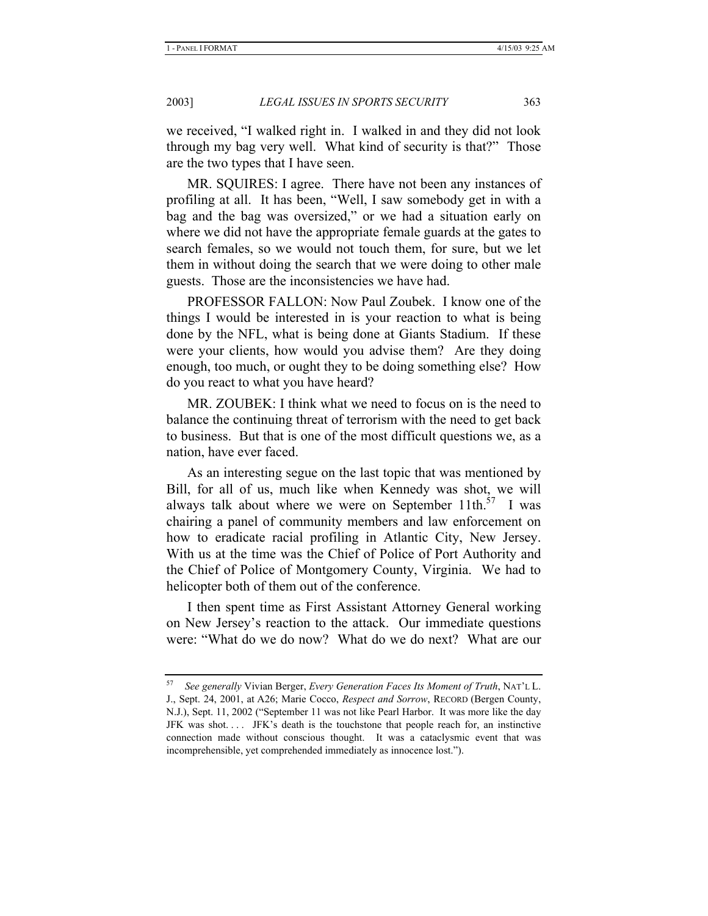we received, "I walked right in. I walked in and they did not look through my bag very well. What kind of security is that?" Those are the two types that I have seen.

MR. SQUIRES: I agree. There have not been any instances of profiling at all. It has been, "Well, I saw somebody get in with a bag and the bag was oversized," or we had a situation early on where we did not have the appropriate female guards at the gates to search females, so we would not touch them, for sure, but we let them in without doing the search that we were doing to other male guests. Those are the inconsistencies we have had.

PROFESSOR FALLON: Now Paul Zoubek. I know one of the things I would be interested in is your reaction to what is being done by the NFL, what is being done at Giants Stadium. If these were your clients, how would you advise them? Are they doing enough, too much, or ought they to be doing something else? How do you react to what you have heard?

MR. ZOUBEK: I think what we need to focus on is the need to balance the continuing threat of terrorism with the need to get back to business. But that is one of the most difficult questions we, as a nation, have ever faced.

As an interesting segue on the last topic that was mentioned by Bill, for all of us, much like when Kennedy was shot, we will always talk about where we were on September 11th.<sup>57</sup> I was chairing a panel of community members and law enforcement on how to eradicate racial profiling in Atlantic City, New Jersey. With us at the time was the Chief of Police of Port Authority and the Chief of Police of Montgomery County, Virginia. We had to helicopter both of them out of the conference.

I then spent time as First Assistant Attorney General working on New Jersey's reaction to the attack. Our immediate questions were: "What do we do now? What do we do next? What are our

<sup>57</sup> *See generally* Vivian Berger, *Every Generation Faces Its Moment of Truth*, NAT'L L. J., Sept. 24, 2001, at A26; Marie Cocco, *Respect and Sorrow*, RECORD (Bergen County, N.J.), Sept. 11, 2002 ("September 11 was not like Pearl Harbor. It was more like the day JFK was shot.... JFK's death is the touchstone that people reach for, an instinctive connection made without conscious thought. It was a cataclysmic event that was incomprehensible, yet comprehended immediately as innocence lost.").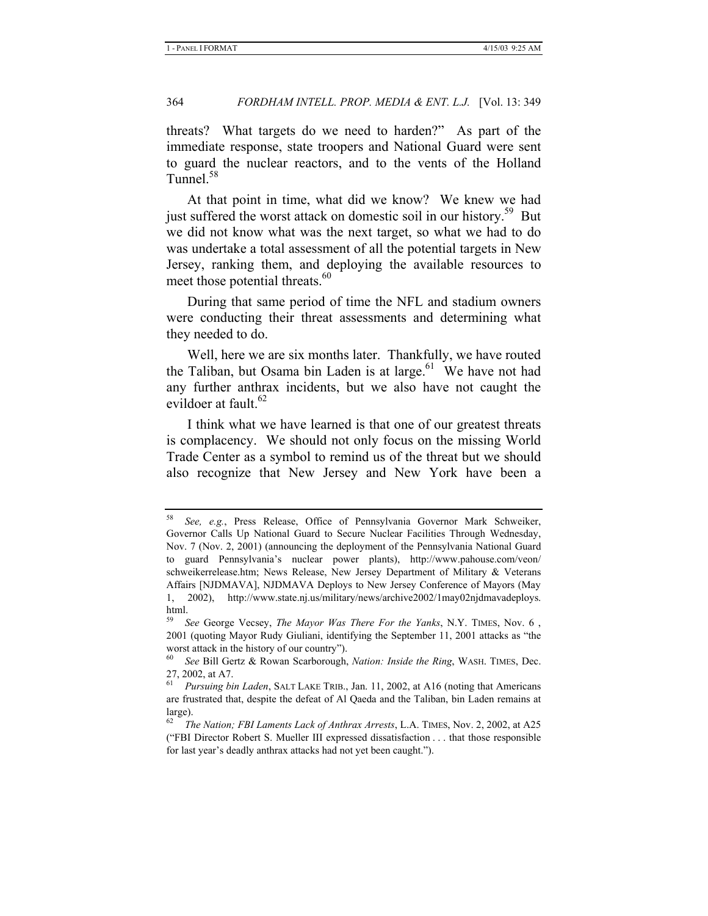threats? What targets do we need to harden?" As part of the immediate response, state troopers and National Guard were sent to guard the nuclear reactors, and to the vents of the Holland Tunnel.<sup>58</sup>

At that point in time, what did we know? We knew we had just suffered the worst attack on domestic soil in our history.<sup>59</sup> But we did not know what was the next target, so what we had to do was undertake a total assessment of all the potential targets in New Jersey, ranking them, and deploying the available resources to meet those potential threats.<sup>60</sup>

During that same period of time the NFL and stadium owners were conducting their threat assessments and determining what they needed to do.

Well, here we are six months later. Thankfully, we have routed the Taliban, but Osama bin Laden is at large.<sup>61</sup> We have not had any further anthrax incidents, but we also have not caught the evildoer at fault.<sup>62</sup>

I think what we have learned is that one of our greatest threats is complacency. We should not only focus on the missing World Trade Center as a symbol to remind us of the threat but we should also recognize that New Jersey and New York have been a

<sup>58</sup> *See, e.g.*, Press Release, Office of Pennsylvania Governor Mark Schweiker, Governor Calls Up National Guard to Secure Nuclear Facilities Through Wednesday, Nov. 7 (Nov. 2, 2001) (announcing the deployment of the Pennsylvania National Guard to guard Pennsylvania's nuclear power plants), http://www.pahouse.com/veon/ schweikerrelease.htm; News Release, New Jersey Department of Military & Veterans Affairs [NJDMAVA], NJDMAVA Deploys to New Jersey Conference of Mayors (May 1, 2002), http://www.state.nj.us/military/news/archive2002/1may02njdmavadeploys. html.

<sup>59</sup> *See* George Vecsey, *The Mayor Was There For the Yanks*, N.Y. TIMES, Nov. 6 , 2001 (quoting Mayor Rudy Giuliani, identifying the September 11, 2001 attacks as "the worst attack in the history of our country").

<sup>60</sup> *See* Bill Gertz & Rowan Scarborough, *Nation: Inside the Ring*, WASH. TIMES, Dec. 27, 2002, at A7.

Pursuing bin Laden, SALT LAKE TRIB., Jan. 11, 2002, at A16 (noting that Americans are frustrated that, despite the defeat of Al Qaeda and the Taliban, bin Laden remains at  $\frac{\text{large}}{62}$ .

<sup>62</sup> *The Nation; FBI Laments Lack of Anthrax Arrests*, L.A. TIMES, Nov. 2, 2002, at A25 ("FBI Director Robert S. Mueller III expressed dissatisfaction . . . that those responsible for last year's deadly anthrax attacks had not yet been caught.").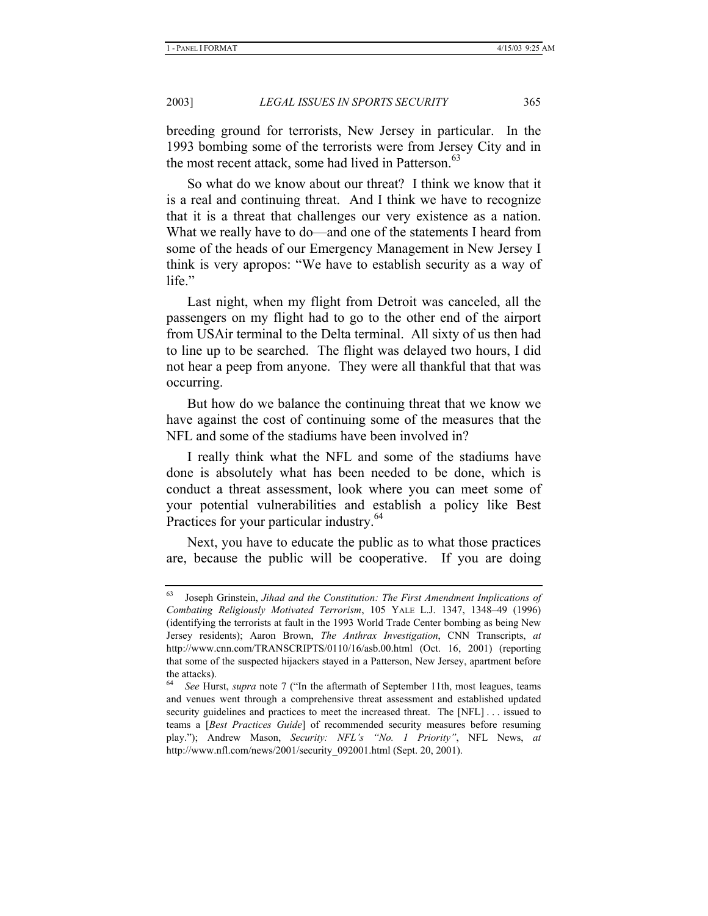breeding ground for terrorists, New Jersey in particular. In the 1993 bombing some of the terrorists were from Jersey City and in the most recent attack, some had lived in Patterson.<sup>63</sup>

So what do we know about our threat? I think we know that it is a real and continuing threat. And I think we have to recognize that it is a threat that challenges our very existence as a nation. What we really have to do—and one of the statements I heard from some of the heads of our Emergency Management in New Jersey I think is very apropos: "We have to establish security as a way of life."

Last night, when my flight from Detroit was canceled, all the passengers on my flight had to go to the other end of the airport from USAir terminal to the Delta terminal. All sixty of us then had to line up to be searched. The flight was delayed two hours, I did not hear a peep from anyone. They were all thankful that that was occurring.

But how do we balance the continuing threat that we know we have against the cost of continuing some of the measures that the NFL and some of the stadiums have been involved in?

I really think what the NFL and some of the stadiums have done is absolutely what has been needed to be done, which is conduct a threat assessment, look where you can meet some of your potential vulnerabilities and establish a policy like Best Practices for your particular industry.<sup>64</sup>

Next, you have to educate the public as to what those practices are, because the public will be cooperative. If you are doing

<sup>63</sup> Joseph Grinstein, *Jihad and the Constitution: The First Amendment Implications of Combating Religiously Motivated Terrorism*, 105 YALE L.J. 1347, 1348–49 (1996) (identifying the terrorists at fault in the 1993 World Trade Center bombing as being New Jersey residents); Aaron Brown, *The Anthrax Investigation*, CNN Transcripts, *at*  http://www.cnn.com/TRANSCRIPTS/0110/16/asb.00.html (Oct. 16, 2001) (reporting that some of the suspected hijackers stayed in a Patterson, New Jersey, apartment before the attacks).

<sup>64</sup> *See* Hurst, *supra* note 7 ("In the aftermath of September 11th, most leagues, teams and venues went through a comprehensive threat assessment and established updated security guidelines and practices to meet the increased threat. The [NFL] . . . issued to teams a [*Best Practices Guide*] of recommended security measures before resuming play."); Andrew Mason, *Security: NFL's "No. 1 Priority"*, NFL News, *at*  http://www.nfl.com/news/2001/security\_092001.html (Sept. 20, 2001).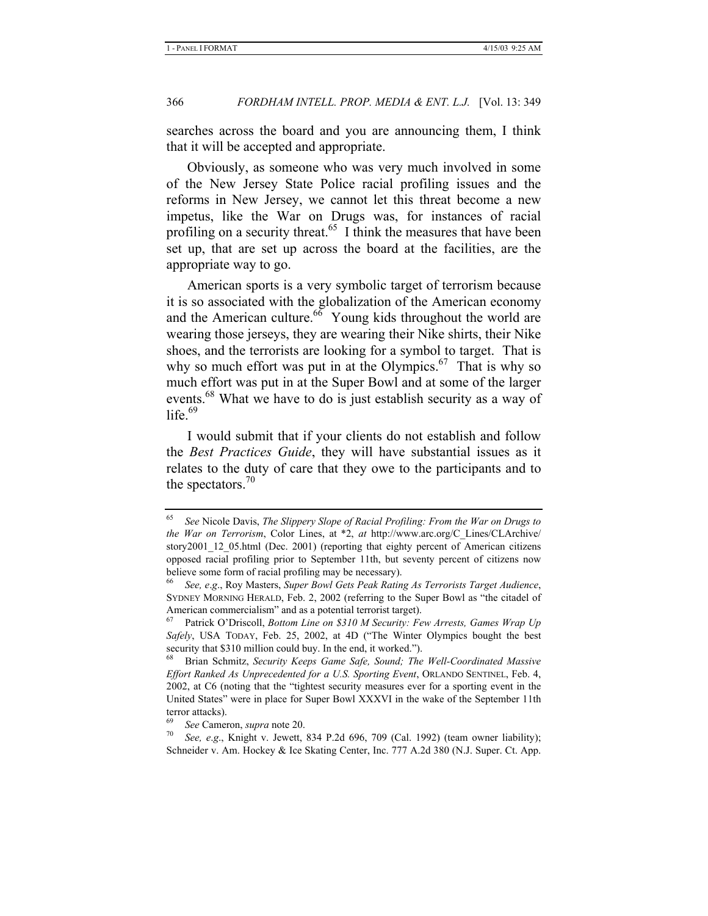searches across the board and you are announcing them, I think that it will be accepted and appropriate.

Obviously, as someone who was very much involved in some of the New Jersey State Police racial profiling issues and the reforms in New Jersey, we cannot let this threat become a new impetus, like the War on Drugs was, for instances of racial profiling on a security threat.<sup>65</sup> I think the measures that have been set up, that are set up across the board at the facilities, are the appropriate way to go.

American sports is a very symbolic target of terrorism because it is so associated with the globalization of the American economy and the American culture. $66$  Young kids throughout the world are wearing those jerseys, they are wearing their Nike shirts, their Nike shoes, and the terrorists are looking for a symbol to target. That is why so much effort was put in at the Olympics. $67$  That is why so much effort was put in at the Super Bowl and at some of the larger events.<sup>68</sup> What we have to do is just establish security as a way of life. $69$ 

I would submit that if your clients do not establish and follow the *Best Practices Guide*, they will have substantial issues as it relates to the duty of care that they owe to the participants and to the spectators. $70$ 

<sup>65</sup> *See* Nicole Davis, *The Slippery Slope of Racial Profiling: From the War on Drugs to the War on Terrorism*, Color Lines, at \*2, *at* http://www.arc.org/C\_Lines/CLArchive/ story2001\_12\_05.html (Dec. 2001) (reporting that eighty percent of American citizens opposed racial profiling prior to September 11th, but seventy percent of citizens now believe some form of racial profiling may be necessary).

<sup>66</sup> *See, e*.*g*., Roy Masters, *Super Bowl Gets Peak Rating As Terrorists Target Audience*, SYDNEY MORNING HERALD, Feb. 2, 2002 (referring to the Super Bowl as "the citadel of American commercialism" and as a potential terrorist target).

<sup>67</sup> Patrick O'Driscoll, *Bottom Line on \$310 M Security: Few Arrests, Games Wrap Up Safely*, USA TODAY, Feb. 25, 2002, at 4D ("The Winter Olympics bought the best security that \$310 million could buy. In the end, it worked.").

<sup>68</sup> Brian Schmitz, *Security Keeps Game Safe, Sound; The Well-Coordinated Massive Effort Ranked As Unprecedented for a U.S. Sporting Event*, ORLANDO SENTINEL, Feb. 4, 2002, at C6 (noting that the "tightest security measures ever for a sporting event in the United States" were in place for Super Bowl XXXVI in the wake of the September 11th terror attacks).

<sup>69</sup> *See* Cameron, *supra* note 20. 70 *See, <sup>e</sup>*.*g*., Knight v. Jewett, 834 P.2d 696, 709 (Cal. 1992) (team owner liability); Schneider v. Am. Hockey & Ice Skating Center, Inc. 777 A.2d 380 (N.J. Super. Ct. App.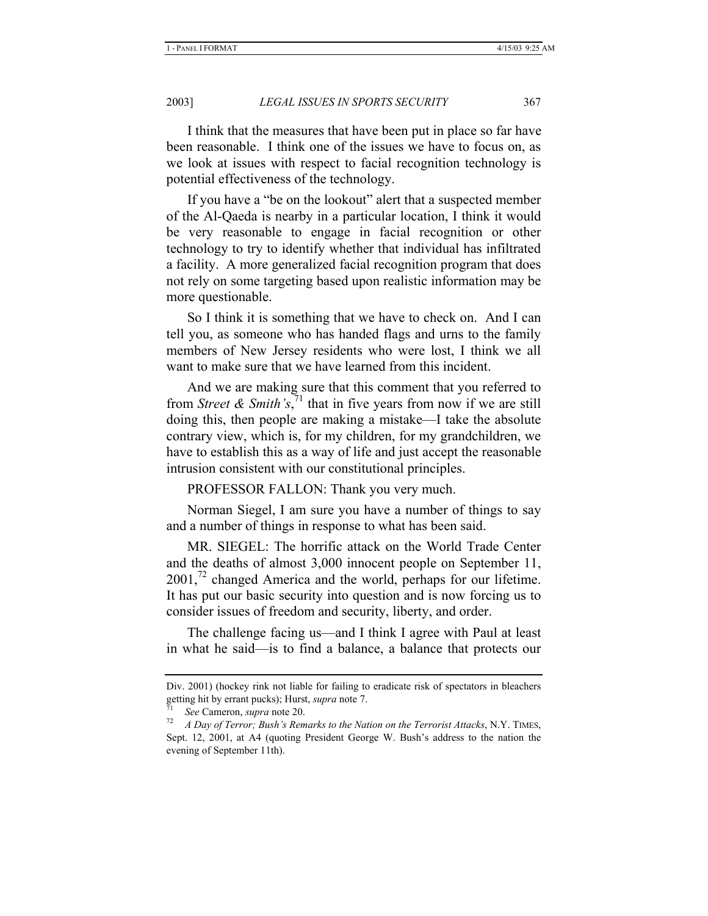I think that the measures that have been put in place so far have been reasonable. I think one of the issues we have to focus on, as we look at issues with respect to facial recognition technology is potential effectiveness of the technology.

If you have a "be on the lookout" alert that a suspected member of the Al-Qaeda is nearby in a particular location, I think it would be very reasonable to engage in facial recognition or other technology to try to identify whether that individual has infiltrated a facility. A more generalized facial recognition program that does not rely on some targeting based upon realistic information may be more questionable.

So I think it is something that we have to check on. And I can tell you, as someone who has handed flags and urns to the family members of New Jersey residents who were lost, I think we all want to make sure that we have learned from this incident.

And we are making sure that this comment that you referred to from *Street & Smith's*,<sup> $71$ </sup> that in five years from now if we are still doing this, then people are making a mistake—I take the absolute contrary view, which is, for my children, for my grandchildren, we have to establish this as a way of life and just accept the reasonable intrusion consistent with our constitutional principles.

PROFESSOR FALLON: Thank you very much.

Norman Siegel, I am sure you have a number of things to say and a number of things in response to what has been said.

MR. SIEGEL: The horrific attack on the World Trade Center and the deaths of almost 3,000 innocent people on September 11,  $2001$ ,<sup>72</sup> changed America and the world, perhaps for our lifetime. It has put our basic security into question and is now forcing us to consider issues of freedom and security, liberty, and order.

The challenge facing us—and I think I agree with Paul at least in what he said—is to find a balance, a balance that protects our

Div. 2001) (hockey rink not liable for failing to eradicate risk of spectators in bleachers getting hit by errant pucks); Hurst, *supra* note 7.<br><sup>71</sup> See Cameron, *supra* note 20.<br><sup>72</sup> A Day of Terror; Bush's Remarks to the Nation on the Terrorist Attacks, N.Y. TIMES,

Sept. 12, 2001, at A4 (quoting President George W. Bush's address to the nation the evening of September 11th).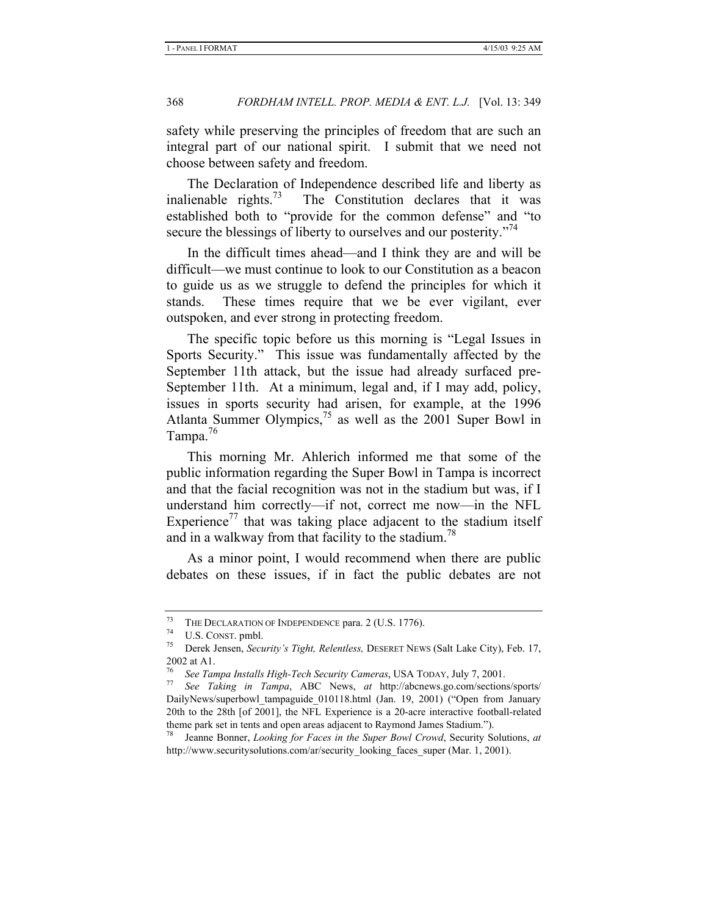safety while preserving the principles of freedom that are such an integral part of our national spirit. I submit that we need not choose between safety and freedom.

The Declaration of Independence described life and liberty as inalienable rights.<sup>73</sup> The Constitution declares that it was established both to "provide for the common defense" and "to secure the blessings of liberty to ourselves and our posterity."<sup>74</sup>

In the difficult times ahead—and I think they are and will be difficult—we must continue to look to our Constitution as a beacon to guide us as we struggle to defend the principles for which it stands. These times require that we be ever vigilant, ever outspoken, and ever strong in protecting freedom.

The specific topic before us this morning is "Legal Issues in Sports Security." This issue was fundamentally affected by the September 11th attack, but the issue had already surfaced pre-September 11th. At a minimum, legal and, if I may add, policy, issues in sports security had arisen, for example, at the 1996 Atlanta Summer Olympics, $^{75}$  as well as the 2001 Super Bowl in Tampa.<sup>76</sup>

This morning Mr. Ahlerich informed me that some of the public information regarding the Super Bowl in Tampa is incorrect and that the facial recognition was not in the stadium but was, if I understand him correctly—if not, correct me now—in the NFL Experience<sup>77</sup> that was taking place adjacent to the stadium itself and in a walkway from that facility to the stadium.<sup> $8$ </sup>

As a minor point, I would recommend when there are public debates on these issues, if in fact the public debates are not

<sup>73</sup> THE DECLARATION OF INDEPENDENCE para. 2 (U.S. 1776). 74 U.S. CONST. pmbl. 75 Derek Jensen, *Security's Tight, Relentless,* DESERET NEWS (Salt Lake City), Feb. 17, 2002 at A1.

<sup>76</sup> *See Tampa Installs High-Tech Security Cameras*, USA TODAY, July 7, 2001.

See Taking in Tampa, ABC News, at http://abcnews.go.com/sections/sports/ DailyNews/superbowl tampaguide 010118.html (Jan. 19, 2001) ("Open from January 20th to the 28th [of 2001], the NFL Experience is a 20-acre interactive football-related theme park set in tents and open areas adjacent to Raymond James Stadium.").

<sup>78</sup> Jeanne Bonner, *Looking for Faces in the Super Bowl Crowd*, Security Solutions, *at* http://www.securitysolutions.com/ar/security\_looking\_faces\_super (Mar. 1, 2001).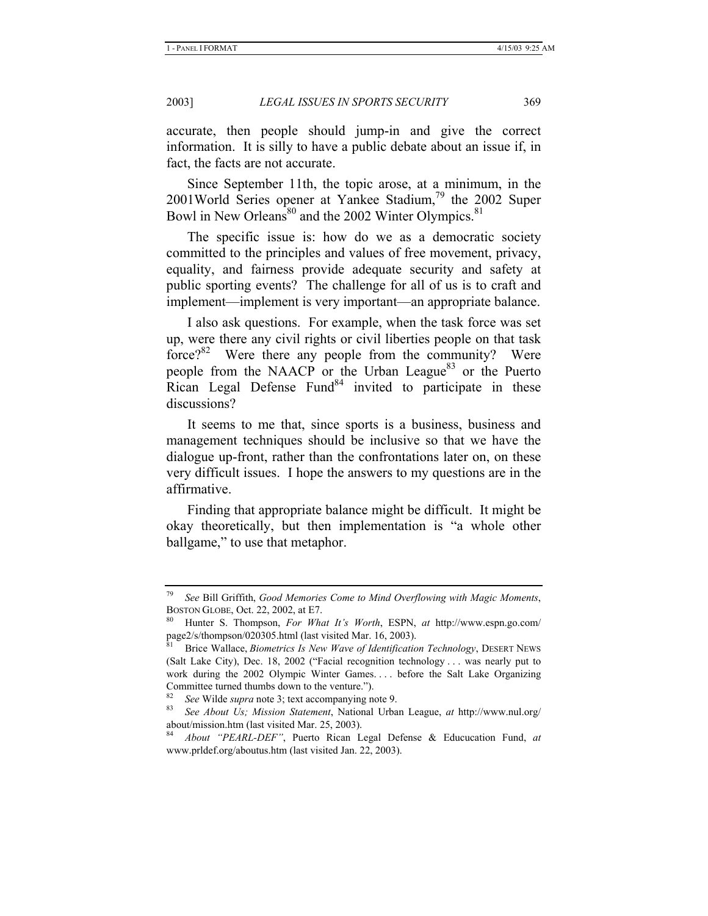accurate, then people should jump-in and give the correct information. It is silly to have a public debate about an issue if, in fact, the facts are not accurate.

Since September 11th, the topic arose, at a minimum, in the 2001World Series opener at Yankee Stadium,<sup>79</sup> the 2002 Super Bowl in New Orleans<sup>80</sup> and the 2002 Winter Olympics.<sup>81</sup>

The specific issue is: how do we as a democratic society committed to the principles and values of free movement, privacy, equality, and fairness provide adequate security and safety at public sporting events? The challenge for all of us is to craft and implement—implement is very important—an appropriate balance.

I also ask questions. For example, when the task force was set up, were there any civil rights or civil liberties people on that task force? $82$  Were there any people from the community? Were people from the NAACP or the Urban League<sup>83</sup> or the Puerto Rican Legal Defense Fund $84$  invited to participate in these discussions?

It seems to me that, since sports is a business, business and management techniques should be inclusive so that we have the dialogue up-front, rather than the confrontations later on, on these very difficult issues. I hope the answers to my questions are in the affirmative.

Finding that appropriate balance might be difficult. It might be okay theoretically, but then implementation is "a whole other ballgame," to use that metaphor.

<sup>79</sup> *See* Bill Griffith, *Good Memories Come to Mind Overflowing with Magic Moments*, BOSTON GLOBE, Oct. 22, 2002, at E7.<br><sup>80</sup> Hunter S. Thompson, *For What It's Worth*, ESPN, *at* http://www.espn.go.com/

page2/s/thompson/020305.html (last visited Mar. 16, 2003).

<sup>81</sup> Brice Wallace, *Biometrics Is New Wave of Identification Technology*, DESERT NEWS (Salt Lake City), Dec. 18, 2002 ("Facial recognition technology . . . was nearly put to work during the 2002 Olympic Winter Games. . . . before the Salt Lake Organizing Committee turned thumbs down to the venture.").

<sup>82</sup> *See* Wilde *supra* note 3; text accompanying note 9. 83 *See About Us; Mission Statement*, National Urban League, *at* http://www.nul.org/ about/mission.htm (last visited Mar. 25, 2003).

<sup>84</sup> *About "PEARL-DEF"*, Puerto Rican Legal Defense & Educucation Fund, *at*  www.prldef.org/aboutus.htm (last visited Jan. 22, 2003).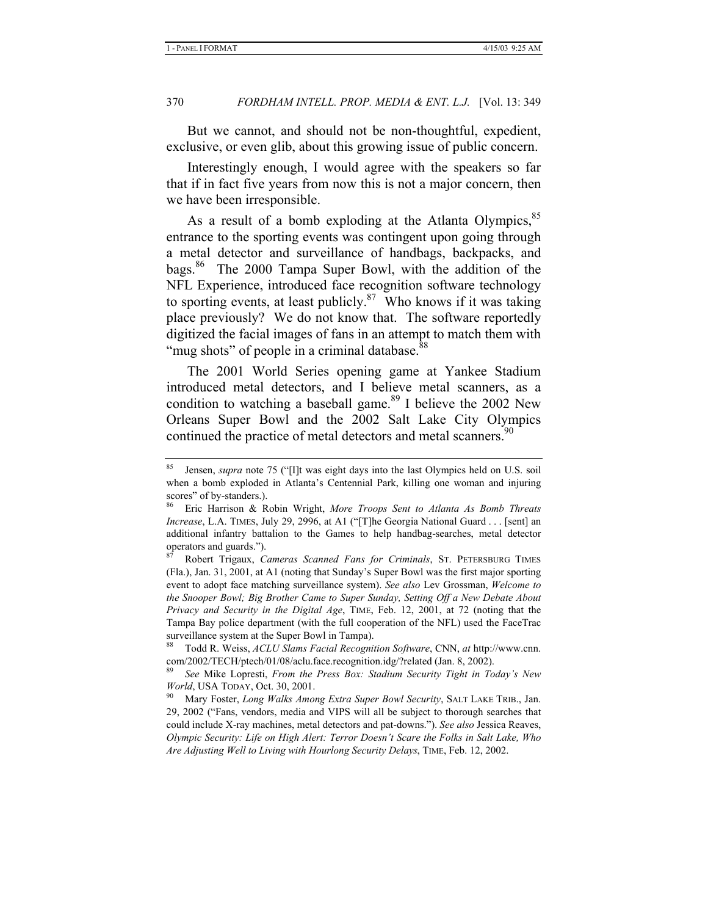But we cannot, and should not be non-thoughtful, expedient, exclusive, or even glib, about this growing issue of public concern.

Interestingly enough, I would agree with the speakers so far that if in fact five years from now this is not a major concern, then we have been irresponsible.

As a result of a bomb exploding at the Atlanta Olympics,<sup>85</sup> entrance to the sporting events was contingent upon going through a metal detector and surveillance of handbags, backpacks, and bags.<sup>86</sup> The 2000 Tampa Super Bowl, with the addition of the NFL Experience, introduced face recognition software technology to sporting events, at least publicly. $87$  Who knows if it was taking place previously? We do not know that. The software reportedly digitized the facial images of fans in an attempt to match them with "mug shots" of people in a criminal database.<sup>88</sup>

The 2001 World Series opening game at Yankee Stadium introduced metal detectors, and I believe metal scanners, as a condition to watching a baseball game.<sup>89</sup> I believe the 2002 New Orleans Super Bowl and the 2002 Salt Lake City Olympics continued the practice of metal detectors and metal scanners.<sup>90</sup>

<sup>85</sup> Jensen, *supra* note 75 ("[I]t was eight days into the last Olympics held on U.S. soil when a bomb exploded in Atlanta's Centennial Park, killing one woman and injuring scores" of by-standers.).

<sup>86</sup> Eric Harrison & Robin Wright, *More Troops Sent to Atlanta As Bomb Threats Increase*, L.A. TIMES, July 29, 2996, at A1 ("[T]he Georgia National Guard . . . [sent] an additional infantry battalion to the Games to help handbag-searches, metal detector operators and guards.").

<sup>87</sup> Robert Trigaux, *Cameras Scanned Fans for Criminals*, ST. PETERSBURG TIMES (Fla.), Jan. 31, 2001, at A1 (noting that Sunday's Super Bowl was the first major sporting event to adopt face matching surveillance system). *See also* Lev Grossman, *Welcome to the Snooper Bowl; Big Brother Came to Super Sunday, Setting Off a New Debate About Privacy and Security in the Digital Age*, TIME, Feb. 12, 2001, at 72 (noting that the Tampa Bay police department (with the full cooperation of the NFL) used the FaceTrac surveillance system at the Super Bowl in Tampa).

<sup>88</sup> Todd R. Weiss, *ACLU Slams Facial Recognition Software*, CNN, *at* http://www.cnn. com/2002/TECH/ptech/01/08/aclu.face.recognition.idg/?related (Jan. 8, 2002).

<sup>89</sup> *See* Mike Lopresti, *From the Press Box: Stadium Security Tight in Today's New World*, USA TODAY, Oct. 30, 2001.

<sup>90</sup> Mary Foster, *Long Walks Among Extra Super Bowl Security*, SALT LAKE TRIB., Jan. 29, 2002 ("Fans, vendors, media and VIPS will all be subject to thorough searches that could include X-ray machines, metal detectors and pat-downs."). *See also* Jessica Reaves, *Olympic Security: Life on High Alert: Terror Doesn't Scare the Folks in Salt Lake, Who Are Adjusting Well to Living with Hourlong Security Delays*, TIME, Feb. 12, 2002.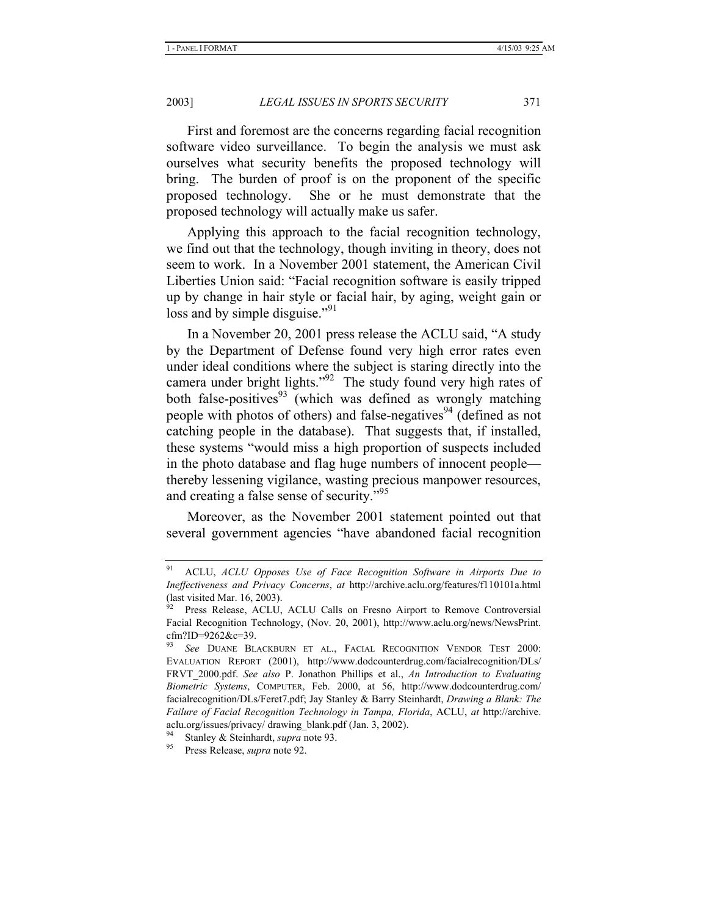First and foremost are the concerns regarding facial recognition software video surveillance. To begin the analysis we must ask ourselves what security benefits the proposed technology will bring. The burden of proof is on the proponent of the specific proposed technology. She or he must demonstrate that the proposed technology will actually make us safer.

Applying this approach to the facial recognition technology, we find out that the technology, though inviting in theory, does not seem to work. In a November 2001 statement, the American Civil Liberties Union said: "Facial recognition software is easily tripped up by change in hair style or facial hair, by aging, weight gain or loss and by simple disguise."<sup>91</sup>

In a November 20, 2001 press release the ACLU said, "A study by the Department of Defense found very high error rates even under ideal conditions where the subject is staring directly into the camera under bright lights."<sup>92</sup> The study found very high rates of both false-positives<sup>93</sup> (which was defined as wrongly matching people with photos of others) and false-negatives<sup>94</sup> (defined as not catching people in the database). That suggests that, if installed, these systems "would miss a high proportion of suspects included in the photo database and flag huge numbers of innocent people thereby lessening vigilance, wasting precious manpower resources, and creating a false sense of security."<sup>95</sup>

Moreover, as the November 2001 statement pointed out that several government agencies "have abandoned facial recognition

95 Press Release, *supra* note 92.

<sup>91</sup> ACLU, *ACLU Opposes Use of Face Recognition Software in Airports Due to Ineffectiveness and Privacy Concerns*, *at* http://archive.aclu.org/features/f110101a.html (last visited Mar. 16, 2003).

Press Release, ACLU, ACLU Calls on Fresno Airport to Remove Controversial Facial Recognition Technology, (Nov. 20, 2001), http://www.aclu.org/news/NewsPrint. cfm?ID=9262&c=39.

<sup>93</sup> *See* DUANE BLACKBURN ET AL., FACIAL RECOGNITION VENDOR TEST 2000: EVALUATION REPORT (2001), http://www.dodcounterdrug.com/facialrecognition/DLs/ FRVT\_2000.pdf. *See also* P. Jonathon Phillips et al., *An Introduction to Evaluating Biometric Systems*, COMPUTER, Feb. 2000, at 56, http://www.dodcounterdrug.com/ facialrecognition/DLs/Feret7.pdf; Jay Stanley & Barry Steinhardt, *Drawing a Blank: The Failure of Facial Recognition Technology in Tampa, Florida*, ACLU, *at* http://archive. aclu.org/issues/privacy/ drawing\_blank.pdf (Jan. 3, 2002).

<sup>&</sup>lt;sup>94</sup> Stanley & Steinhardt, *supra* note 93.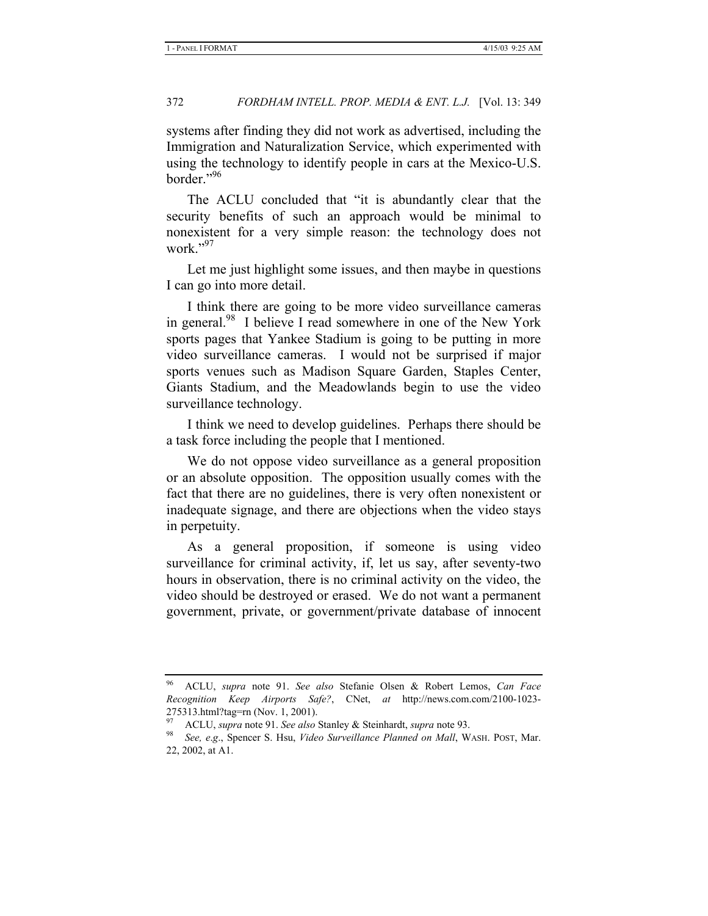systems after finding they did not work as advertised, including the Immigration and Naturalization Service, which experimented with using the technology to identify people in cars at the Mexico-U.S. border."96

The ACLU concluded that "it is abundantly clear that the security benefits of such an approach would be minimal to nonexistent for a very simple reason: the technology does not work."<sup>97</sup>

Let me just highlight some issues, and then maybe in questions I can go into more detail.

I think there are going to be more video surveillance cameras in general.<sup>98</sup> I believe I read somewhere in one of the New York sports pages that Yankee Stadium is going to be putting in more video surveillance cameras. I would not be surprised if major sports venues such as Madison Square Garden, Staples Center, Giants Stadium, and the Meadowlands begin to use the video surveillance technology.

I think we need to develop guidelines. Perhaps there should be a task force including the people that I mentioned.

We do not oppose video surveillance as a general proposition or an absolute opposition. The opposition usually comes with the fact that there are no guidelines, there is very often nonexistent or inadequate signage, and there are objections when the video stays in perpetuity.

As a general proposition, if someone is using video surveillance for criminal activity, if, let us say, after seventy-two hours in observation, there is no criminal activity on the video, the video should be destroyed or erased. We do not want a permanent government, private, or government/private database of innocent

<sup>96</sup> ACLU, *supra* note 91. *See also* Stefanie Olsen & Robert Lemos, *Can Face Recognition Keep Airports Safe?*, CNet, *at* http://news.com.com/2100-1023- 275313.html?tag=rn (Nov. 1, 2001).

<sup>97</sup> ACLU, *supra* note 91. *See also* Stanley & Steinhardt, *supra* note 93.

<sup>98</sup> *See, e*.*g*., Spencer S. Hsu, *Video Surveillance Planned on Mall*, WASH. POST, Mar. 22, 2002, at A1.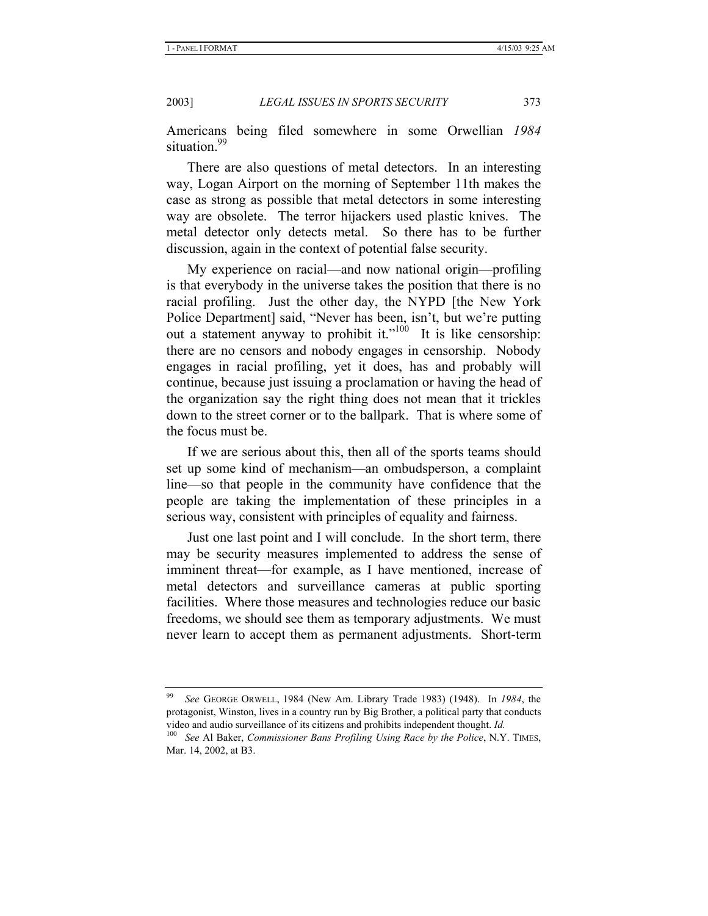Americans being filed somewhere in some Orwellian *1984* situation.<sup>99</sup>

There are also questions of metal detectors. In an interesting way, Logan Airport on the morning of September 11th makes the case as strong as possible that metal detectors in some interesting way are obsolete. The terror hijackers used plastic knives. The metal detector only detects metal. So there has to be further discussion, again in the context of potential false security.

My experience on racial—and now national origin—profiling is that everybody in the universe takes the position that there is no racial profiling. Just the other day, the NYPD [the New York Police Department] said, "Never has been, isn't, but we're putting out a statement anyway to prohibit it."<sup>100</sup> It is like censorship: there are no censors and nobody engages in censorship. Nobody engages in racial profiling, yet it does, has and probably will continue, because just issuing a proclamation or having the head of the organization say the right thing does not mean that it trickles down to the street corner or to the ballpark. That is where some of the focus must be.

If we are serious about this, then all of the sports teams should set up some kind of mechanism—an ombudsperson, a complaint line—so that people in the community have confidence that the people are taking the implementation of these principles in a serious way, consistent with principles of equality and fairness.

Just one last point and I will conclude. In the short term, there may be security measures implemented to address the sense of imminent threat—for example, as I have mentioned, increase of metal detectors and surveillance cameras at public sporting facilities. Where those measures and technologies reduce our basic freedoms, we should see them as temporary adjustments. We must never learn to accept them as permanent adjustments. Short-term

<sup>99</sup> *See* GEORGE ORWELL, 1984 (New Am. Library Trade 1983) (1948). In *1984*, the protagonist, Winston, lives in a country run by Big Brother, a political party that conducts video and audio surveillance of its citizens and prohibits independent thought. *Id.* 

<sup>100</sup> *See* Al Baker, *Commissioner Bans Profiling Using Race by the Police*, N.Y. TIMES, Mar. 14, 2002, at B3.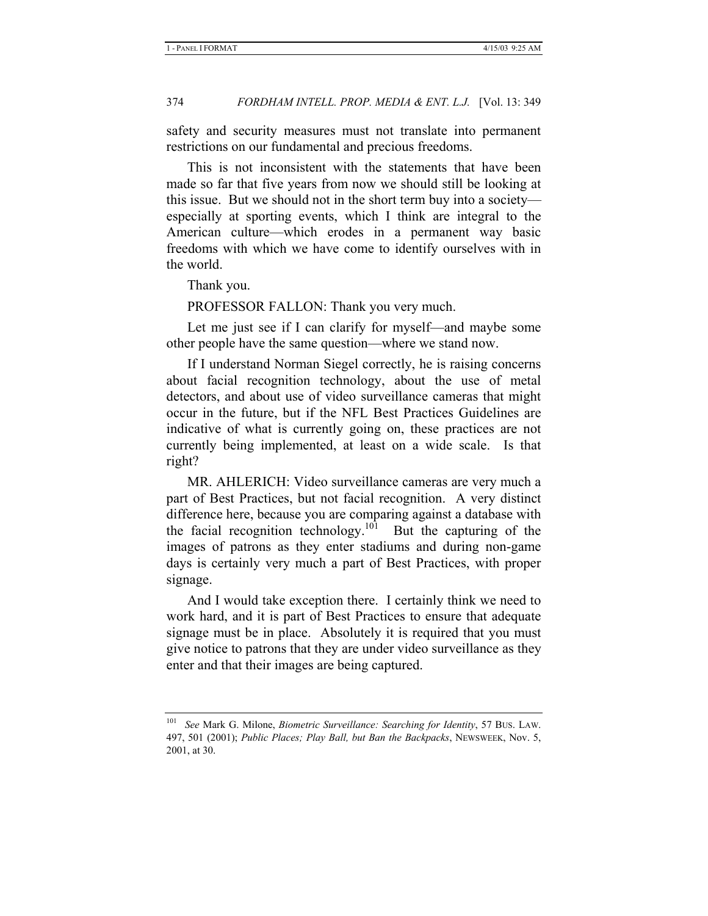safety and security measures must not translate into permanent restrictions on our fundamental and precious freedoms.

This is not inconsistent with the statements that have been made so far that five years from now we should still be looking at this issue. But we should not in the short term buy into a society especially at sporting events, which I think are integral to the American culture—which erodes in a permanent way basic freedoms with which we have come to identify ourselves with in the world.

Thank you.

PROFESSOR FALLON: Thank you very much.

Let me just see if I can clarify for myself—and maybe some other people have the same question—where we stand now.

If I understand Norman Siegel correctly, he is raising concerns about facial recognition technology, about the use of metal detectors, and about use of video surveillance cameras that might occur in the future, but if the NFL Best Practices Guidelines are indicative of what is currently going on, these practices are not currently being implemented, at least on a wide scale. Is that right?

MR. AHLERICH: Video surveillance cameras are very much a part of Best Practices, but not facial recognition. A very distinct difference here, because you are comparing against a database with the facial recognition technology.<sup>101</sup> But the capturing of the images of patrons as they enter stadiums and during non-game days is certainly very much a part of Best Practices, with proper signage.

And I would take exception there. I certainly think we need to work hard, and it is part of Best Practices to ensure that adequate signage must be in place. Absolutely it is required that you must give notice to patrons that they are under video surveillance as they enter and that their images are being captured.

<sup>101</sup> *See* Mark G. Milone, *Biometric Surveillance: Searching for Identity*, 57 BUS. LAW. 497, 501 (2001); *Public Places; Play Ball, but Ban the Backpacks*, NEWSWEEK, Nov. 5, 2001, at 30.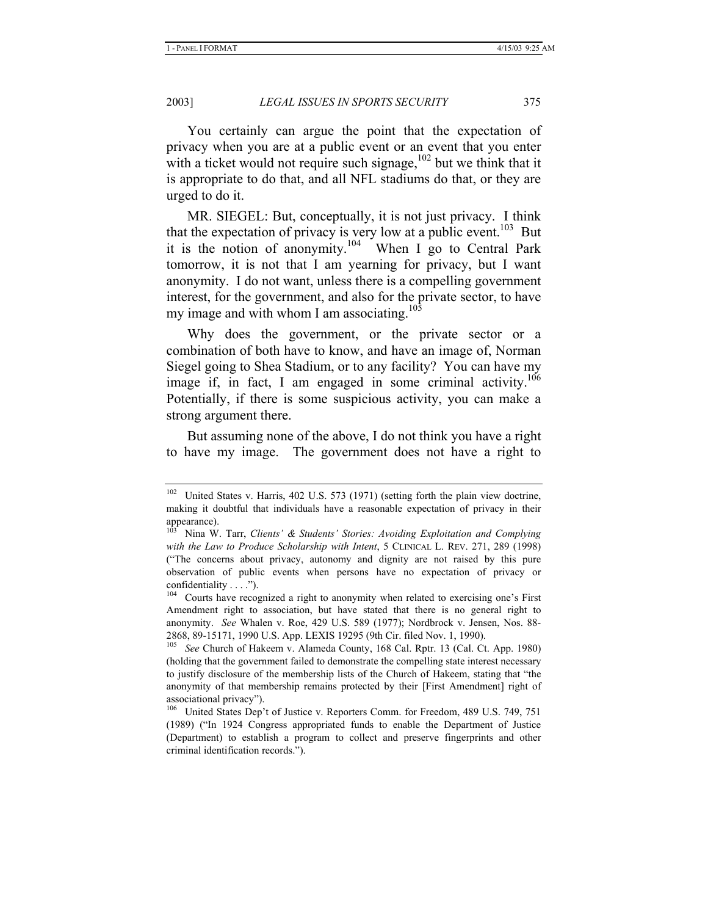You certainly can argue the point that the expectation of privacy when you are at a public event or an event that you enter with a ticket would not require such signage, $102$  but we think that it is appropriate to do that, and all NFL stadiums do that, or they are urged to do it.

MR. SIEGEL: But, conceptually, it is not just privacy. I think that the expectation of privacy is very low at a public event.<sup>103</sup> But it is the notion of anonymity.<sup>104</sup> When I go to Central Park tomorrow, it is not that I am yearning for privacy, but I want anonymity. I do not want, unless there is a compelling government interest, for the government, and also for the private sector, to have my image and with whom I am associating.<sup>105</sup>

Why does the government, or the private sector or a combination of both have to know, and have an image of, Norman Siegel going to Shea Stadium, or to any facility? You can have my image if, in fact, I am engaged in some criminal activity.<sup>106</sup> Potentially, if there is some suspicious activity, you can make a strong argument there.

But assuming none of the above, I do not think you have a right to have my image. The government does not have a right to

<sup>&</sup>lt;sup>102</sup> United States v. Harris, 402 U.S. 573 (1971) (setting forth the plain view doctrine, making it doubtful that individuals have a reasonable expectation of privacy in their appearance).

<sup>103</sup> Nina W. Tarr, *Clients' & Students' Stories: Avoiding Exploitation and Complying with the Law to Produce Scholarship with Intent*, 5 CLINICAL L. REV. 271, 289 (1998) ("The concerns about privacy, autonomy and dignity are not raised by this pure observation of public events when persons have no expectation of privacy or confidentiality . . . .").

<sup>&</sup>lt;sup>104</sup> Courts have recognized a right to anonymity when related to exercising one's First Amendment right to association, but have stated that there is no general right to anonymity. *See* Whalen v. Roe, 429 U.S. 589 (1977); Nordbrock v. Jensen, Nos. 88- 2868, 89-15171, 1990 U.S. App. LEXIS 19295 (9th Cir. filed Nov. 1, 1990).

<sup>105</sup> *See* Church of Hakeem v. Alameda County, 168 Cal. Rptr. 13 (Cal. Ct. App. 1980) (holding that the government failed to demonstrate the compelling state interest necessary to justify disclosure of the membership lists of the Church of Hakeem, stating that "the anonymity of that membership remains protected by their [First Amendment] right of associational privacy").

<sup>106</sup> United States Dep't of Justice v. Reporters Comm. for Freedom, 489 U.S. 749, 751 (1989) ("In 1924 Congress appropriated funds to enable the Department of Justice (Department) to establish a program to collect and preserve fingerprints and other criminal identification records.").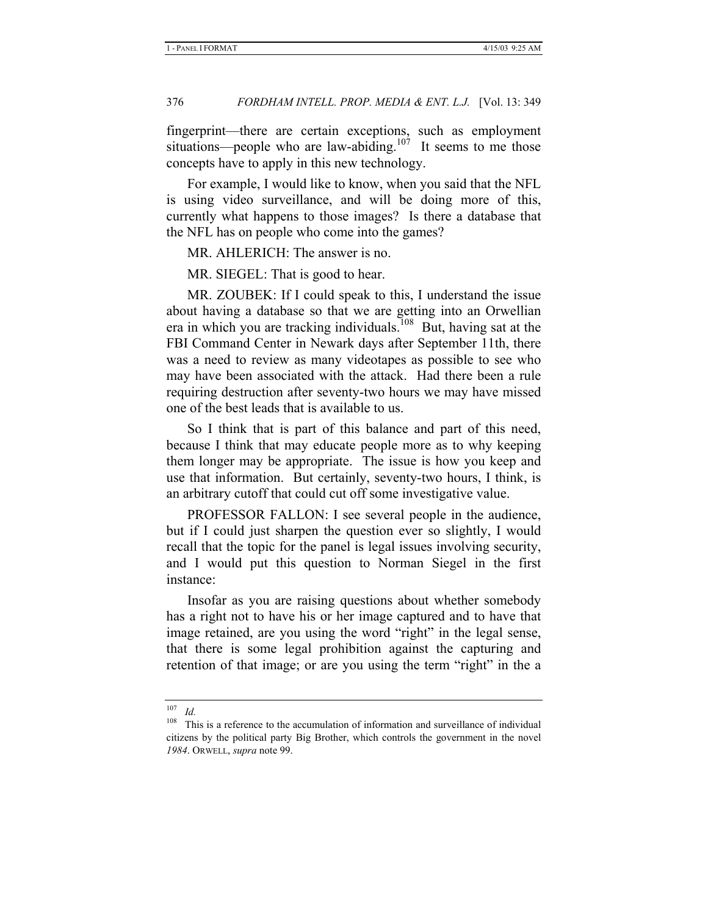fingerprint—there are certain exceptions, such as employment situations—people who are law-abiding.<sup>107</sup> It seems to me those concepts have to apply in this new technology.

For example, I would like to know, when you said that the NFL is using video surveillance, and will be doing more of this, currently what happens to those images? Is there a database that the NFL has on people who come into the games?

MR. AHLERICH: The answer is no.

MR. SIEGEL: That is good to hear.

MR. ZOUBEK: If I could speak to this, I understand the issue about having a database so that we are getting into an Orwellian era in which you are tracking individuals.108 But, having sat at the FBI Command Center in Newark days after September 11th, there was a need to review as many videotapes as possible to see who may have been associated with the attack. Had there been a rule requiring destruction after seventy-two hours we may have missed one of the best leads that is available to us.

So I think that is part of this balance and part of this need, because I think that may educate people more as to why keeping them longer may be appropriate. The issue is how you keep and use that information. But certainly, seventy-two hours, I think, is an arbitrary cutoff that could cut off some investigative value.

PROFESSOR FALLON: I see several people in the audience, but if I could just sharpen the question ever so slightly, I would recall that the topic for the panel is legal issues involving security, and I would put this question to Norman Siegel in the first instance:

Insofar as you are raising questions about whether somebody has a right not to have his or her image captured and to have that image retained, are you using the word "right" in the legal sense, that there is some legal prohibition against the capturing and retention of that image; or are you using the term "right" in the a

<sup>107</sup> *Id.*

<sup>&</sup>lt;sup>108</sup> This is a reference to the accumulation of information and surveillance of individual citizens by the political party Big Brother, which controls the government in the novel *1984*. ORWELL, *supra* note 99.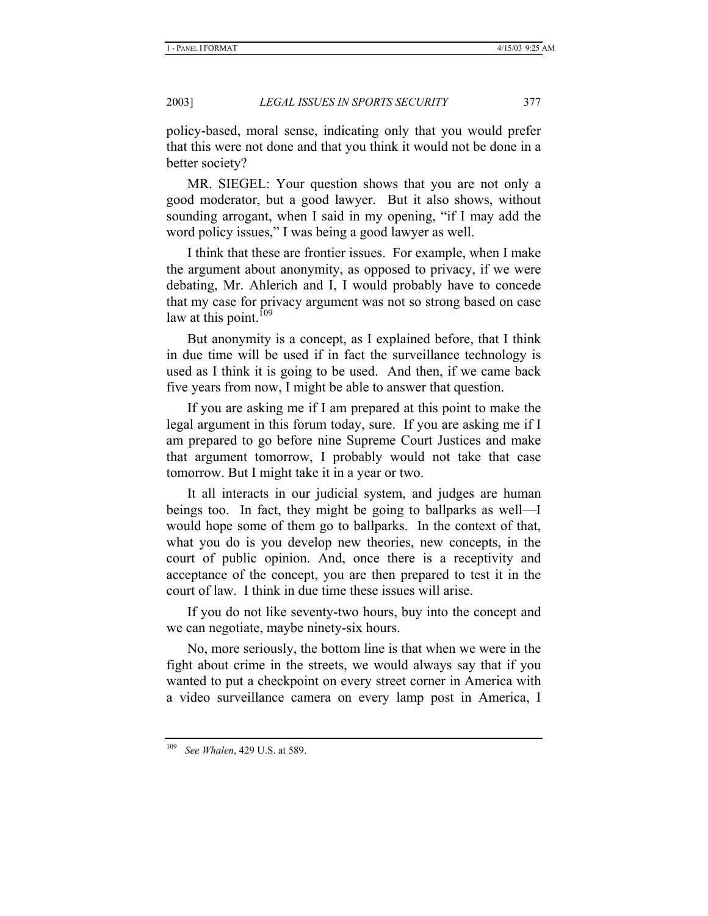policy-based, moral sense, indicating only that you would prefer that this were not done and that you think it would not be done in a better society?

MR. SIEGEL: Your question shows that you are not only a good moderator, but a good lawyer. But it also shows, without sounding arrogant, when I said in my opening, "if I may add the word policy issues," I was being a good lawyer as well.

I think that these are frontier issues. For example, when I make the argument about anonymity, as opposed to privacy, if we were debating, Mr. Ahlerich and I, I would probably have to concede that my case for privacy argument was not so strong based on case law at this point. $109$ 

But anonymity is a concept, as I explained before, that I think in due time will be used if in fact the surveillance technology is used as I think it is going to be used. And then, if we came back five years from now, I might be able to answer that question.

If you are asking me if I am prepared at this point to make the legal argument in this forum today, sure. If you are asking me if I am prepared to go before nine Supreme Court Justices and make that argument tomorrow, I probably would not take that case tomorrow. But I might take it in a year or two.

It all interacts in our judicial system, and judges are human beings too. In fact, they might be going to ballparks as well—I would hope some of them go to ballparks. In the context of that, what you do is you develop new theories, new concepts, in the court of public opinion. And, once there is a receptivity and acceptance of the concept, you are then prepared to test it in the court of law. I think in due time these issues will arise.

If you do not like seventy-two hours, buy into the concept and we can negotiate, maybe ninety-six hours.

No, more seriously, the bottom line is that when we were in the fight about crime in the streets, we would always say that if you wanted to put a checkpoint on every street corner in America with a video surveillance camera on every lamp post in America, I

<sup>109</sup> *See Whalen*, 429 U.S. at 589.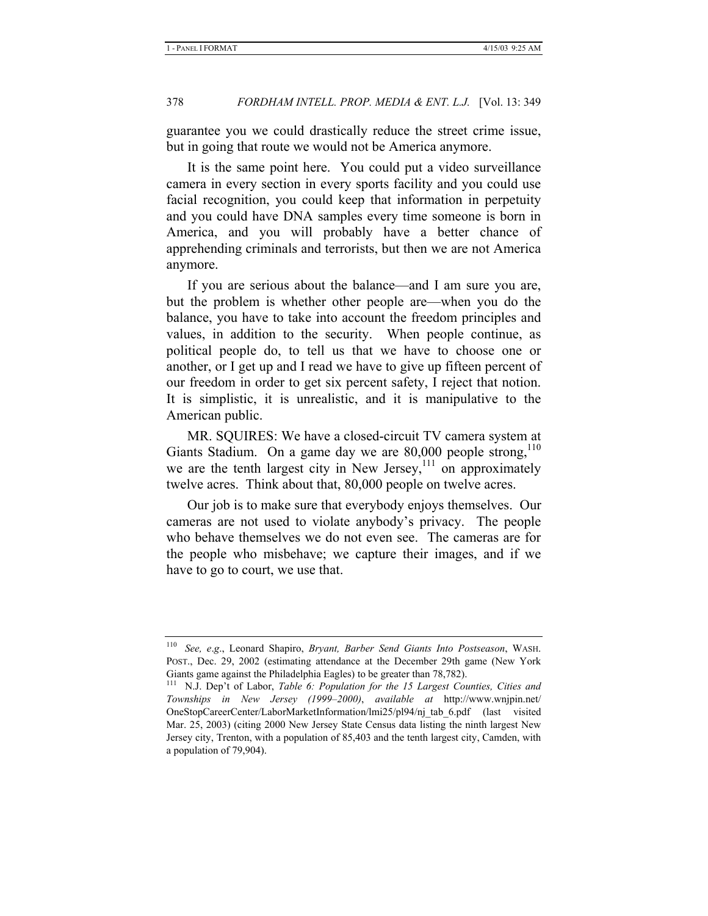guarantee you we could drastically reduce the street crime issue, but in going that route we would not be America anymore.

It is the same point here. You could put a video surveillance camera in every section in every sports facility and you could use facial recognition, you could keep that information in perpetuity and you could have DNA samples every time someone is born in America, and you will probably have a better chance of apprehending criminals and terrorists, but then we are not America anymore.

If you are serious about the balance—and I am sure you are, but the problem is whether other people are—when you do the balance, you have to take into account the freedom principles and values, in addition to the security. When people continue, as political people do, to tell us that we have to choose one or another, or I get up and I read we have to give up fifteen percent of our freedom in order to get six percent safety, I reject that notion. It is simplistic, it is unrealistic, and it is manipulative to the American public.

MR. SQUIRES: We have a closed-circuit TV camera system at Giants Stadium. On a game day we are  $80,000$  people strong,  $110$ we are the tenth largest city in New Jersey,  $\frac{1}{11}$  on approximately twelve acres. Think about that, 80,000 people on twelve acres.

Our job is to make sure that everybody enjoys themselves. Our cameras are not used to violate anybody's privacy. The people who behave themselves we do not even see. The cameras are for the people who misbehave; we capture their images, and if we have to go to court, we use that.

<sup>110</sup> *See, e*.*g*., Leonard Shapiro, *Bryant, Barber Send Giants Into Postseason*, WASH. POST., Dec. 29, 2002 (estimating attendance at the December 29th game (New York Giants game against the Philadelphia Eagles) to be greater than 78,782).

<sup>111</sup> N.J. Dep't of Labor, *Table 6: Population for the 15 Largest Counties, Cities and Townships in New Jersey (1999–2000)*, *available at* http://www.wnjpin.net/ OneStopCareerCenter/LaborMarketInformation/lmi25/pl94/nj\_tab\_6.pdf (last visited Mar. 25, 2003) (citing 2000 New Jersey State Census data listing the ninth largest New Jersey city, Trenton, with a population of 85,403 and the tenth largest city, Camden, with a population of 79,904).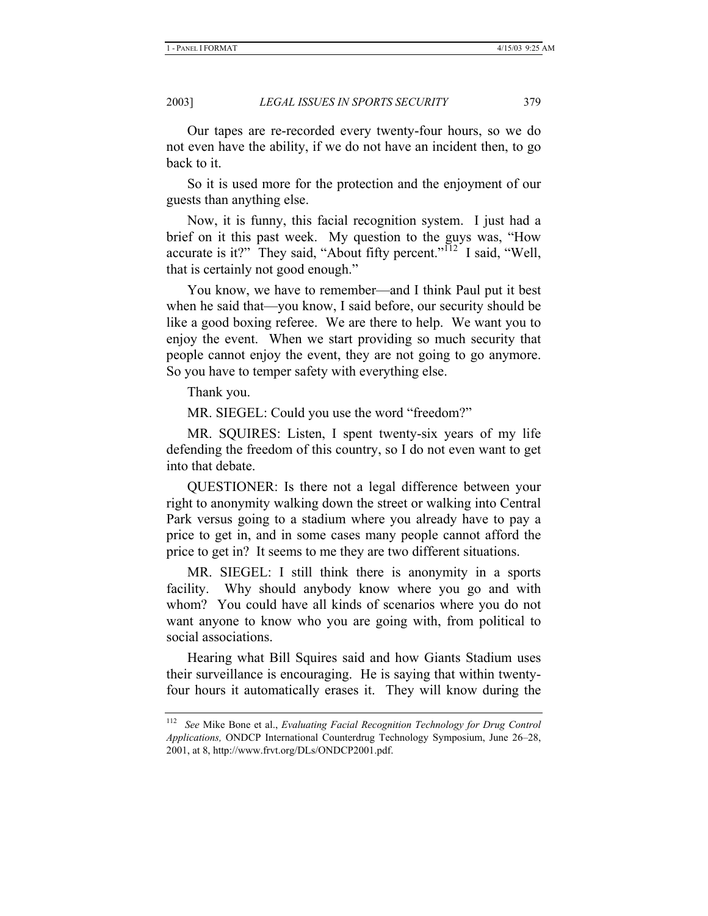Our tapes are re-recorded every twenty-four hours, so we do not even have the ability, if we do not have an incident then, to go back to it.

So it is used more for the protection and the enjoyment of our guests than anything else.

Now, it is funny, this facial recognition system. I just had a brief on it this past week. My question to the guys was, "How accurate is it?" They said, "About fifty percent." $1^{12}$  I said, "Well, that is certainly not good enough."

You know, we have to remember—and I think Paul put it best when he said that—you know, I said before, our security should be like a good boxing referee. We are there to help. We want you to enjoy the event. When we start providing so much security that people cannot enjoy the event, they are not going to go anymore. So you have to temper safety with everything else.

Thank you.

MR. SIEGEL: Could you use the word "freedom?"

MR. SQUIRES: Listen, I spent twenty-six years of my life defending the freedom of this country, so I do not even want to get into that debate.

QUESTIONER: Is there not a legal difference between your right to anonymity walking down the street or walking into Central Park versus going to a stadium where you already have to pay a price to get in, and in some cases many people cannot afford the price to get in? It seems to me they are two different situations.

MR. SIEGEL: I still think there is anonymity in a sports facility. Why should anybody know where you go and with whom? You could have all kinds of scenarios where you do not want anyone to know who you are going with, from political to social associations.

Hearing what Bill Squires said and how Giants Stadium uses their surveillance is encouraging. He is saying that within twentyfour hours it automatically erases it. They will know during the

<sup>112</sup> *See* Mike Bone et al., *Evaluating Facial Recognition Technology for Drug Control Applications,* ONDCP International Counterdrug Technology Symposium, June 26–28, 2001, at 8, http://www.frvt.org/DLs/ONDCP2001.pdf.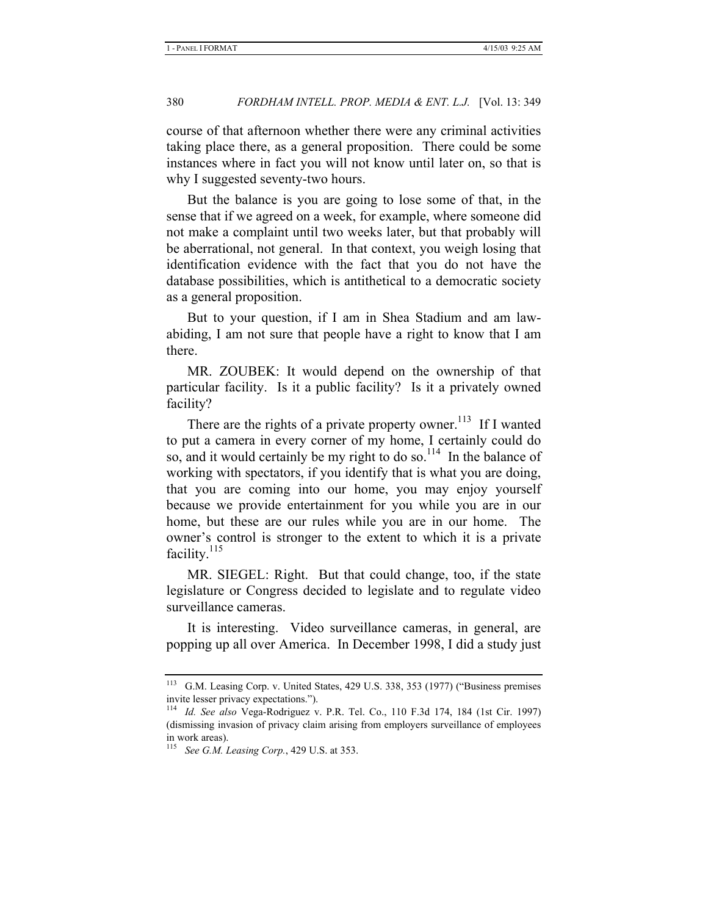course of that afternoon whether there were any criminal activities taking place there, as a general proposition. There could be some instances where in fact you will not know until later on, so that is why I suggested seventy-two hours.

But the balance is you are going to lose some of that, in the sense that if we agreed on a week, for example, where someone did not make a complaint until two weeks later, but that probably will be aberrational, not general. In that context, you weigh losing that identification evidence with the fact that you do not have the database possibilities, which is antithetical to a democratic society as a general proposition.

But to your question, if I am in Shea Stadium and am lawabiding, I am not sure that people have a right to know that I am there.

MR. ZOUBEK: It would depend on the ownership of that particular facility. Is it a public facility? Is it a privately owned facility?

There are the rights of a private property owner.<sup>113</sup> If I wanted to put a camera in every corner of my home, I certainly could do so, and it would certainly be my right to do so.<sup>114</sup> In the balance of working with spectators, if you identify that is what you are doing, that you are coming into our home, you may enjoy yourself because we provide entertainment for you while you are in our home, but these are our rules while you are in our home. The owner's control is stronger to the extent to which it is a private facility.<sup>115</sup>

MR. SIEGEL: Right. But that could change, too, if the state legislature or Congress decided to legislate and to regulate video surveillance cameras.

It is interesting. Video surveillance cameras, in general, are popping up all over America. In December 1998, I did a study just

<sup>113</sup> G.M. Leasing Corp. v. United States, 429 U.S. 338, 353 (1977) ("Business premises invite lesser privacy expectations.").

<sup>114</sup> *Id. See also* Vega-Rodriguez v. P.R. Tel. Co., 110 F.3d 174, 184 (1st Cir. 1997) (dismissing invasion of privacy claim arising from employers surveillance of employees in work areas).

<sup>115</sup> *See G.M. Leasing Corp.*, 429 U.S. at 353.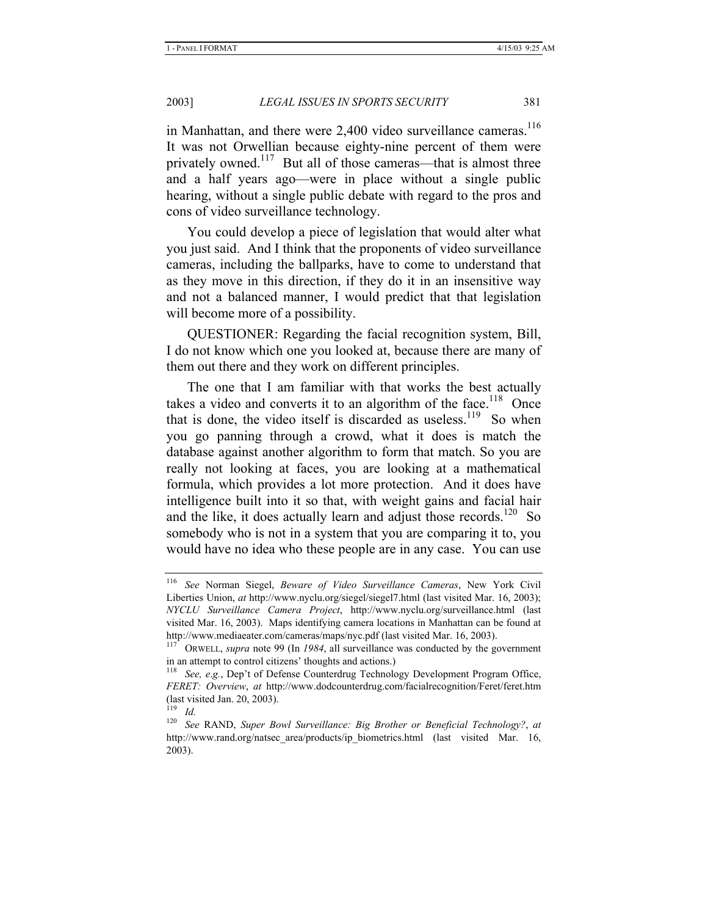in Manhattan, and there were 2,400 video surveillance cameras.<sup>116</sup> It was not Orwellian because eighty-nine percent of them were privately owned.<sup>117</sup> But all of those cameras—that is almost three and a half years ago—were in place without a single public hearing, without a single public debate with regard to the pros and cons of video surveillance technology.

You could develop a piece of legislation that would alter what you just said. And I think that the proponents of video surveillance cameras, including the ballparks, have to come to understand that as they move in this direction, if they do it in an insensitive way and not a balanced manner, I would predict that that legislation will become more of a possibility.

QUESTIONER: Regarding the facial recognition system, Bill, I do not know which one you looked at, because there are many of them out there and they work on different principles.

The one that I am familiar with that works the best actually takes a video and converts it to an algorithm of the face.<sup>118</sup> Once that is done, the video itself is discarded as useless.<sup>119</sup> So when you go panning through a crowd, what it does is match the database against another algorithm to form that match. So you are really not looking at faces, you are looking at a mathematical formula, which provides a lot more protection. And it does have intelligence built into it so that, with weight gains and facial hair and the like, it does actually learn and adjust those records.<sup>120</sup> So somebody who is not in a system that you are comparing it to, you would have no idea who these people are in any case. You can use

<sup>116</sup> *See* Norman Siegel, *Beware of Video Surveillance Cameras*, New York Civil Liberties Union, *at* http://www.nyclu.org/siegel/siegel7.html (last visited Mar. 16, 2003); *NYCLU Surveillance Camera Project*, http://www.nyclu.org/surveillance.html (last visited Mar. 16, 2003). Maps identifying camera locations in Manhattan can be found at http://www.mediaeater.com/cameras/maps/nyc.pdf (last visited Mar. 16, 2003).

ORWELL, *supra* note 99 (In 1984, all surveillance was conducted by the government in an attempt to control citizens' thoughts and actions.)

<sup>&</sup>lt;sup>118</sup> See, e.g., Dep't of Defense Counterdrug Technology Development Program Office, *FERET: Overview*, *at* http://www.dodcounterdrug.com/facialrecognition/Feret/feret.htm (last visited Jan. 20, 2003).

<sup>119</sup> *Id.*

<sup>120</sup> *See* RAND, *Super Bowl Surveillance: Big Brother or Beneficial Technology?*, *at* http://www.rand.org/natsec\_area/products/ip\_biometrics.html (last visited Mar. 16, 2003).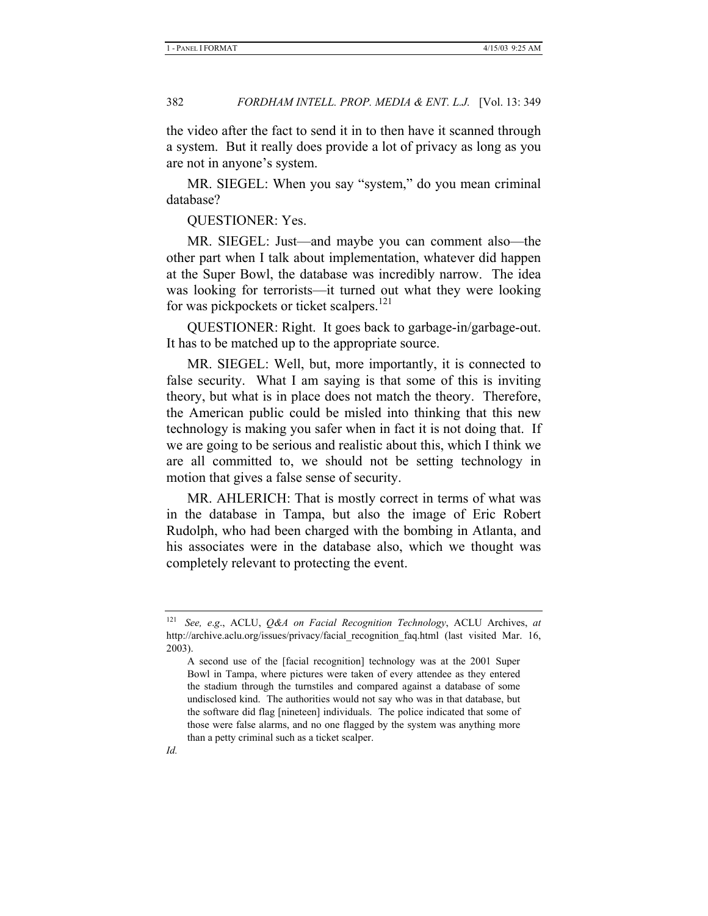the video after the fact to send it in to then have it scanned through a system. But it really does provide a lot of privacy as long as you are not in anyone's system.

MR. SIEGEL: When you say "system," do you mean criminal database?

QUESTIONER: Yes.

MR. SIEGEL: Just—and maybe you can comment also—the other part when I talk about implementation, whatever did happen at the Super Bowl, the database was incredibly narrow. The idea was looking for terrorists—it turned out what they were looking for was pickpockets or ticket scalpers.<sup>121</sup>

QUESTIONER: Right. It goes back to garbage-in/garbage-out. It has to be matched up to the appropriate source.

MR. SIEGEL: Well, but, more importantly, it is connected to false security. What I am saying is that some of this is inviting theory, but what is in place does not match the theory. Therefore, the American public could be misled into thinking that this new technology is making you safer when in fact it is not doing that. If we are going to be serious and realistic about this, which I think we are all committed to, we should not be setting technology in motion that gives a false sense of security.

MR. AHLERICH: That is mostly correct in terms of what was in the database in Tampa, but also the image of Eric Robert Rudolph, who had been charged with the bombing in Atlanta, and his associates were in the database also, which we thought was completely relevant to protecting the event.

<sup>121</sup> *See, e*.*g*., ACLU, *Q&A on Facial Recognition Technology*, ACLU Archives, *at*  http://archive.aclu.org/issues/privacy/facial\_recognition\_faq.html (last visited Mar. 16, 2003).

A second use of the [facial recognition] technology was at the 2001 Super Bowl in Tampa, where pictures were taken of every attendee as they entered the stadium through the turnstiles and compared against a database of some undisclosed kind. The authorities would not say who was in that database, but the software did flag [nineteen] individuals. The police indicated that some of those were false alarms, and no one flagged by the system was anything more than a petty criminal such as a ticket scalper.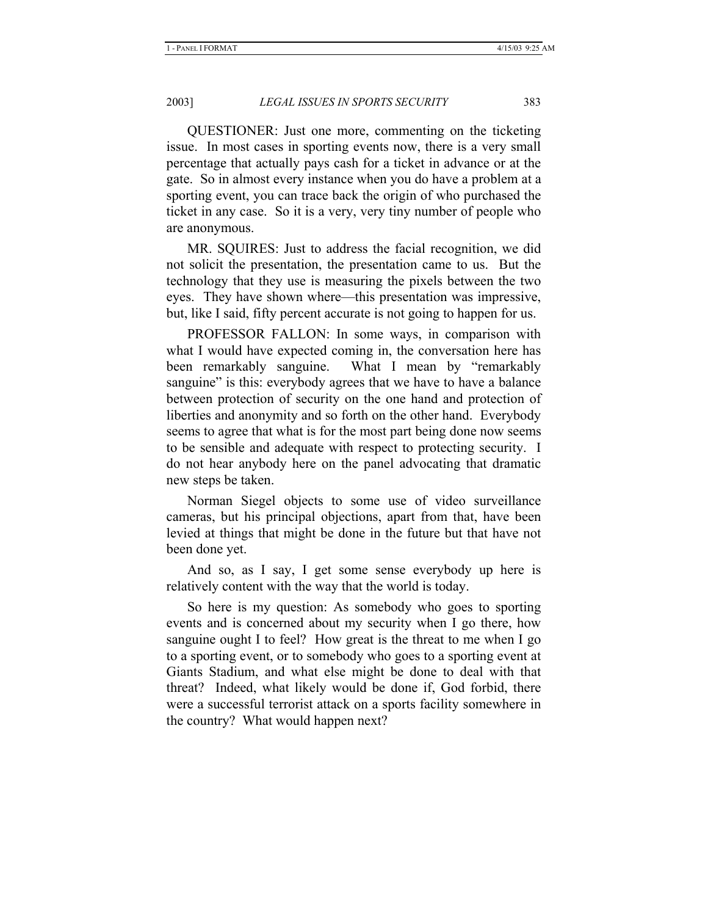QUESTIONER: Just one more, commenting on the ticketing issue. In most cases in sporting events now, there is a very small percentage that actually pays cash for a ticket in advance or at the gate. So in almost every instance when you do have a problem at a sporting event, you can trace back the origin of who purchased the ticket in any case. So it is a very, very tiny number of people who are anonymous.

MR. SQUIRES: Just to address the facial recognition, we did not solicit the presentation, the presentation came to us. But the technology that they use is measuring the pixels between the two eyes. They have shown where—this presentation was impressive, but, like I said, fifty percent accurate is not going to happen for us.

PROFESSOR FALLON: In some ways, in comparison with what I would have expected coming in, the conversation here has been remarkably sanguine. What I mean by "remarkably sanguine" is this: everybody agrees that we have to have a balance between protection of security on the one hand and protection of liberties and anonymity and so forth on the other hand. Everybody seems to agree that what is for the most part being done now seems to be sensible and adequate with respect to protecting security. I do not hear anybody here on the panel advocating that dramatic new steps be taken.

Norman Siegel objects to some use of video surveillance cameras, but his principal objections, apart from that, have been levied at things that might be done in the future but that have not been done yet.

And so, as I say, I get some sense everybody up here is relatively content with the way that the world is today.

So here is my question: As somebody who goes to sporting events and is concerned about my security when I go there, how sanguine ought I to feel? How great is the threat to me when I go to a sporting event, or to somebody who goes to a sporting event at Giants Stadium, and what else might be done to deal with that threat? Indeed, what likely would be done if, God forbid, there were a successful terrorist attack on a sports facility somewhere in the country? What would happen next?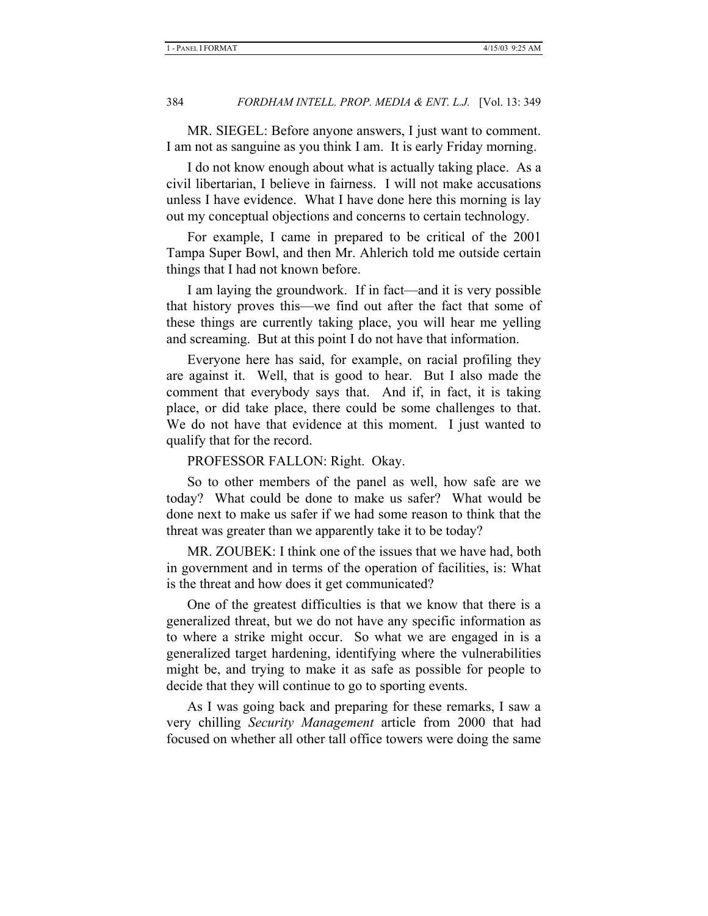MR. SIEGEL: Before anyone answers, I just want to comment. I am not as sanguine as you think I am. It is early Friday morning.

I do not know enough about what is actually taking place. As a civil libertarian, I believe in fairness. I will not make accusations unless I have evidence. What I have done here this morning is lay out my conceptual objections and concerns to certain technology.

For example, I came in prepared to be critical of the 2001 Tampa Super Bowl, and then Mr. Ahlerich told me outside certain things that I had not known before.

I am laying the groundwork. If in fact—and it is very possible that history proves this—we find out after the fact that some of these things are currently taking place, you will hear me yelling and screaming. But at this point I do not have that information.

Everyone here has said, for example, on racial profiling they are against it. Well, that is good to hear. But I also made the comment that everybody says that. And if, in fact, it is taking place, or did take place, there could be some challenges to that. We do not have that evidence at this moment. I just wanted to qualify that for the record.

#### PROFESSOR FALLON: Right. Okay.

So to other members of the panel as well, how safe are we today? What could be done to make us safer? What would be done next to make us safer if we had some reason to think that the threat was greater than we apparently take it to be today?

MR. ZOUBEK: I think one of the issues that we have had, both in government and in terms of the operation of facilities, is: What is the threat and how does it get communicated?

One of the greatest difficulties is that we know that there is a generalized threat, but we do not have any specific information as to where a strike might occur. So what we are engaged in is a generalized target hardening, identifying where the vulnerabilities might be, and trying to make it as safe as possible for people to decide that they will continue to go to sporting events.

As I was going back and preparing for these remarks, I saw a very chilling *Security Management* article from 2000 that had focused on whether all other tall office towers were doing the same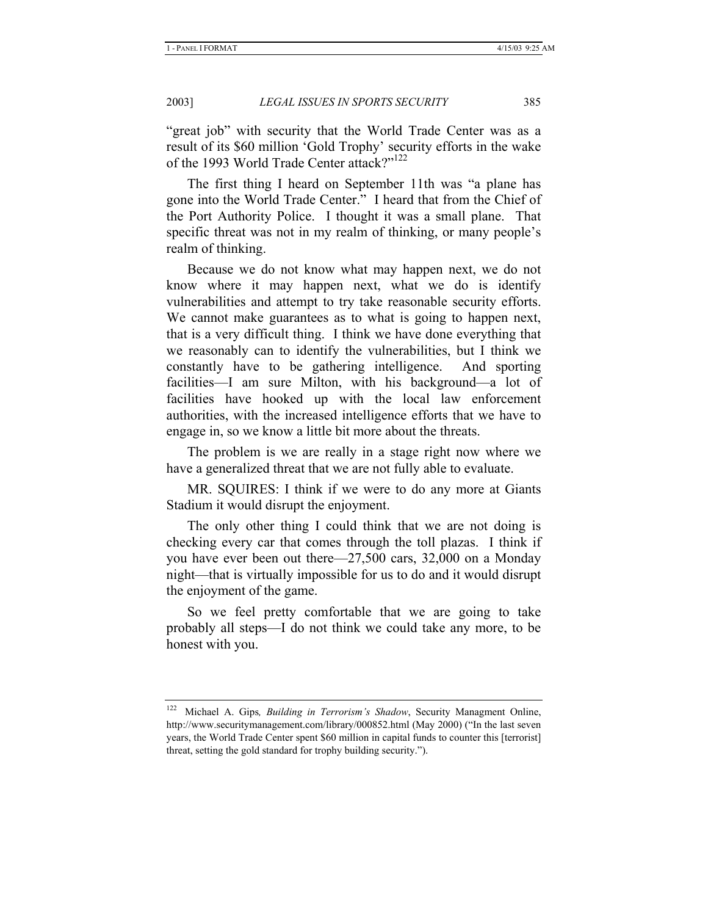"great job" with security that the World Trade Center was as a result of its \$60 million 'Gold Trophy' security efforts in the wake of the 1993 World Trade Center attack?"<sup>122</sup>

The first thing I heard on September 11th was "a plane has gone into the World Trade Center." I heard that from the Chief of the Port Authority Police. I thought it was a small plane. That specific threat was not in my realm of thinking, or many people's realm of thinking.

Because we do not know what may happen next, we do not know where it may happen next, what we do is identify vulnerabilities and attempt to try take reasonable security efforts. We cannot make guarantees as to what is going to happen next, that is a very difficult thing. I think we have done everything that we reasonably can to identify the vulnerabilities, but I think we constantly have to be gathering intelligence. And sporting facilities—I am sure Milton, with his background—a lot of facilities have hooked up with the local law enforcement authorities, with the increased intelligence efforts that we have to engage in, so we know a little bit more about the threats.

The problem is we are really in a stage right now where we have a generalized threat that we are not fully able to evaluate.

MR. SQUIRES: I think if we were to do any more at Giants Stadium it would disrupt the enjoyment.

The only other thing I could think that we are not doing is checking every car that comes through the toll plazas. I think if you have ever been out there—27,500 cars, 32,000 on a Monday night—that is virtually impossible for us to do and it would disrupt the enjoyment of the game.

So we feel pretty comfortable that we are going to take probably all steps—I do not think we could take any more, to be honest with you.

<sup>122</sup> Michael A. Gips*, Building in Terrorism's Shadow*, Security Managment Online, http://www.securitymanagement.com/library/000852.html (May 2000) ("In the last seven years, the World Trade Center spent \$60 million in capital funds to counter this [terrorist] threat, setting the gold standard for trophy building security.").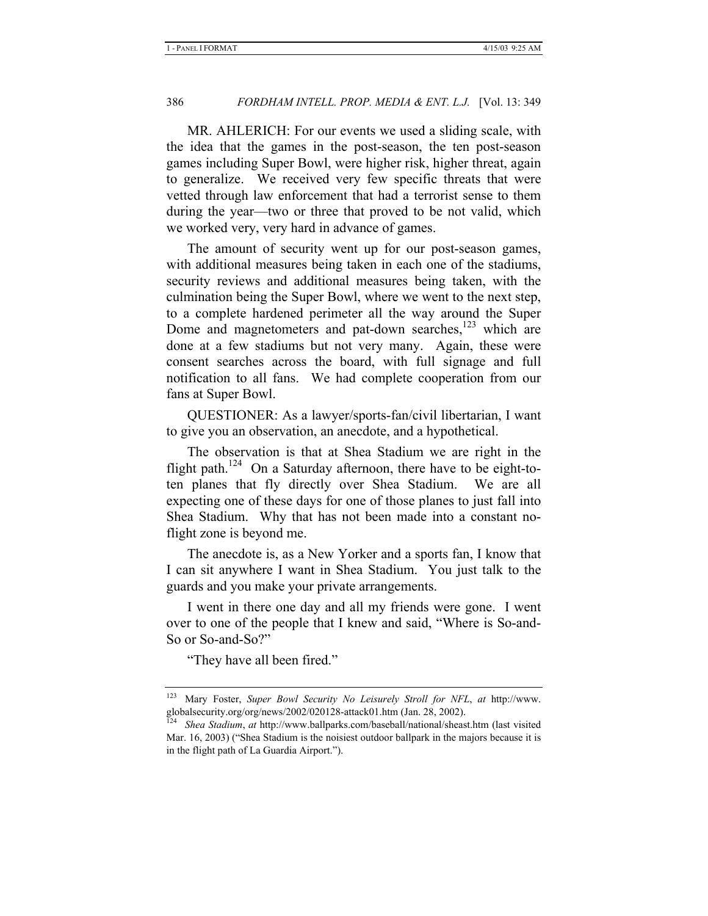MR. AHLERICH: For our events we used a sliding scale, with the idea that the games in the post-season, the ten post-season games including Super Bowl, were higher risk, higher threat, again to generalize. We received very few specific threats that were vetted through law enforcement that had a terrorist sense to them during the year—two or three that proved to be not valid, which we worked very, very hard in advance of games.

The amount of security went up for our post-season games, with additional measures being taken in each one of the stadiums, security reviews and additional measures being taken, with the culmination being the Super Bowl, where we went to the next step, to a complete hardened perimeter all the way around the Super Dome and magnetometers and pat-down searches, $123$  which are done at a few stadiums but not very many. Again, these were consent searches across the board, with full signage and full notification to all fans. We had complete cooperation from our fans at Super Bowl.

QUESTIONER: As a lawyer/sports-fan/civil libertarian, I want to give you an observation, an anecdote, and a hypothetical.

The observation is that at Shea Stadium we are right in the flight path.<sup>124</sup> On a Saturday afternoon, there have to be eight-toten planes that fly directly over Shea Stadium. We are all expecting one of these days for one of those planes to just fall into Shea Stadium. Why that has not been made into a constant noflight zone is beyond me.

The anecdote is, as a New Yorker and a sports fan, I know that I can sit anywhere I want in Shea Stadium. You just talk to the guards and you make your private arrangements.

I went in there one day and all my friends were gone. I went over to one of the people that I knew and said, "Where is So-and-So or So-and-So?"

"They have all been fired."

<sup>123</sup> Mary Foster, *Super Bowl Security No Leisurely Stroll for NFL*, *at* http://www. globalsecurity.org/org/news/2002/020128-attack01.htm (Jan. 28, 2002).<br><sup>124</sup> Shea Stadium of bttp://

<sup>124</sup> *Shea Stadium*, *at* http://www.ballparks.com/baseball/national/sheast.htm (last visited Mar. 16, 2003) ("Shea Stadium is the noisiest outdoor ballpark in the majors because it is in the flight path of La Guardia Airport.").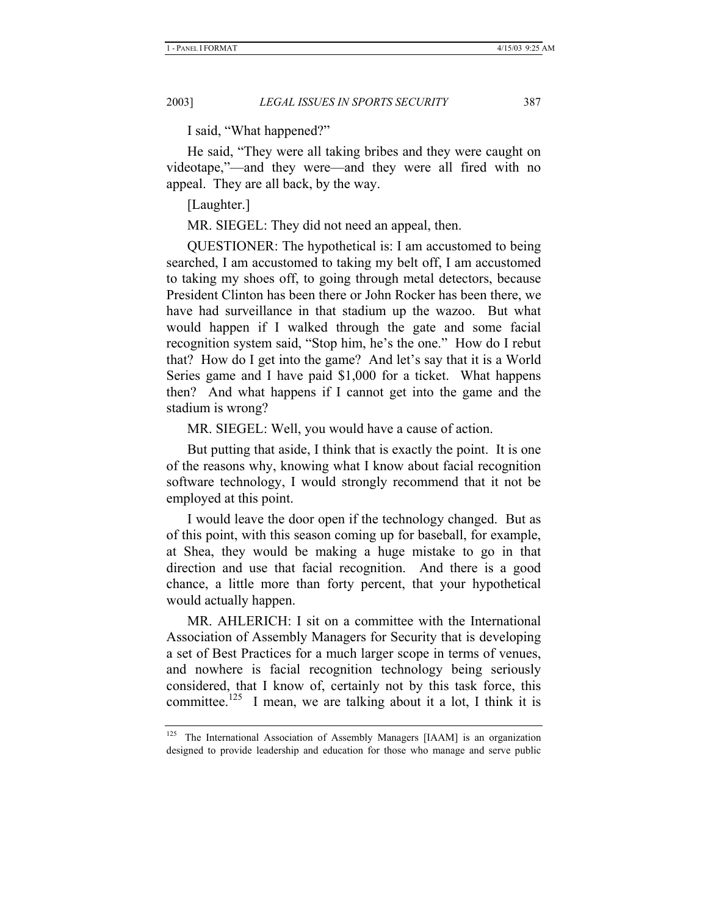I said, "What happened?"

He said, "They were all taking bribes and they were caught on videotape,"—and they were—and they were all fired with no appeal. They are all back, by the way.

[Laughter.]

MR. SIEGEL: They did not need an appeal, then.

QUESTIONER: The hypothetical is: I am accustomed to being searched, I am accustomed to taking my belt off, I am accustomed to taking my shoes off, to going through metal detectors, because President Clinton has been there or John Rocker has been there, we have had surveillance in that stadium up the wazoo. But what would happen if I walked through the gate and some facial recognition system said, "Stop him, he's the one." How do I rebut that? How do I get into the game? And let's say that it is a World Series game and I have paid \$1,000 for a ticket. What happens then? And what happens if I cannot get into the game and the stadium is wrong?

MR. SIEGEL: Well, you would have a cause of action.

But putting that aside, I think that is exactly the point. It is one of the reasons why, knowing what I know about facial recognition software technology, I would strongly recommend that it not be employed at this point.

I would leave the door open if the technology changed. But as of this point, with this season coming up for baseball, for example, at Shea, they would be making a huge mistake to go in that direction and use that facial recognition. And there is a good chance, a little more than forty percent, that your hypothetical would actually happen.

MR. AHLERICH: I sit on a committee with the International Association of Assembly Managers for Security that is developing a set of Best Practices for a much larger scope in terms of venues, and nowhere is facial recognition technology being seriously considered, that I know of, certainly not by this task force, this committee.<sup>125</sup> I mean, we are talking about it a lot, I think it is

<sup>&</sup>lt;sup>125</sup> The International Association of Assembly Managers [IAAM] is an organization designed to provide leadership and education for those who manage and serve public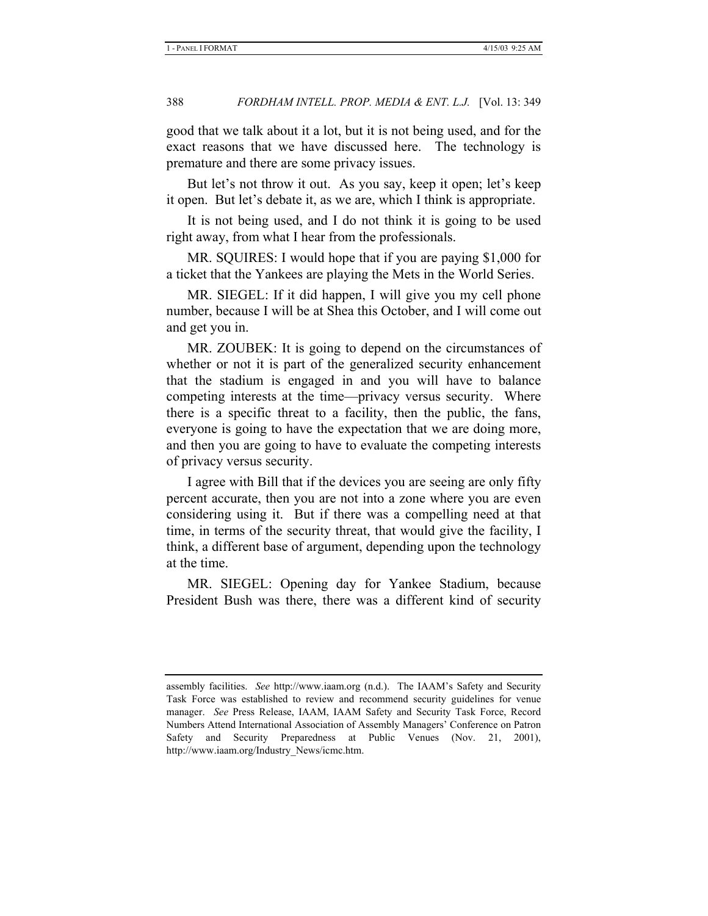good that we talk about it a lot, but it is not being used, and for the exact reasons that we have discussed here. The technology is premature and there are some privacy issues.

But let's not throw it out. As you say, keep it open; let's keep it open. But let's debate it, as we are, which I think is appropriate.

It is not being used, and I do not think it is going to be used right away, from what I hear from the professionals.

MR. SQUIRES: I would hope that if you are paying \$1,000 for a ticket that the Yankees are playing the Mets in the World Series.

MR. SIEGEL: If it did happen, I will give you my cell phone number, because I will be at Shea this October, and I will come out and get you in.

MR. ZOUBEK: It is going to depend on the circumstances of whether or not it is part of the generalized security enhancement that the stadium is engaged in and you will have to balance competing interests at the time—privacy versus security. Where there is a specific threat to a facility, then the public, the fans, everyone is going to have the expectation that we are doing more, and then you are going to have to evaluate the competing interests of privacy versus security.

I agree with Bill that if the devices you are seeing are only fifty percent accurate, then you are not into a zone where you are even considering using it. But if there was a compelling need at that time, in terms of the security threat, that would give the facility, I think, a different base of argument, depending upon the technology at the time.

MR. SIEGEL: Opening day for Yankee Stadium, because President Bush was there, there was a different kind of security

assembly facilities. *See* http://www.iaam.org (n.d.). The IAAM's Safety and Security Task Force was established to review and recommend security guidelines for venue manager. *See* Press Release, IAAM, IAAM Safety and Security Task Force, Record Numbers Attend International Association of Assembly Managers' Conference on Patron Safety and Security Preparedness at Public Venues (Nov. 21, 2001), http://www.iaam.org/Industry\_News/icmc.htm.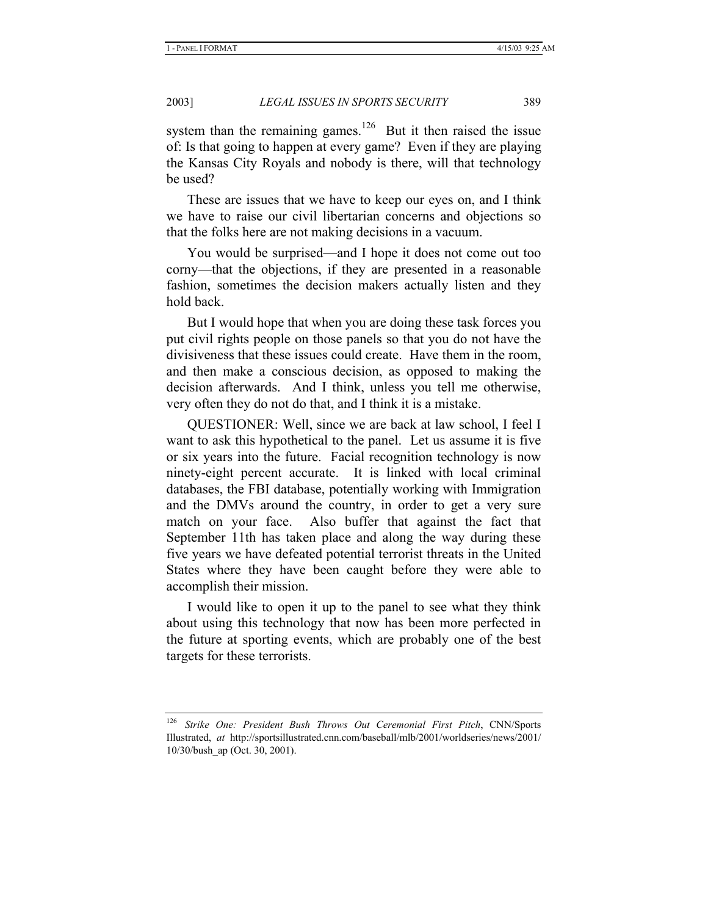system than the remaining games.<sup>126</sup> But it then raised the issue of: Is that going to happen at every game? Even if they are playing the Kansas City Royals and nobody is there, will that technology be used?

These are issues that we have to keep our eyes on, and I think we have to raise our civil libertarian concerns and objections so that the folks here are not making decisions in a vacuum.

You would be surprised—and I hope it does not come out too corny—that the objections, if they are presented in a reasonable fashion, sometimes the decision makers actually listen and they hold back.

But I would hope that when you are doing these task forces you put civil rights people on those panels so that you do not have the divisiveness that these issues could create. Have them in the room, and then make a conscious decision, as opposed to making the decision afterwards. And I think, unless you tell me otherwise, very often they do not do that, and I think it is a mistake.

QUESTIONER: Well, since we are back at law school, I feel I want to ask this hypothetical to the panel. Let us assume it is five or six years into the future. Facial recognition technology is now ninety-eight percent accurate. It is linked with local criminal databases, the FBI database, potentially working with Immigration and the DMVs around the country, in order to get a very sure match on your face. Also buffer that against the fact that September 11th has taken place and along the way during these five years we have defeated potential terrorist threats in the United States where they have been caught before they were able to accomplish their mission.

I would like to open it up to the panel to see what they think about using this technology that now has been more perfected in the future at sporting events, which are probably one of the best targets for these terrorists.

<sup>126</sup> *Strike One: President Bush Throws Out Ceremonial First Pitch*, CNN/Sports Illustrated, *at* http://sportsillustrated.cnn.com/baseball/mlb/2001/worldseries/news/2001/ 10/30/bush\_ap (Oct. 30, 2001).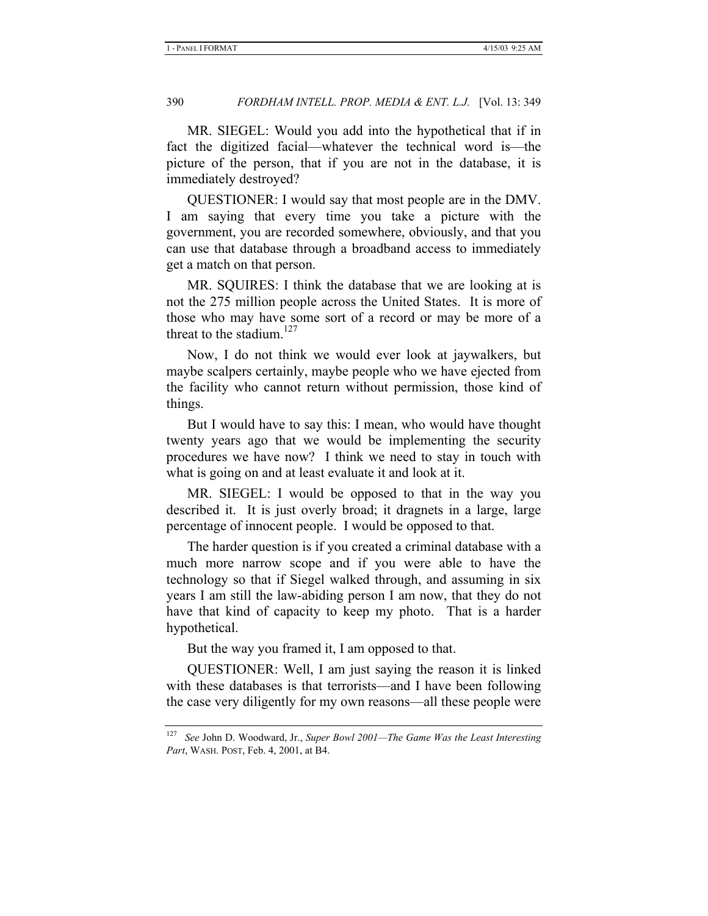MR. SIEGEL: Would you add into the hypothetical that if in fact the digitized facial—whatever the technical word is—the picture of the person, that if you are not in the database, it is immediately destroyed?

QUESTIONER: I would say that most people are in the DMV. I am saying that every time you take a picture with the government, you are recorded somewhere, obviously, and that you can use that database through a broadband access to immediately get a match on that person.

MR. SQUIRES: I think the database that we are looking at is not the 275 million people across the United States. It is more of those who may have some sort of a record or may be more of a threat to the stadium. $127$ 

Now, I do not think we would ever look at jaywalkers, but maybe scalpers certainly, maybe people who we have ejected from the facility who cannot return without permission, those kind of things.

But I would have to say this: I mean, who would have thought twenty years ago that we would be implementing the security procedures we have now? I think we need to stay in touch with what is going on and at least evaluate it and look at it.

MR. SIEGEL: I would be opposed to that in the way you described it. It is just overly broad; it dragnets in a large, large percentage of innocent people. I would be opposed to that.

The harder question is if you created a criminal database with a much more narrow scope and if you were able to have the technology so that if Siegel walked through, and assuming in six years I am still the law-abiding person I am now, that they do not have that kind of capacity to keep my photo. That is a harder hypothetical.

But the way you framed it, I am opposed to that.

QUESTIONER: Well, I am just saying the reason it is linked with these databases is that terrorists—and I have been following the case very diligently for my own reasons—all these people were

<sup>127</sup> *See* John D. Woodward, Jr., *Super Bowl 2001—The Game Was the Least Interesting Part*, WASH. POST, Feb. 4, 2001, at B4.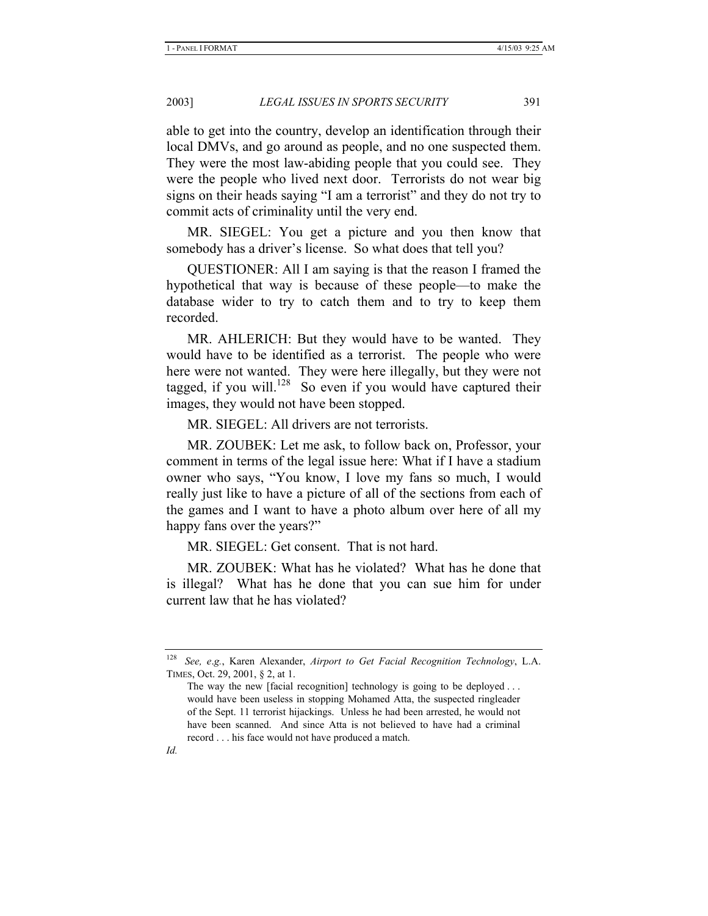able to get into the country, develop an identification through their local DMVs, and go around as people, and no one suspected them. They were the most law-abiding people that you could see. They were the people who lived next door. Terrorists do not wear big signs on their heads saying "I am a terrorist" and they do not try to commit acts of criminality until the very end.

MR. SIEGEL: You get a picture and you then know that somebody has a driver's license. So what does that tell you?

QUESTIONER: All I am saying is that the reason I framed the hypothetical that way is because of these people—to make the database wider to try to catch them and to try to keep them recorded.

MR. AHLERICH: But they would have to be wanted. They would have to be identified as a terrorist. The people who were here were not wanted. They were here illegally, but they were not tagged, if you will.<sup>128</sup> So even if you would have captured their images, they would not have been stopped.

MR. SIEGEL: All drivers are not terrorists.

MR. ZOUBEK: Let me ask, to follow back on, Professor, your comment in terms of the legal issue here: What if I have a stadium owner who says, "You know, I love my fans so much, I would really just like to have a picture of all of the sections from each of the games and I want to have a photo album over here of all my happy fans over the years?"

MR. SIEGEL: Get consent. That is not hard.

MR. ZOUBEK: What has he violated? What has he done that is illegal? What has he done that you can sue him for under current law that he has violated?

<sup>128</sup> *See, e*.*g.*, Karen Alexander, *Airport to Get Facial Recognition Technology*, L.A. TIMES, Oct. 29, 2001, § 2, at 1.

The way the new [facial recognition] technology is going to be deployed ... would have been useless in stopping Mohamed Atta, the suspected ringleader of the Sept. 11 terrorist hijackings. Unless he had been arrested, he would not have been scanned. And since Atta is not believed to have had a criminal record . . . his face would not have produced a match.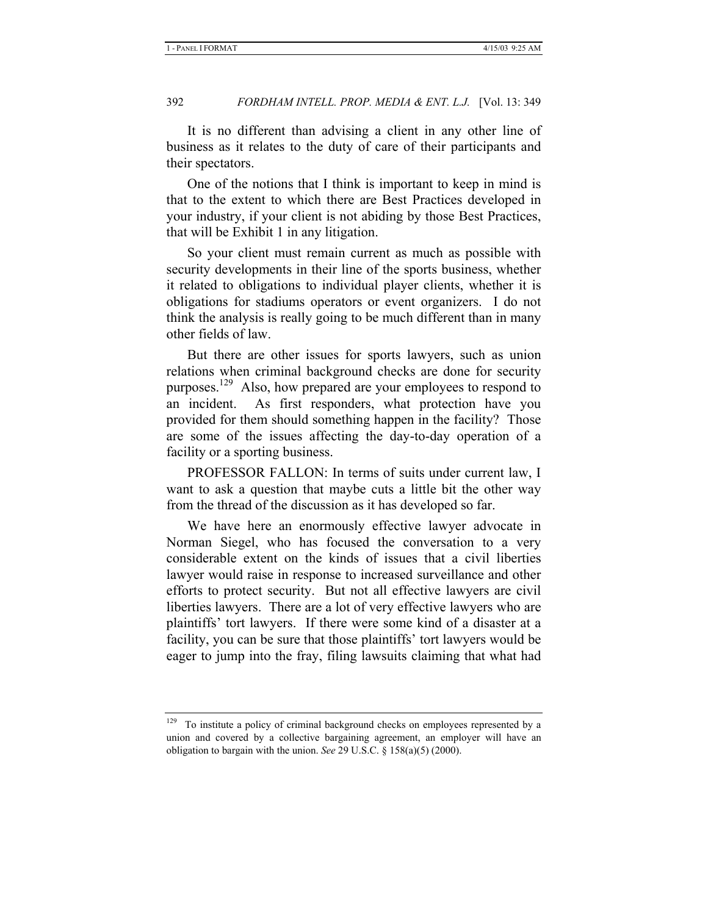It is no different than advising a client in any other line of business as it relates to the duty of care of their participants and their spectators.

One of the notions that I think is important to keep in mind is that to the extent to which there are Best Practices developed in your industry, if your client is not abiding by those Best Practices, that will be Exhibit 1 in any litigation.

So your client must remain current as much as possible with security developments in their line of the sports business, whether it related to obligations to individual player clients, whether it is obligations for stadiums operators or event organizers. I do not think the analysis is really going to be much different than in many other fields of law.

But there are other issues for sports lawyers, such as union relations when criminal background checks are done for security purposes.129 Also, how prepared are your employees to respond to an incident. As first responders, what protection have you provided for them should something happen in the facility? Those are some of the issues affecting the day-to-day operation of a facility or a sporting business.

PROFESSOR FALLON: In terms of suits under current law, I want to ask a question that maybe cuts a little bit the other way from the thread of the discussion as it has developed so far.

We have here an enormously effective lawyer advocate in Norman Siegel, who has focused the conversation to a very considerable extent on the kinds of issues that a civil liberties lawyer would raise in response to increased surveillance and other efforts to protect security. But not all effective lawyers are civil liberties lawyers. There are a lot of very effective lawyers who are plaintiffs' tort lawyers. If there were some kind of a disaster at a facility, you can be sure that those plaintiffs' tort lawyers would be eager to jump into the fray, filing lawsuits claiming that what had

<sup>&</sup>lt;sup>129</sup> To institute a policy of criminal background checks on employees represented by a union and covered by a collective bargaining agreement, an employer will have an obligation to bargain with the union. *See* 29 U.S.C. § 158(a)(5) (2000).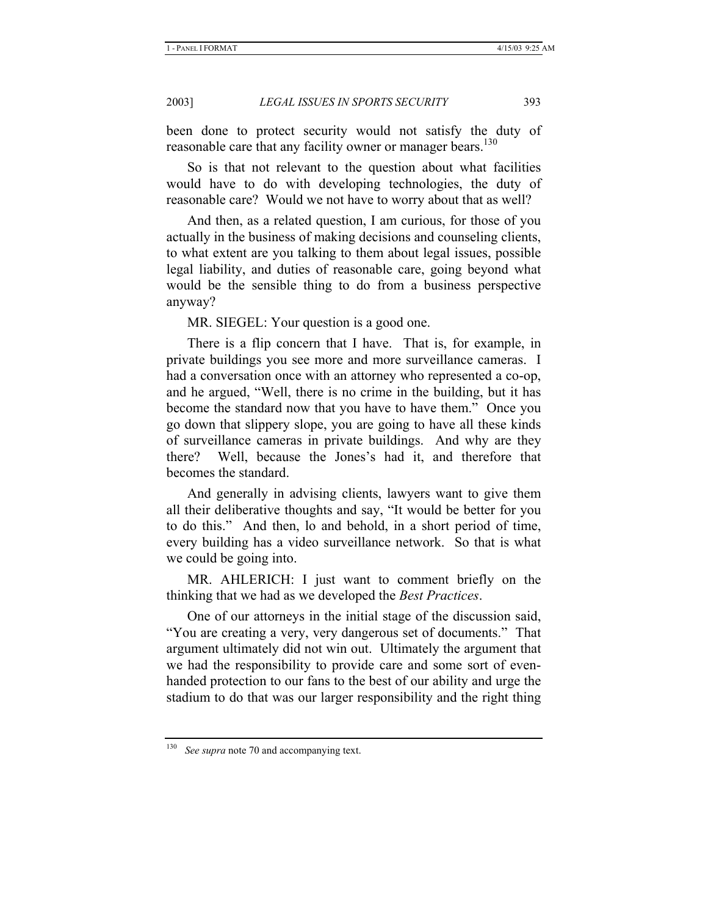been done to protect security would not satisfy the duty of reasonable care that any facility owner or manager bears.<sup>130</sup>

So is that not relevant to the question about what facilities would have to do with developing technologies, the duty of reasonable care? Would we not have to worry about that as well?

And then, as a related question, I am curious, for those of you actually in the business of making decisions and counseling clients, to what extent are you talking to them about legal issues, possible legal liability, and duties of reasonable care, going beyond what would be the sensible thing to do from a business perspective anyway?

MR. SIEGEL: Your question is a good one.

There is a flip concern that I have. That is, for example, in private buildings you see more and more surveillance cameras. I had a conversation once with an attorney who represented a co-op, and he argued, "Well, there is no crime in the building, but it has become the standard now that you have to have them." Once you go down that slippery slope, you are going to have all these kinds of surveillance cameras in private buildings. And why are they there? Well, because the Jones's had it, and therefore that becomes the standard.

And generally in advising clients, lawyers want to give them all their deliberative thoughts and say, "It would be better for you to do this." And then, lo and behold, in a short period of time, every building has a video surveillance network. So that is what we could be going into.

MR. AHLERICH: I just want to comment briefly on the thinking that we had as we developed the *Best Practices*.

One of our attorneys in the initial stage of the discussion said, "You are creating a very, very dangerous set of documents." That argument ultimately did not win out. Ultimately the argument that we had the responsibility to provide care and some sort of evenhanded protection to our fans to the best of our ability and urge the stadium to do that was our larger responsibility and the right thing

See supra note 70 and accompanying text.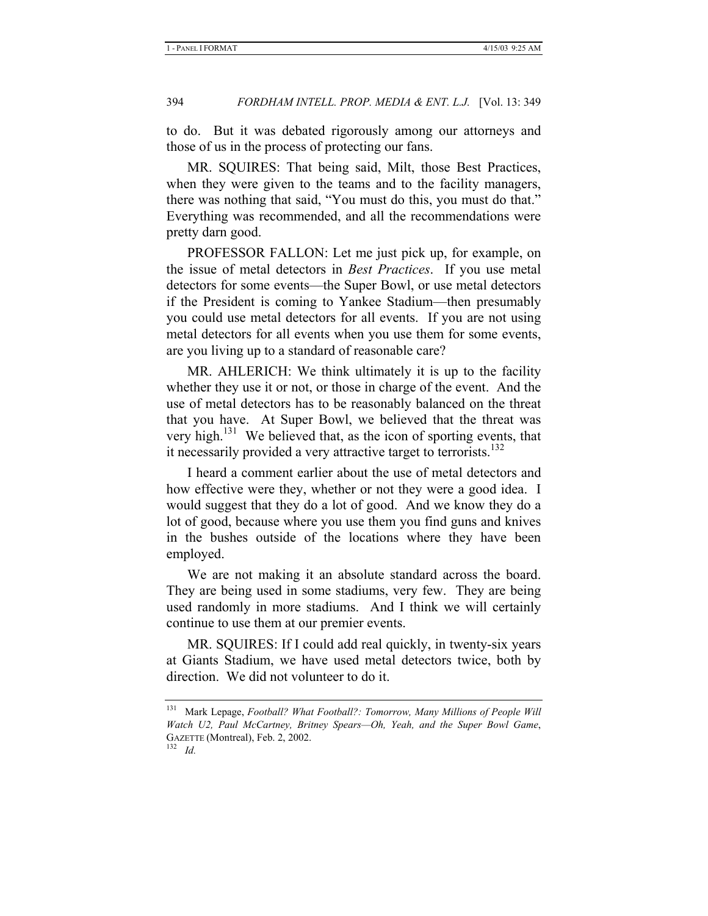to do. But it was debated rigorously among our attorneys and those of us in the process of protecting our fans.

MR. SQUIRES: That being said, Milt, those Best Practices, when they were given to the teams and to the facility managers, there was nothing that said, "You must do this, you must do that." Everything was recommended, and all the recommendations were pretty darn good.

PROFESSOR FALLON: Let me just pick up, for example, on the issue of metal detectors in *Best Practices*. If you use metal detectors for some events—the Super Bowl, or use metal detectors if the President is coming to Yankee Stadium—then presumably you could use metal detectors for all events. If you are not using metal detectors for all events when you use them for some events, are you living up to a standard of reasonable care?

MR. AHLERICH: We think ultimately it is up to the facility whether they use it or not, or those in charge of the event. And the use of metal detectors has to be reasonably balanced on the threat that you have. At Super Bowl, we believed that the threat was very high.<sup>131</sup> We believed that, as the icon of sporting events, that it necessarily provided a very attractive target to terrorists.<sup>132</sup>

I heard a comment earlier about the use of metal detectors and how effective were they, whether or not they were a good idea. I would suggest that they do a lot of good. And we know they do a lot of good, because where you use them you find guns and knives in the bushes outside of the locations where they have been employed.

We are not making it an absolute standard across the board. They are being used in some stadiums, very few. They are being used randomly in more stadiums. And I think we will certainly continue to use them at our premier events.

MR. SQUIRES: If I could add real quickly, in twenty-six years at Giants Stadium, we have used metal detectors twice, both by direction. We did not volunteer to do it.

<sup>131</sup> Mark Lepage, *Football? What Football?: Tomorrow, Many Millions of People Will Watch U2, Paul McCartney, Britney Spears—Oh, Yeah, and the Super Bowl Game*, GAZETTE (Montreal), Feb. 2, 2002. 132 *Id.*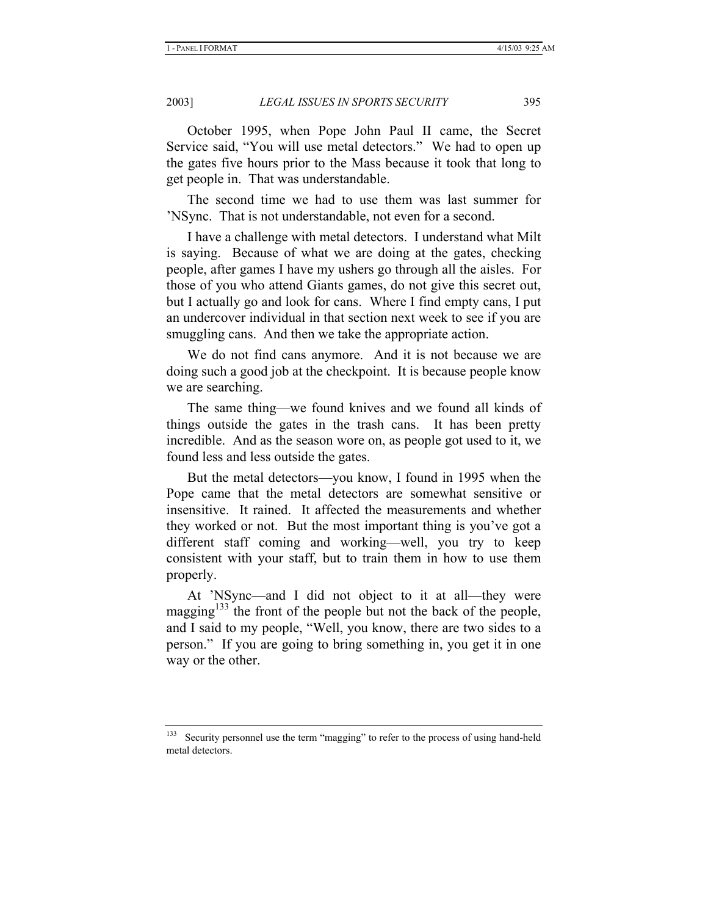October 1995, when Pope John Paul II came, the Secret Service said, "You will use metal detectors." We had to open up the gates five hours prior to the Mass because it took that long to get people in. That was understandable.

The second time we had to use them was last summer for 'NSync. That is not understandable, not even for a second.

I have a challenge with metal detectors. I understand what Milt is saying. Because of what we are doing at the gates, checking people, after games I have my ushers go through all the aisles. For those of you who attend Giants games, do not give this secret out, but I actually go and look for cans. Where I find empty cans, I put an undercover individual in that section next week to see if you are smuggling cans. And then we take the appropriate action.

We do not find cans anymore. And it is not because we are doing such a good job at the checkpoint. It is because people know we are searching.

The same thing—we found knives and we found all kinds of things outside the gates in the trash cans. It has been pretty incredible. And as the season wore on, as people got used to it, we found less and less outside the gates.

But the metal detectors—you know, I found in 1995 when the Pope came that the metal detectors are somewhat sensitive or insensitive. It rained. It affected the measurements and whether they worked or not. But the most important thing is you've got a different staff coming and working—well, you try to keep consistent with your staff, but to train them in how to use them properly.

At 'NSync—and I did not object to it at all—they were magging $133$  the front of the people but not the back of the people, and I said to my people, "Well, you know, there are two sides to a person." If you are going to bring something in, you get it in one way or the other.

Security personnel use the term "magging" to refer to the process of using hand-held metal detectors.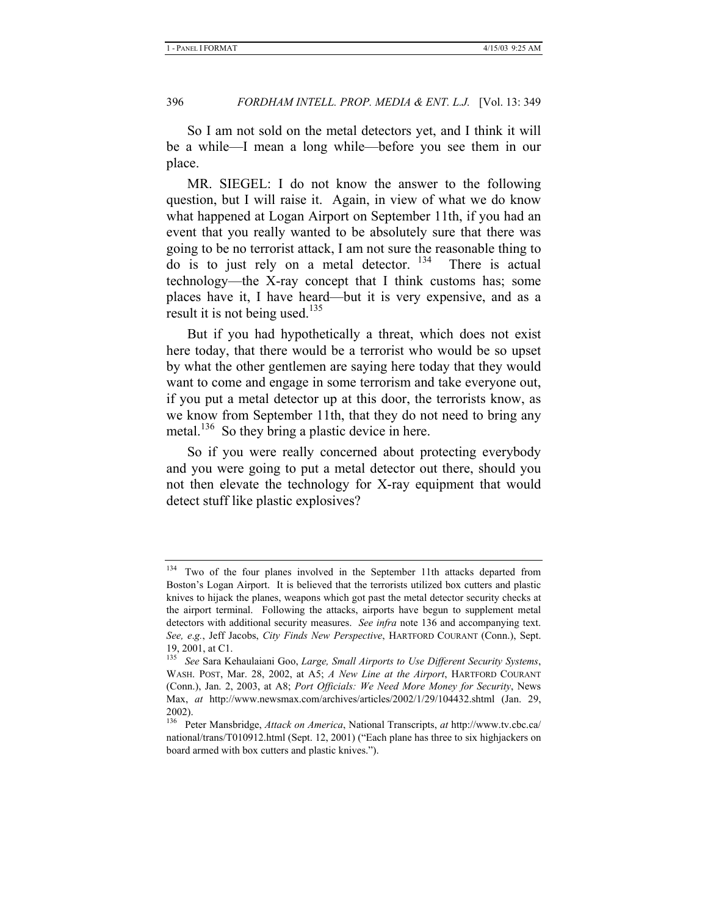So I am not sold on the metal detectors yet, and I think it will be a while—I mean a long while—before you see them in our place.

MR. SIEGEL: I do not know the answer to the following question, but I will raise it. Again, in view of what we do know what happened at Logan Airport on September 11th, if you had an event that you really wanted to be absolutely sure that there was going to be no terrorist attack, I am not sure the reasonable thing to  $\overline{d}$  do is to just rely on a metal detector. <sup>134</sup> There is actual technology—the X-ray concept that I think customs has; some places have it, I have heard—but it is very expensive, and as a result it is not being used.<sup>135</sup>

But if you had hypothetically a threat, which does not exist here today, that there would be a terrorist who would be so upset by what the other gentlemen are saying here today that they would want to come and engage in some terrorism and take everyone out, if you put a metal detector up at this door, the terrorists know, as we know from September 11th, that they do not need to bring any metal. $136$  So they bring a plastic device in here.

So if you were really concerned about protecting everybody and you were going to put a metal detector out there, should you not then elevate the technology for X-ray equipment that would detect stuff like plastic explosives?

<sup>&</sup>lt;sup>134</sup> Two of the four planes involved in the September 11th attacks departed from Boston's Logan Airport. It is believed that the terrorists utilized box cutters and plastic knives to hijack the planes, weapons which got past the metal detector security checks at the airport terminal. Following the attacks, airports have begun to supplement metal detectors with additional security measures. *See infra* note 136 and accompanying text. *See, e*.*g.*, Jeff Jacobs, *City Finds New Perspective*, HARTFORD COURANT (Conn.), Sept. 19, 2001, at C1.

<sup>135</sup> *See* Sara Kehaulaiani Goo, *Large, Small Airports to Use Different Security Systems*, WASH. POST, Mar. 28, 2002, at A5; *A New Line at the Airport*, HARTFORD COURANT (Conn.), Jan. 2, 2003, at A8; *Port Officials: We Need More Money for Security*, News Max, *at* http://www.newsmax.com/archives/articles/2002/1/29/104432.shtml (Jan. 29, 2002).

<sup>136</sup> Peter Mansbridge, *Attack on America*, National Transcripts, *at* http://www.tv.cbc.ca/ national/trans/T010912.html (Sept. 12, 2001) ("Each plane has three to six highjackers on board armed with box cutters and plastic knives.").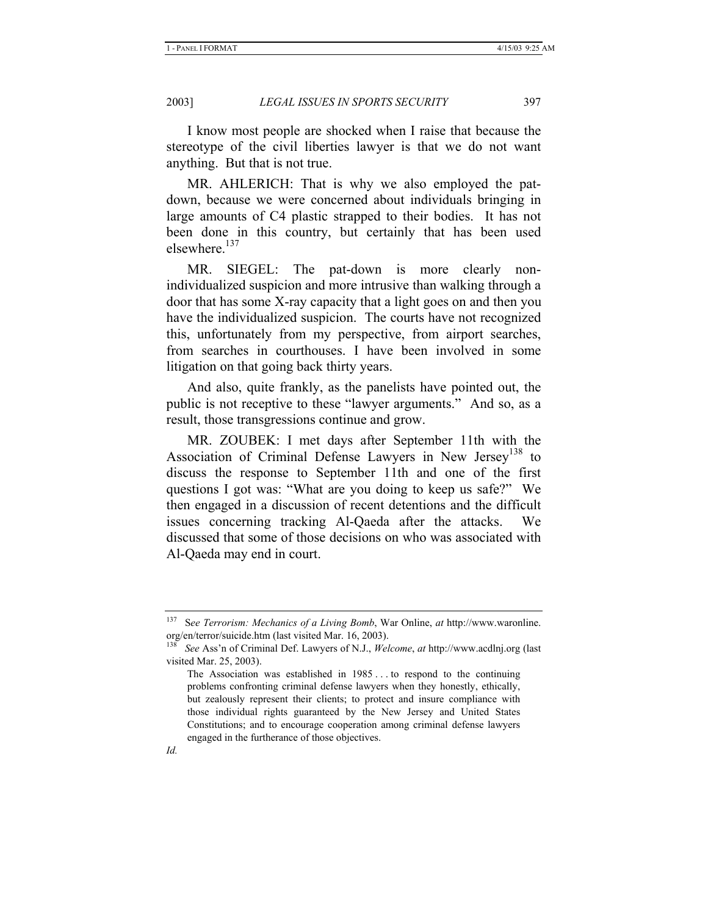I know most people are shocked when I raise that because the stereotype of the civil liberties lawyer is that we do not want anything. But that is not true.

MR. AHLERICH: That is why we also employed the patdown, because we were concerned about individuals bringing in large amounts of C4 plastic strapped to their bodies. It has not been done in this country, but certainly that has been used elsewhere.<sup>137</sup>

MR. SIEGEL: The pat-down is more clearly nonindividualized suspicion and more intrusive than walking through a door that has some X-ray capacity that a light goes on and then you have the individualized suspicion. The courts have not recognized this, unfortunately from my perspective, from airport searches, from searches in courthouses. I have been involved in some litigation on that going back thirty years.

And also, quite frankly, as the panelists have pointed out, the public is not receptive to these "lawyer arguments." And so, as a result, those transgressions continue and grow.

MR. ZOUBEK: I met days after September 11th with the Association of Criminal Defense Lawyers in New Jersey<sup>138</sup> to discuss the response to September 11th and one of the first questions I got was: "What are you doing to keep us safe?" We then engaged in a discussion of recent detentions and the difficult issues concerning tracking Al-Qaeda after the attacks. We discussed that some of those decisions on who was associated with Al-Qaeda may end in court.

<sup>137</sup> S*ee Terrorism: Mechanics of a Living Bomb*, War Online, *at* http://www.waronline. org/en/terror/suicide.htm (last visited Mar. 16, 2003).

<sup>138</sup> *See* Ass'n of Criminal Def. Lawyers of N.J., *Welcome*, *at* http://www.acdlnj.org (last visited Mar. 25, 2003).

The Association was established in 1985 . . . to respond to the continuing problems confronting criminal defense lawyers when they honestly, ethically, but zealously represent their clients; to protect and insure compliance with those individual rights guaranteed by the New Jersey and United States Constitutions; and to encourage cooperation among criminal defense lawyers engaged in the furtherance of those objectives.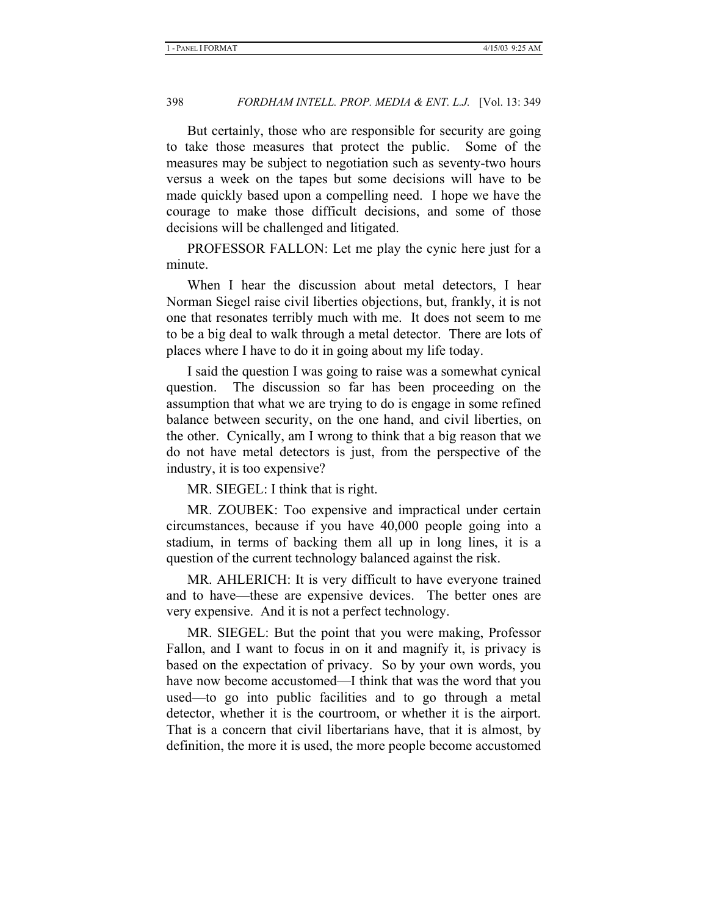But certainly, those who are responsible for security are going to take those measures that protect the public. Some of the measures may be subject to negotiation such as seventy-two hours versus a week on the tapes but some decisions will have to be made quickly based upon a compelling need. I hope we have the courage to make those difficult decisions, and some of those decisions will be challenged and litigated.

PROFESSOR FALLON: Let me play the cynic here just for a minute.

When I hear the discussion about metal detectors, I hear Norman Siegel raise civil liberties objections, but, frankly, it is not one that resonates terribly much with me. It does not seem to me to be a big deal to walk through a metal detector. There are lots of places where I have to do it in going about my life today.

I said the question I was going to raise was a somewhat cynical question. The discussion so far has been proceeding on the assumption that what we are trying to do is engage in some refined balance between security, on the one hand, and civil liberties, on the other. Cynically, am I wrong to think that a big reason that we do not have metal detectors is just, from the perspective of the industry, it is too expensive?

MR. SIEGEL: I think that is right.

MR. ZOUBEK: Too expensive and impractical under certain circumstances, because if you have 40,000 people going into a stadium, in terms of backing them all up in long lines, it is a question of the current technology balanced against the risk.

MR. AHLERICH: It is very difficult to have everyone trained and to have—these are expensive devices. The better ones are very expensive. And it is not a perfect technology.

MR. SIEGEL: But the point that you were making, Professor Fallon, and I want to focus in on it and magnify it, is privacy is based on the expectation of privacy. So by your own words, you have now become accustomed—I think that was the word that you used—to go into public facilities and to go through a metal detector, whether it is the courtroom, or whether it is the airport. That is a concern that civil libertarians have, that it is almost, by definition, the more it is used, the more people become accustomed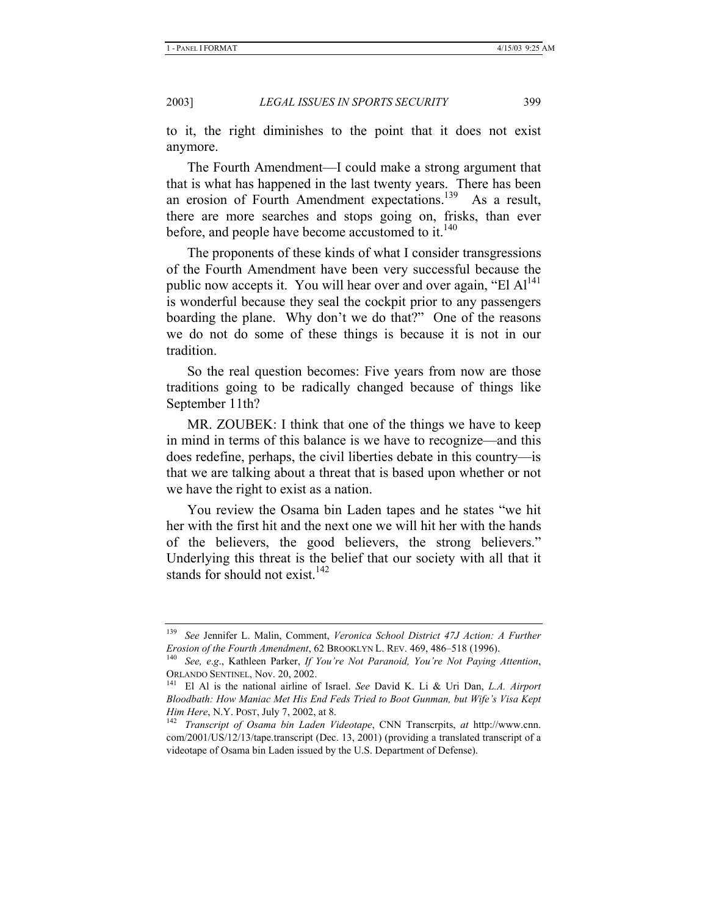to it, the right diminishes to the point that it does not exist anymore.

The Fourth Amendment—I could make a strong argument that that is what has happened in the last twenty years. There has been an erosion of Fourth Amendment expectations.<sup>139</sup> As a result, there are more searches and stops going on, frisks, than ever before, and people have become accustomed to it. $140$ 

The proponents of these kinds of what I consider transgressions of the Fourth Amendment have been very successful because the public now accepts it. You will hear over and over again, "El  $Al<sup>141</sup>$ is wonderful because they seal the cockpit prior to any passengers boarding the plane. Why don't we do that?" One of the reasons we do not do some of these things is because it is not in our tradition.

So the real question becomes: Five years from now are those traditions going to be radically changed because of things like September 11th?

MR. ZOUBEK: I think that one of the things we have to keep in mind in terms of this balance is we have to recognize—and this does redefine, perhaps, the civil liberties debate in this country—is that we are talking about a threat that is based upon whether or not we have the right to exist as a nation.

You review the Osama bin Laden tapes and he states "we hit her with the first hit and the next one we will hit her with the hands of the believers, the good believers, the strong believers." Underlying this threat is the belief that our society with all that it stands for should not exist. $142$ 

<sup>139</sup> *See* Jennifer L. Malin, Comment, *Veronica School District 47J Action: A Further Erosion of the Fourth Amendment*, 62 BROOKLYN L. REV. 469, 486–518 (1996). 140 *See, e*.*g*., Kathleen Parker, *If You're Not Paranoid, You're Not Paying Attention*,

ORLANDO SENTINEL, Nov. 20, 2002. 141 El Al is the national airline of Israel. *See* David K. Li & Uri Dan, *L.A. Airport* 

*Bloodbath: How Maniac Met His End Feds Tried to Boot Gunman, but Wife's Visa Kept Him Here*, N.Y. POST, July 7, 2002, at 8.<br><sup>142</sup> *Transcript of Osama bin Laden Videotape*, CNN Transcrpits, *at* http://www.cnn.

com/2001/US/12/13/tape.transcript (Dec. 13, 2001) (providing a translated transcript of a videotape of Osama bin Laden issued by the U.S. Department of Defense).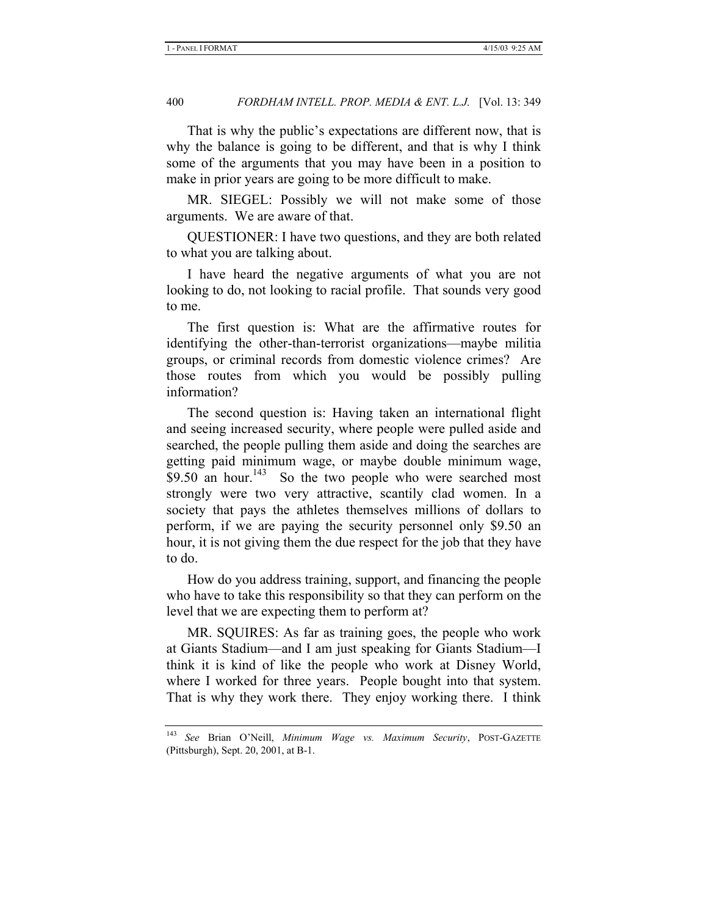That is why the public's expectations are different now, that is why the balance is going to be different, and that is why I think some of the arguments that you may have been in a position to make in prior years are going to be more difficult to make.

MR. SIEGEL: Possibly we will not make some of those arguments. We are aware of that.

QUESTIONER: I have two questions, and they are both related to what you are talking about.

I have heard the negative arguments of what you are not looking to do, not looking to racial profile. That sounds very good to me.

The first question is: What are the affirmative routes for identifying the other-than-terrorist organizations—maybe militia groups, or criminal records from domestic violence crimes? Are those routes from which you would be possibly pulling information?

The second question is: Having taken an international flight and seeing increased security, where people were pulled aside and searched, the people pulling them aside and doing the searches are getting paid minimum wage, or maybe double minimum wage,  $$9.50$  an hour.<sup>143</sup> So the two people who were searched most strongly were two very attractive, scantily clad women. In a society that pays the athletes themselves millions of dollars to perform, if we are paying the security personnel only \$9.50 an hour, it is not giving them the due respect for the job that they have to do.

How do you address training, support, and financing the people who have to take this responsibility so that they can perform on the level that we are expecting them to perform at?

MR. SQUIRES: As far as training goes, the people who work at Giants Stadium—and I am just speaking for Giants Stadium—I think it is kind of like the people who work at Disney World, where I worked for three years. People bought into that system. That is why they work there. They enjoy working there. I think

<sup>143</sup> *See* Brian O'Neill, *Minimum Wage vs. Maximum Security*, POST-GAZETTE (Pittsburgh), Sept. 20, 2001, at B-1.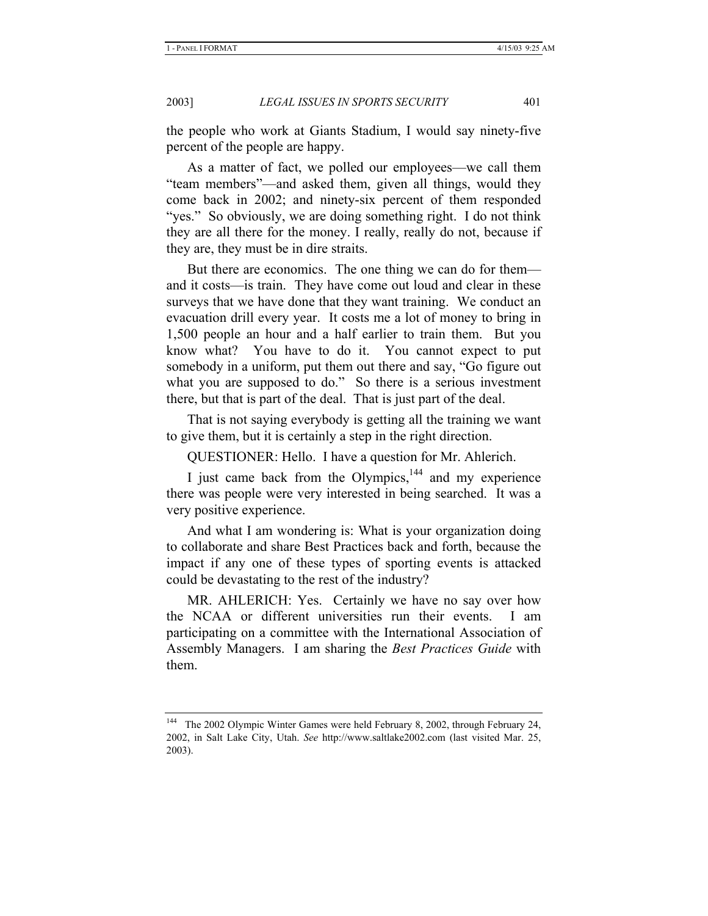the people who work at Giants Stadium, I would say ninety-five percent of the people are happy.

As a matter of fact, we polled our employees—we call them "team members"—and asked them, given all things, would they come back in 2002; and ninety-six percent of them responded "yes." So obviously, we are doing something right. I do not think they are all there for the money. I really, really do not, because if they are, they must be in dire straits.

But there are economics. The one thing we can do for them and it costs—is train. They have come out loud and clear in these surveys that we have done that they want training. We conduct an evacuation drill every year. It costs me a lot of money to bring in 1,500 people an hour and a half earlier to train them. But you know what? You have to do it. You cannot expect to put somebody in a uniform, put them out there and say, "Go figure out what you are supposed to do." So there is a serious investment there, but that is part of the deal. That is just part of the deal.

That is not saying everybody is getting all the training we want to give them, but it is certainly a step in the right direction.

QUESTIONER: Hello. I have a question for Mr. Ahlerich.

I just came back from the Olympics, $144$  and my experience there was people were very interested in being searched. It was a very positive experience.

And what I am wondering is: What is your organization doing to collaborate and share Best Practices back and forth, because the impact if any one of these types of sporting events is attacked could be devastating to the rest of the industry?

MR. AHLERICH: Yes. Certainly we have no say over how the NCAA or different universities run their events. I am participating on a committee with the International Association of Assembly Managers. I am sharing the *Best Practices Guide* with them.

<sup>&</sup>lt;sup>144</sup> The 2002 Olympic Winter Games were held February 8, 2002, through February 24, 2002, in Salt Lake City, Utah. *See* http://www.saltlake2002.com (last visited Mar. 25, 2003).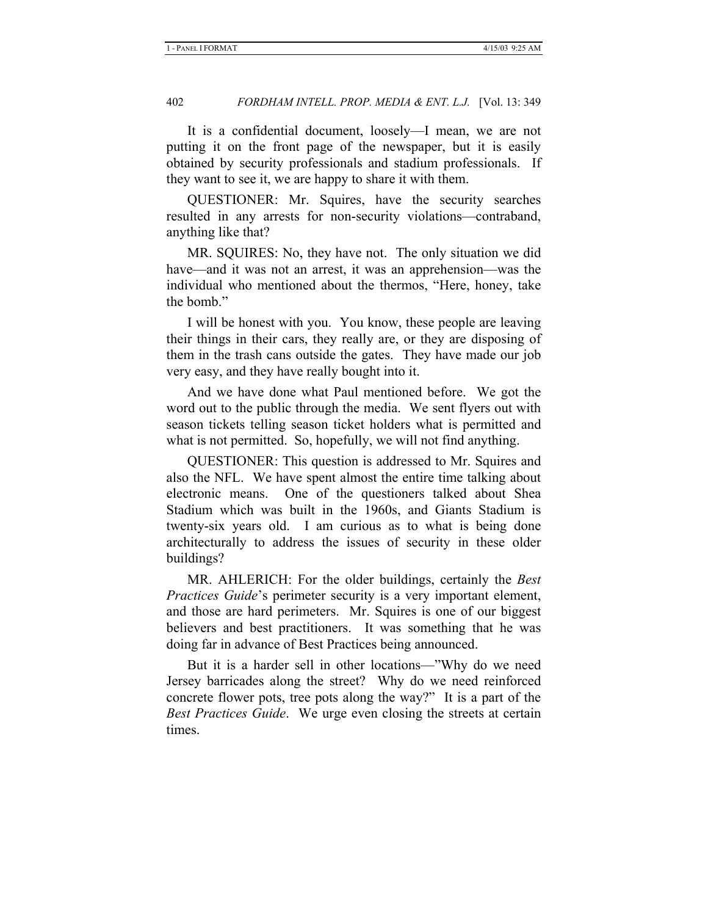It is a confidential document, loosely—I mean, we are not putting it on the front page of the newspaper, but it is easily obtained by security professionals and stadium professionals. If they want to see it, we are happy to share it with them.

QUESTIONER: Mr. Squires, have the security searches resulted in any arrests for non-security violations—contraband, anything like that?

MR. SQUIRES: No, they have not. The only situation we did have—and it was not an arrest, it was an apprehension—was the individual who mentioned about the thermos, "Here, honey, take the bomb."

I will be honest with you. You know, these people are leaving their things in their cars, they really are, or they are disposing of them in the trash cans outside the gates. They have made our job very easy, and they have really bought into it.

And we have done what Paul mentioned before. We got the word out to the public through the media. We sent flyers out with season tickets telling season ticket holders what is permitted and what is not permitted. So, hopefully, we will not find anything.

QUESTIONER: This question is addressed to Mr. Squires and also the NFL. We have spent almost the entire time talking about electronic means. One of the questioners talked about Shea Stadium which was built in the 1960s, and Giants Stadium is twenty-six years old. I am curious as to what is being done architecturally to address the issues of security in these older buildings?

MR. AHLERICH: For the older buildings, certainly the *Best Practices Guide*'s perimeter security is a very important element, and those are hard perimeters. Mr. Squires is one of our biggest believers and best practitioners. It was something that he was doing far in advance of Best Practices being announced.

But it is a harder sell in other locations—"Why do we need Jersey barricades along the street? Why do we need reinforced concrete flower pots, tree pots along the way?" It is a part of the *Best Practices Guide*. We urge even closing the streets at certain times.